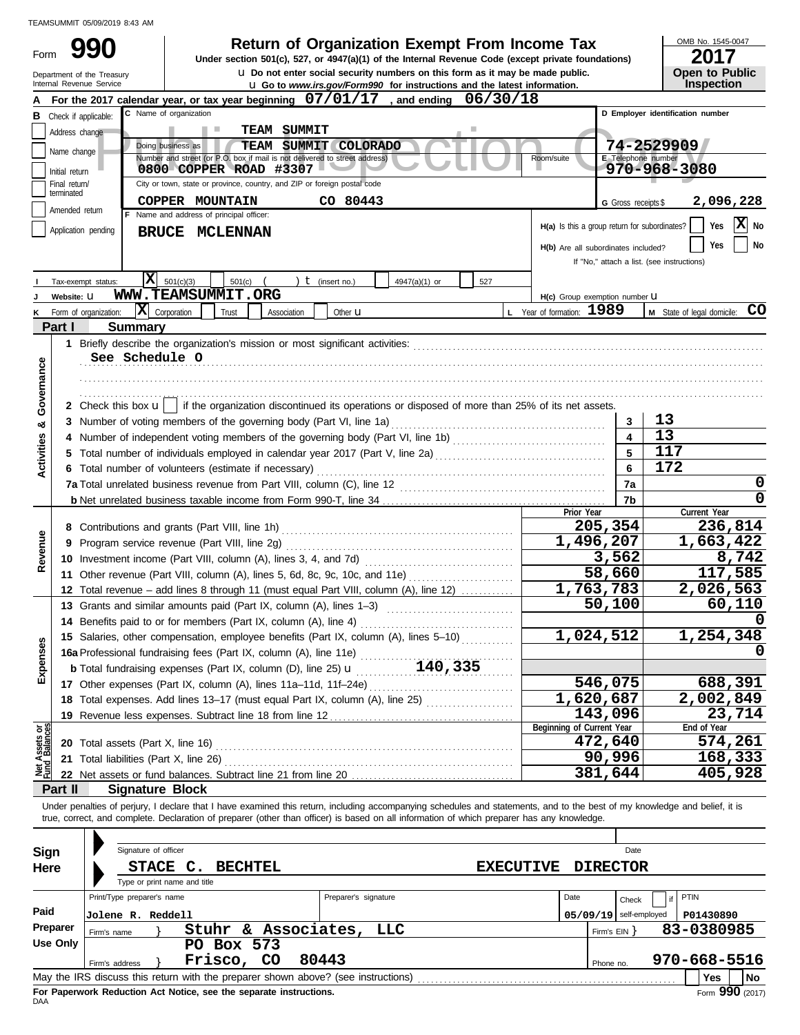|                         | TEAMSUMMIT 05/09/2019 8:43 AM                        |                            |                                                                                                                                                                                                                                                                                                                          |                                                                                                                                                            |               |                  |                                               |                         |                                            |
|-------------------------|------------------------------------------------------|----------------------------|--------------------------------------------------------------------------------------------------------------------------------------------------------------------------------------------------------------------------------------------------------------------------------------------------------------------------|------------------------------------------------------------------------------------------------------------------------------------------------------------|---------------|------------------|-----------------------------------------------|-------------------------|--------------------------------------------|
| Form                    |                                                      |                            |                                                                                                                                                                                                                                                                                                                          | <b>Return of Organization Exempt From Income Tax</b><br>Under section 501(c), 527, or 4947(a)(1) of the Internal Revenue Code (except private foundations) |               |                  |                                               |                         | OMB No. 1545-0047<br>2017                  |
|                         | Department of the Treasury                           |                            |                                                                                                                                                                                                                                                                                                                          | <b>u</b> Do not enter social security numbers on this form as it may be made public.                                                                       |               |                  |                                               |                         | Open to Public                             |
|                         | Internal Revenue Service                             |                            |                                                                                                                                                                                                                                                                                                                          | <b>u</b> Go to www.irs.gov/Form990 for instructions and the latest information.                                                                            |               |                  |                                               |                         | Inspection                                 |
|                         |                                                      |                            | For the 2017 calendar year, or tax year beginning $07/01/17$ , and ending<br>C Name of organization                                                                                                                                                                                                                      |                                                                                                                                                            |               | 06/30/18         |                                               |                         | D Employer identification number           |
|                         | <b>B</b> Check if applicable:<br>Address change      |                            |                                                                                                                                                                                                                                                                                                                          | <b>TEAM SUMMIT</b>                                                                                                                                         |               |                  |                                               |                         |                                            |
|                         |                                                      |                            | Doing business as                                                                                                                                                                                                                                                                                                        | TEAM SUMMIT COLORADO                                                                                                                                       |               |                  |                                               |                         | 74-2529909                                 |
|                         | Name change                                          |                            | Number and street (or P.O. box if mail is not delivered to street address)                                                                                                                                                                                                                                               |                                                                                                                                                            |               |                  | Room/suite                                    |                         | E Telephone number                         |
|                         | Initial return<br>Final return/                      |                            | 0800 COPPER ROAD #3307<br>City or town, state or province, country, and ZIP or foreign postal code                                                                                                                                                                                                                       |                                                                                                                                                            |               |                  |                                               |                         | 970-968-3080                               |
|                         | terminated                                           |                            | COPPER MOUNTAIN                                                                                                                                                                                                                                                                                                          | CO 80443                                                                                                                                                   |               |                  |                                               | G Gross receipts \$     | 2,096,228                                  |
|                         | Amended return                                       |                            | F Name and address of principal officer:                                                                                                                                                                                                                                                                                 |                                                                                                                                                            |               |                  |                                               |                         |                                            |
|                         | Application pending                                  |                            | <b>BRUCE MCLENNAN</b>                                                                                                                                                                                                                                                                                                    |                                                                                                                                                            |               |                  | H(a) Is this a group return for subordinates? |                         | x <br>Yes<br>No                            |
|                         |                                                      |                            |                                                                                                                                                                                                                                                                                                                          |                                                                                                                                                            |               |                  | H(b) Are all subordinates included?           |                         | No<br>Yes                                  |
|                         |                                                      |                            |                                                                                                                                                                                                                                                                                                                          |                                                                                                                                                            |               |                  |                                               |                         | If "No," attach a list. (see instructions) |
|                         | Tax-exempt status:                                   | X                          | 501(c)(3)<br>501(c)                                                                                                                                                                                                                                                                                                      | $t$ (insert no.)                                                                                                                                           | 4947(a)(1) or | 527              |                                               |                         |                                            |
|                         | Website: U                                           |                            | <b>WWW.TEAMSUMMIT.ORG</b>                                                                                                                                                                                                                                                                                                |                                                                                                                                                            |               |                  | H(c) Group exemption number U                 |                         |                                            |
| Κ                       | Form of organization:                                | $ \mathbf{X} $ Corporation | Trust                                                                                                                                                                                                                                                                                                                    | Association<br>Other <b>u</b>                                                                                                                              |               |                  | L Year of formation: 1989                     |                         | M State of legal domicile: CO              |
|                         | Part I                                               | <b>Summary</b>             |                                                                                                                                                                                                                                                                                                                          |                                                                                                                                                            |               |                  |                                               |                         |                                            |
|                         |                                                      | See Schedule O             |                                                                                                                                                                                                                                                                                                                          |                                                                                                                                                            |               |                  |                                               |                         |                                            |
| Governance              |                                                      |                            |                                                                                                                                                                                                                                                                                                                          |                                                                                                                                                            |               |                  |                                               |                         |                                            |
|                         |                                                      |                            |                                                                                                                                                                                                                                                                                                                          |                                                                                                                                                            |               |                  |                                               |                         |                                            |
|                         |                                                      |                            | 2 Check this box $\mathbf{u}$   if the organization discontinued its operations or disposed of more than 25% of its net assets.                                                                                                                                                                                          |                                                                                                                                                            |               |                  |                                               |                         |                                            |
| œ                       |                                                      |                            | 3 Number of voting members of the governing body (Part VI, line 1a)                                                                                                                                                                                                                                                      |                                                                                                                                                            |               |                  |                                               | 3                       | 13                                         |
|                         |                                                      |                            |                                                                                                                                                                                                                                                                                                                          |                                                                                                                                                            |               |                  |                                               | $\overline{\mathbf{4}}$ | 13                                         |
| Activities              |                                                      |                            |                                                                                                                                                                                                                                                                                                                          | $\overline{5}$                                                                                                                                             | 117           |                  |                                               |                         |                                            |
|                         | 6 Total number of volunteers (estimate if necessary) |                            |                                                                                                                                                                                                                                                                                                                          | 6                                                                                                                                                          | 172           |                  |                                               |                         |                                            |
|                         |                                                      |                            |                                                                                                                                                                                                                                                                                                                          |                                                                                                                                                            |               |                  |                                               |                         | 0                                          |
|                         |                                                      |                            |                                                                                                                                                                                                                                                                                                                          |                                                                                                                                                            |               |                  |                                               | 7b                      | 0                                          |
|                         |                                                      |                            | 8 Contributions and grants (Part VIII, line 1h)                                                                                                                                                                                                                                                                          |                                                                                                                                                            |               |                  | Prior Year<br>205,354                         |                         | Current Year<br>236,814                    |
|                         |                                                      |                            | 9 Program service revenue (Part VIII, line 2g)                                                                                                                                                                                                                                                                           |                                                                                                                                                            |               |                  | 1,496,207                                     |                         | 1,663,422                                  |
| Revenue                 |                                                      |                            | 10 Investment income (Part VIII, column (A), lines 3, 4, and 7d)                                                                                                                                                                                                                                                         |                                                                                                                                                            |               |                  |                                               | 3,562                   | 8,742                                      |
|                         |                                                      |                            | 11 Other revenue (Part VIII, column (A), lines 5, 6d, 8c, 9c, 10c, and 11e)                                                                                                                                                                                                                                              |                                                                                                                                                            |               |                  |                                               | 58,660                  | 117,585                                    |
|                         |                                                      |                            | 12 Total revenue - add lines 8 through 11 (must equal Part VIII, column (A), line 12)                                                                                                                                                                                                                                    |                                                                                                                                                            |               |                  | $\overline{1,763,783}$                        |                         | 2,026,563                                  |
|                         |                                                      |                            | 13 Grants and similar amounts paid (Part IX, column (A), lines 1-3)                                                                                                                                                                                                                                                      |                                                                                                                                                            |               |                  |                                               | 50,100                  | 60,110                                     |
|                         |                                                      |                            | 14 Benefits paid to or for members (Part IX, column (A), line 4)                                                                                                                                                                                                                                                         |                                                                                                                                                            |               |                  |                                               |                         |                                            |
|                         |                                                      |                            | 15 Salaries, other compensation, employee benefits (Part IX, column (A), lines 5-10)                                                                                                                                                                                                                                     |                                                                                                                                                            |               |                  | 1,024,512                                     |                         | 1,254,348                                  |
| Expenses                |                                                      |                            |                                                                                                                                                                                                                                                                                                                          |                                                                                                                                                            |               |                  |                                               |                         |                                            |
|                         |                                                      |                            |                                                                                                                                                                                                                                                                                                                          |                                                                                                                                                            |               |                  |                                               |                         |                                            |
|                         |                                                      |                            | 17 Other expenses (Part IX, column (A), lines 11a-11d, 11f-24e)                                                                                                                                                                                                                                                          |                                                                                                                                                            |               |                  | 546,075<br>1,620,687                          |                         | 688,391<br>2,002,849                       |
|                         |                                                      |                            | 18 Total expenses. Add lines 13-17 (must equal Part IX, column (A), line 25)<br>19 Revenue less expenses. Subtract line 18 from line 12                                                                                                                                                                                  |                                                                                                                                                            |               |                  | 143,096                                       |                         | 23,714                                     |
|                         |                                                      |                            |                                                                                                                                                                                                                                                                                                                          |                                                                                                                                                            | .             |                  | Beginning of Current Year                     |                         | End of Year                                |
| Assets or<br>d Balances |                                                      |                            |                                                                                                                                                                                                                                                                                                                          |                                                                                                                                                            |               |                  | 472,640                                       |                         | 574,261                                    |
|                         |                                                      |                            |                                                                                                                                                                                                                                                                                                                          |                                                                                                                                                            |               |                  |                                               | 90,996                  | 168,333                                    |
| 写                       |                                                      |                            |                                                                                                                                                                                                                                                                                                                          |                                                                                                                                                            |               |                  | 381,644                                       |                         | 405,928                                    |
|                         | Part II                                              | <b>Signature Block</b>     |                                                                                                                                                                                                                                                                                                                          |                                                                                                                                                            |               |                  |                                               |                         |                                            |
|                         |                                                      |                            | Under penalties of perjury, I declare that I have examined this return, including accompanying schedules and statements, and to the best of my knowledge and belief, it is<br>true, correct, and complete. Declaration of preparer (other than officer) is based on all information of which preparer has any knowledge. |                                                                                                                                                            |               |                  |                                               |                         |                                            |
|                         |                                                      |                            |                                                                                                                                                                                                                                                                                                                          |                                                                                                                                                            |               |                  |                                               |                         |                                            |
| Sign                    |                                                      | Signature of officer       |                                                                                                                                                                                                                                                                                                                          |                                                                                                                                                            |               |                  |                                               | Date                    |                                            |
| Here                    |                                                      |                            | STACE C. BECHTEL                                                                                                                                                                                                                                                                                                         |                                                                                                                                                            |               | <b>EXECUTIVE</b> | <b>DIRECTOR</b>                               |                         |                                            |
|                         |                                                      |                            | Type or print name and title                                                                                                                                                                                                                                                                                             |                                                                                                                                                            |               |                  |                                               |                         |                                            |
|                         |                                                      | Print/Type preparer's name |                                                                                                                                                                                                                                                                                                                          | Preparer's signature                                                                                                                                       |               |                  | Date                                          | Check                   | PTIN<br>if                                 |
| Paid                    |                                                      | Jolene R. Reddell          |                                                                                                                                                                                                                                                                                                                          |                                                                                                                                                            |               |                  | $05/09/19$ self-employed                      |                         | P01430890                                  |
| Preparer                | Firm's name                                          |                            | Stuhr & Associates,                                                                                                                                                                                                                                                                                                      |                                                                                                                                                            | LLC           |                  |                                               | Firm's $EIN$ }          | 83-0380985                                 |
|                         | <b>Use Only</b>                                      |                            | PO Box 573                                                                                                                                                                                                                                                                                                               |                                                                                                                                                            |               |                  |                                               |                         |                                            |
|                         | Firm's address                                       |                            | Frisco,<br>CO                                                                                                                                                                                                                                                                                                            | 80443                                                                                                                                                      |               |                  | Phone no.                                     |                         | 970-668-5516                               |
|                         |                                                      |                            | May the IRS discuss this return with the preparer shown above? (see instructions)                                                                                                                                                                                                                                        |                                                                                                                                                            |               |                  |                                               |                         | Yes<br>No                                  |

| Sign     | Signature of officer                                                              |                         |                                     |      | Date                     |                 |  |
|----------|-----------------------------------------------------------------------------------|-------------------------|-------------------------------------|------|--------------------------|-----------------|--|
| Here     | <b>STACE</b><br><b>BECHTEL</b><br>C.<br>Type or print name and title              |                         | <b>DIRECTOR</b><br><b>EXECUTIVE</b> |      |                          |                 |  |
|          | Print/Type preparer's name                                                        | Preparer's signature    |                                     | Date | Check                    | PTIN            |  |
| Paid     | <b>Jolene R. Reddell</b>                                                          |                         |                                     |      | $05/09/19$ self-employed | P01430890       |  |
| Preparer | Firm's name                                                                       | Stuhr & Associates, LLC |                                     |      | Firm's $EIN$             | 83-0380985      |  |
| Use Only | PO Box 573                                                                        |                         |                                     |      |                          |                 |  |
|          | Frisco, CO<br>Firm's address                                                      | 80443                   |                                     |      | Phone no.                | 970-668-5516    |  |
|          | May the IRS discuss this return with the preparer shown above? (see instructions) |                         |                                     |      |                          | No<br>Yes       |  |
| DAA      | For Paperwork Reduction Act Notice, see the separate instructions.                |                         |                                     |      |                          | Form 990 (2017) |  |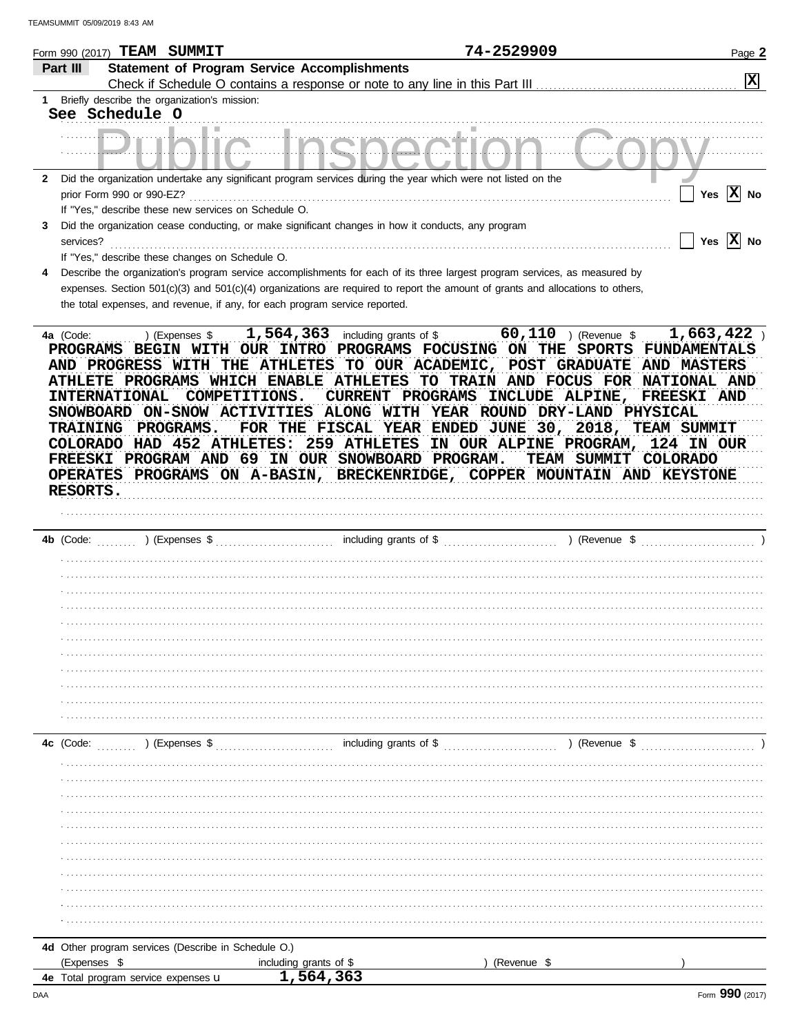|              | Form 990 (2017) TEAM SUMMIT                                                                                                                                                                                                                                                                                                                                                                                                                                                                                      |                                                                          | 74-2529909                                                                                                           | Page 2                              |
|--------------|------------------------------------------------------------------------------------------------------------------------------------------------------------------------------------------------------------------------------------------------------------------------------------------------------------------------------------------------------------------------------------------------------------------------------------------------------------------------------------------------------------------|--------------------------------------------------------------------------|----------------------------------------------------------------------------------------------------------------------|-------------------------------------|
| Part III     |                                                                                                                                                                                                                                                                                                                                                                                                                                                                                                                  | <b>Statement of Program Service Accomplishments</b>                      |                                                                                                                      |                                     |
|              |                                                                                                                                                                                                                                                                                                                                                                                                                                                                                                                  |                                                                          |                                                                                                                      | $ \mathbf{x} $                      |
|              | Briefly describe the organization's mission:                                                                                                                                                                                                                                                                                                                                                                                                                                                                     |                                                                          |                                                                                                                      |                                     |
|              | See Schedule O                                                                                                                                                                                                                                                                                                                                                                                                                                                                                                   |                                                                          |                                                                                                                      |                                     |
|              |                                                                                                                                                                                                                                                                                                                                                                                                                                                                                                                  |                                                                          |                                                                                                                      |                                     |
| $\mathbf{2}$ | Did the organization undertake any significant program services during the year which were not listed on the                                                                                                                                                                                                                                                                                                                                                                                                     |                                                                          |                                                                                                                      |                                     |
|              | prior Form 990 or 990-EZ?                                                                                                                                                                                                                                                                                                                                                                                                                                                                                        |                                                                          |                                                                                                                      | Yes $\overline{X}$ No               |
|              | If "Yes," describe these new services on Schedule O.                                                                                                                                                                                                                                                                                                                                                                                                                                                             |                                                                          |                                                                                                                      |                                     |
| 3            | Did the organization cease conducting, or make significant changes in how it conducts, any program<br>services?                                                                                                                                                                                                                                                                                                                                                                                                  |                                                                          |                                                                                                                      | Yes $ \mathbf{X} $ No               |
|              | If "Yes," describe these changes on Schedule O.                                                                                                                                                                                                                                                                                                                                                                                                                                                                  |                                                                          |                                                                                                                      |                                     |
|              | Describe the organization's program service accomplishments for each of its three largest program services, as measured by                                                                                                                                                                                                                                                                                                                                                                                       |                                                                          |                                                                                                                      |                                     |
|              | expenses. Section 501(c)(3) and 501(c)(4) organizations are required to report the amount of grants and allocations to others,                                                                                                                                                                                                                                                                                                                                                                                   |                                                                          |                                                                                                                      |                                     |
|              | the total expenses, and revenue, if any, for each program service reported.                                                                                                                                                                                                                                                                                                                                                                                                                                      |                                                                          |                                                                                                                      |                                     |
|              | PROGRAMS BEGIN WITH OUR INTRO PROGRAMS FOCUSING ON THE SPORTS FUNDAMENTALS<br>AND PROGRESS WITH THE ATHLETES TO OUR ACADEMIC, POST GRADUATE<br>ATHLETE PROGRAMS WHICH ENABLE ATHLETES<br><b>INTERNATIONAL</b><br>COMPETITIONS.<br>SNOWBOARD ON-SNOW ACTIVITIES ALONG WITH YEAR ROUND DRY-LAND PHYSICAL<br>PROGRAMS.<br><b>TRAINING</b><br>COLORADO HAD 452 ATHLETES:<br>FREESKI PROGRAM AND 69 IN OUR SNOWBOARD PROGRAM.<br>OPERATES PROGRAMS ON A-BASIN, BRECKENRIDGE, COPPER MOUNTAIN AND KEYSTONE<br>RESORTS. | CURRENT PROGRAMS<br>FOR THE FISCAL YEAR ENDED JUNE 30, 2018, TEAM SUMMIT | TO TRAIN AND FOCUS FOR NATIONAL AND<br>INCLUDE ALPINE, FREESKI AND<br>259 ATHLETES IN OUR ALPINE PROGRAM, 124 IN OUR | AND MASTERS<br>TEAM SUMMIT COLORADO |
|              | 4b (Code:<br>) (Expenses \$                                                                                                                                                                                                                                                                                                                                                                                                                                                                                      |                                                                          |                                                                                                                      |                                     |
|              |                                                                                                                                                                                                                                                                                                                                                                                                                                                                                                                  |                                                                          |                                                                                                                      |                                     |
|              |                                                                                                                                                                                                                                                                                                                                                                                                                                                                                                                  |                                                                          |                                                                                                                      |                                     |
|              |                                                                                                                                                                                                                                                                                                                                                                                                                                                                                                                  |                                                                          |                                                                                                                      |                                     |
|              |                                                                                                                                                                                                                                                                                                                                                                                                                                                                                                                  |                                                                          |                                                                                                                      |                                     |
|              |                                                                                                                                                                                                                                                                                                                                                                                                                                                                                                                  |                                                                          |                                                                                                                      |                                     |
|              |                                                                                                                                                                                                                                                                                                                                                                                                                                                                                                                  |                                                                          |                                                                                                                      |                                     |
|              |                                                                                                                                                                                                                                                                                                                                                                                                                                                                                                                  |                                                                          |                                                                                                                      |                                     |
|              |                                                                                                                                                                                                                                                                                                                                                                                                                                                                                                                  |                                                                          |                                                                                                                      |                                     |
|              |                                                                                                                                                                                                                                                                                                                                                                                                                                                                                                                  |                                                                          |                                                                                                                      |                                     |
|              |                                                                                                                                                                                                                                                                                                                                                                                                                                                                                                                  |                                                                          |                                                                                                                      |                                     |
|              | 4c (Code:                                                                                                                                                                                                                                                                                                                                                                                                                                                                                                        |                                                                          |                                                                                                                      |                                     |
|              |                                                                                                                                                                                                                                                                                                                                                                                                                                                                                                                  |                                                                          |                                                                                                                      |                                     |
|              |                                                                                                                                                                                                                                                                                                                                                                                                                                                                                                                  |                                                                          |                                                                                                                      |                                     |
|              |                                                                                                                                                                                                                                                                                                                                                                                                                                                                                                                  |                                                                          |                                                                                                                      |                                     |
|              |                                                                                                                                                                                                                                                                                                                                                                                                                                                                                                                  |                                                                          |                                                                                                                      |                                     |
|              |                                                                                                                                                                                                                                                                                                                                                                                                                                                                                                                  |                                                                          |                                                                                                                      |                                     |
|              |                                                                                                                                                                                                                                                                                                                                                                                                                                                                                                                  |                                                                          |                                                                                                                      |                                     |
|              |                                                                                                                                                                                                                                                                                                                                                                                                                                                                                                                  |                                                                          |                                                                                                                      |                                     |
|              |                                                                                                                                                                                                                                                                                                                                                                                                                                                                                                                  |                                                                          |                                                                                                                      |                                     |
|              |                                                                                                                                                                                                                                                                                                                                                                                                                                                                                                                  |                                                                          |                                                                                                                      |                                     |
|              |                                                                                                                                                                                                                                                                                                                                                                                                                                                                                                                  |                                                                          |                                                                                                                      |                                     |
|              |                                                                                                                                                                                                                                                                                                                                                                                                                                                                                                                  |                                                                          |                                                                                                                      |                                     |
|              | 4d Other program services (Describe in Schedule O.)                                                                                                                                                                                                                                                                                                                                                                                                                                                              |                                                                          |                                                                                                                      |                                     |
|              | (Expenses \$                                                                                                                                                                                                                                                                                                                                                                                                                                                                                                     | including grants of \$                                                   | (Revenue \$                                                                                                          |                                     |
|              | 4e Total program service expenses u                                                                                                                                                                                                                                                                                                                                                                                                                                                                              | 1,564,363                                                                |                                                                                                                      |                                     |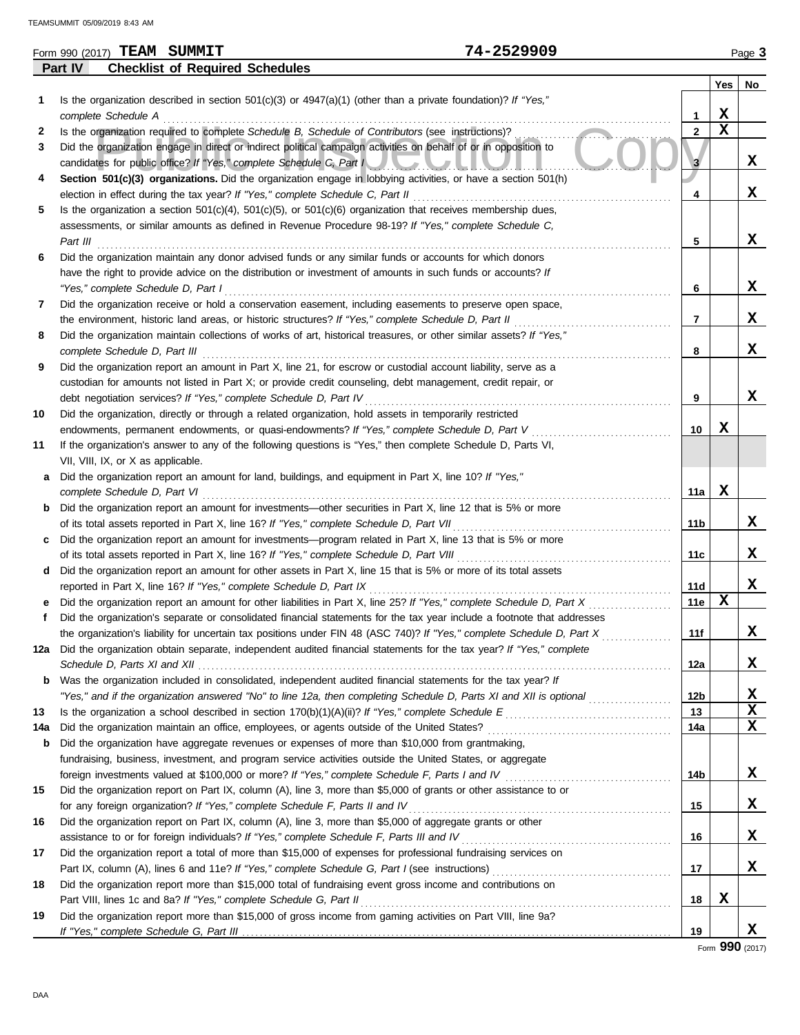|     | 74-2529909<br>Form 990 (2017) TEAM SUMMIT                                                                               |                |             | Page 3      |
|-----|-------------------------------------------------------------------------------------------------------------------------|----------------|-------------|-------------|
|     | <b>Checklist of Required Schedules</b><br>Part IV                                                                       |                |             |             |
|     |                                                                                                                         |                | Yes         | No          |
| 1   | Is the organization described in section 501(c)(3) or $4947(a)(1)$ (other than a private foundation)? If "Yes,"         |                |             |             |
|     | complete Schedule A                                                                                                     | 1              | $\mathbf x$ |             |
| 2   | Is the organization required to complete Schedule B, Schedule of Contributors (see instructions)?                       | $\overline{2}$ | $\mathbf x$ |             |
| 3   | Did the organization engage in direct or indirect political campaign activities on behalf of or in opposition to        |                |             |             |
|     | candidates for public office? If "Yes," complete Schedule C, Part I                                                     | $\mathbf{3}$   |             | X           |
| 4   | Section 501(c)(3) organizations. Did the organization engage in lobbying activities, or have a section 501(h)           |                |             |             |
|     | election in effect during the tax year? If "Yes," complete Schedule C, Part II                                          | 4              |             | x           |
| 5   | Is the organization a section $501(c)(4)$ , $501(c)(5)$ , or $501(c)(6)$ organization that receives membership dues,    |                |             |             |
|     | assessments, or similar amounts as defined in Revenue Procedure 98-19? If "Yes," complete Schedule C,                   |                |             |             |
|     | Part III                                                                                                                | 5              |             | x           |
| 6   | Did the organization maintain any donor advised funds or any similar funds or accounts for which donors                 |                |             |             |
|     | have the right to provide advice on the distribution or investment of amounts in such funds or accounts? If             |                |             |             |
|     | "Yes," complete Schedule D, Part I                                                                                      | 6              |             | x           |
| 7   | Did the organization receive or hold a conservation easement, including easements to preserve open space,               |                |             |             |
|     | the environment, historic land areas, or historic structures? If "Yes," complete Schedule D, Part II                    | 7              |             | x           |
| 8   | Did the organization maintain collections of works of art, historical treasures, or other similar assets? If "Yes,"     |                |             |             |
|     | complete Schedule D, Part III                                                                                           | 8              |             | x           |
| 9   | Did the organization report an amount in Part X, line 21, for escrow or custodial account liability, serve as a         |                |             |             |
|     | custodian for amounts not listed in Part X; or provide credit counseling, debt management, credit repair, or            |                |             |             |
|     | debt negotiation services? If "Yes," complete Schedule D, Part IV                                                       | 9              |             | X           |
| 10  | Did the organization, directly or through a related organization, hold assets in temporarily restricted                 |                |             |             |
|     | endowments, permanent endowments, or quasi-endowments? If "Yes," complete Schedule D, Part V                            | 10             | X           |             |
| 11  | If the organization's answer to any of the following questions is "Yes," then complete Schedule D, Parts VI,            |                |             |             |
|     | VII, VIII, IX, or X as applicable.                                                                                      |                |             |             |
| a   | Did the organization report an amount for land, buildings, and equipment in Part X, line 10? If "Yes,"                  |                |             |             |
|     | complete Schedule D, Part VI                                                                                            | 11a            | $\mathbf x$ |             |
| b   | Did the organization report an amount for investments—other securities in Part X, line 12 that is 5% or more            |                |             |             |
|     | of its total assets reported in Part X, line 16? If "Yes," complete Schedule D, Part VII                                | 11b            |             | x           |
| c.  | Did the organization report an amount for investments—program related in Part X, line 13 that is 5% or more             |                |             |             |
|     | of its total assets reported in Part X, line 16? If "Yes," complete Schedule D, Part VIII                               | 11c            |             | x           |
| d   | Did the organization report an amount for other assets in Part X, line 15 that is 5% or more of its total assets        |                |             |             |
|     | reported in Part X, line 16? If "Yes," complete Schedule D, Part IX                                                     | 11d            |             | X           |
| е   | Did the organization report an amount for other liabilities in Part X, line 25? If "Yes," complete Schedule D, Part X   | 11e            | $\mathbf x$ |             |
|     | Did the organization's separate or consolidated financial statements for the tax year include a footnote that addresses |                |             |             |
|     | the organization's liability for uncertain tax positions under FIN 48 (ASC 740)? If "Yes," complete Schedule D, Part X  | 11f            |             | Δ.          |
| 12a | Did the organization obtain separate, independent audited financial statements for the tax year? If "Yes," complete     |                |             |             |
|     |                                                                                                                         | 12a            |             | X           |
| b   | Was the organization included in consolidated, independent audited financial statements for the tax year? If            |                |             |             |
|     | "Yes," and if the organization answered "No" to line 12a, then completing Schedule D, Parts XI and XII is optional      | 12b            |             | X           |
| 13  |                                                                                                                         | 13             |             | X           |
| 14a | Did the organization maintain an office, employees, or agents outside of the United States?                             | 14a            |             | $\mathbf x$ |
| b   | Did the organization have aggregate revenues or expenses of more than \$10,000 from grantmaking,                        |                |             |             |
|     | fundraising, business, investment, and program service activities outside the United States, or aggregate               |                |             |             |
|     |                                                                                                                         | 14b            |             | х           |
| 15  | Did the organization report on Part IX, column (A), line 3, more than \$5,000 of grants or other assistance to or       |                |             |             |
|     | for any foreign organization? If "Yes," complete Schedule F, Parts II and IV                                            | 15             |             | X           |
| 16  | Did the organization report on Part IX, column (A), line 3, more than \$5,000 of aggregate grants or other              |                |             |             |
|     | assistance to or for foreign individuals? If "Yes," complete Schedule F, Parts III and IV                               | 16             |             | х           |
| 17  | Did the organization report a total of more than \$15,000 of expenses for professional fundraising services on          |                |             |             |
|     |                                                                                                                         | 17             |             | X           |
| 18  | Did the organization report more than \$15,000 total of fundraising event gross income and contributions on             |                |             |             |
|     | Part VIII, lines 1c and 8a? If "Yes," complete Schedule G, Part II                                                      | 18             | X           |             |
| 19  | Did the organization report more than \$15,000 of gross income from gaming activities on Part VIII, line 9a?            |                |             |             |
|     |                                                                                                                         | 19             |             | x           |
|     |                                                                                                                         |                |             |             |

Form **990** (2017)

| TEAMSUMMIT 05/09/2019 8:43 AM |
|-------------------------------|
|-------------------------------|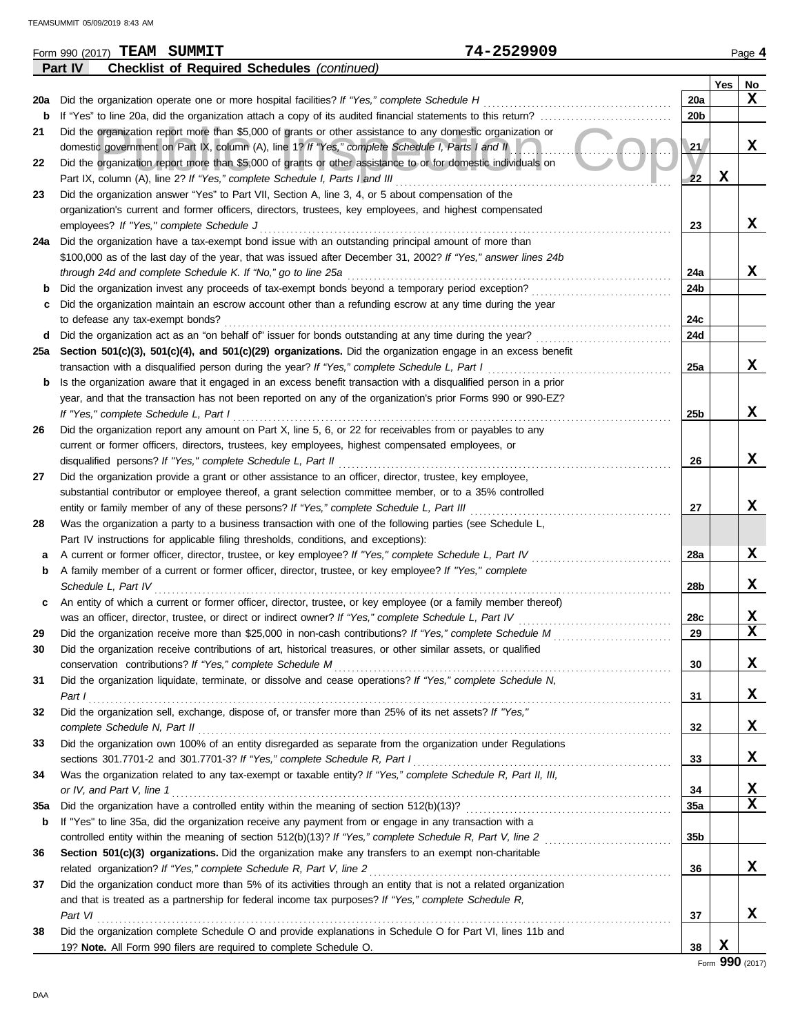| <b>Checklist of Required Schedules (continued)</b><br>Part IV<br>Yes<br>No<br>$\mathbf x$<br>20a<br>Did the organization operate one or more hospital facilities? If "Yes," complete Schedule H<br>20a<br>If "Yes" to line 20a, did the organization attach a copy of its audited financial statements to this return?<br>20 <sub>b</sub><br>b<br>Did the organization report more than \$5,000 of grants or other assistance to any domestic organization or<br>21<br>X<br>domestic government on Part IX, column (A), line 1? If "Yes," complete Schedule I, Parts I and II<br>21<br>Did the organization report more than \$5,000 of grants or other assistance to or for domestic individuals on<br>22<br>X<br>Part IX, column (A), line 2? If "Yes," complete Schedule I, Parts I and III<br>22<br>Did the organization answer "Yes" to Part VII, Section A, line 3, 4, or 5 about compensation of the<br>23<br>organization's current and former officers, directors, trustees, key employees, and highest compensated<br>X<br>employees? If "Yes," complete Schedule J<br>23<br>24a Did the organization have a tax-exempt bond issue with an outstanding principal amount of more than<br>\$100,000 as of the last day of the year, that was issued after December 31, 2002? If "Yes," answer lines 24b<br>x<br>through 24d and complete Schedule K. If "No," go to line 25a<br>24a<br>Did the organization invest any proceeds of tax-exempt bonds beyond a temporary period exception?<br>24b<br>b<br>Did the organization maintain an escrow account other than a refunding escrow at any time during the year<br>с<br>24c<br>to defease any tax-exempt bonds?<br>Did the organization act as an "on behalf of" issuer for bonds outstanding at any time during the year?<br>24d<br>d<br>Section 501(c)(3), 501(c)(4), and 501(c)(29) organizations. Did the organization engage in an excess benefit<br>25a<br>X<br>transaction with a disqualified person during the year? If "Yes," complete Schedule L, Part I<br>25a<br>Is the organization aware that it engaged in an excess benefit transaction with a disqualified person in a prior<br>b<br>year, and that the transaction has not been reported on any of the organization's prior Forms 990 or 990-EZ?<br>X<br>If "Yes," complete Schedule L, Part I<br>25b<br>Did the organization report any amount on Part X, line 5, 6, or 22 for receivables from or payables to any<br>26<br>current or former officers, directors, trustees, key employees, highest compensated employees, or<br>X<br>disqualified persons? If "Yes," complete Schedule L, Part II<br>26<br>Did the organization provide a grant or other assistance to an officer, director, trustee, key employee,<br>27<br>substantial contributor or employee thereof, a grant selection committee member, or to a 35% controlled<br>X<br>entity or family member of any of these persons? If "Yes," complete Schedule L, Part III<br>27<br>Was the organization a party to a business transaction with one of the following parties (see Schedule L,<br>28<br>Part IV instructions for applicable filing thresholds, conditions, and exceptions):<br>X<br>A current or former officer, director, trustee, or key employee? If "Yes," complete Schedule L, Part IV<br>28a<br>а<br>A family member of a current or former officer, director, trustee, or key employee? If "Yes," complete<br>b<br>X<br>Schedule L, Part IV<br>28 <sub>b</sub><br>An entity of which a current or former officer, director, trustee, or key employee (or a family member thereof)<br>c<br>X<br>was an officer, director, trustee, or direct or indirect owner? If "Yes," complete Schedule L, Part IV<br>28c<br>$\overline{\mathbf{x}}$<br>29<br>Did the organization receive more than \$25,000 in non-cash contributions? If "Yes," complete Schedule M<br>29<br><u> 1986 - Johann Stoff, martin f</u><br>Did the organization receive contributions of art, historical treasures, or other similar assets, or qualified<br>30<br>X<br>conservation contributions? If "Yes," complete Schedule M<br>30<br>Did the organization liquidate, terminate, or dissolve and cease operations? If "Yes," complete Schedule N,<br>31<br>x<br>Part I<br>31<br>Did the organization sell, exchange, dispose of, or transfer more than 25% of its net assets? If "Yes,"<br>32<br>X<br>32<br>complete Schedule N, Part II<br>Did the organization own 100% of an entity disregarded as separate from the organization under Regulations<br>33<br>x<br>sections 301.7701-2 and 301.7701-3? If "Yes," complete Schedule R, Part I<br>33<br>Was the organization related to any tax-exempt or taxable entity? If "Yes," complete Schedule R, Part II, III,<br>34<br>X<br>or IV, and Part V, line 1<br>34<br>$\mathbf x$<br>Did the organization have a controlled entity within the meaning of section 512(b)(13)?<br><b>35a</b><br>35a<br>If "Yes" to line 35a, did the organization receive any payment from or engage in any transaction with a<br>b<br>controlled entity within the meaning of section 512(b)(13)? If "Yes," complete Schedule R, Part V, line 2<br>35b<br>Section 501(c)(3) organizations. Did the organization make any transfers to an exempt non-charitable<br>36<br>X<br>related organization? If "Yes," complete Schedule R, Part V, line 2<br>36<br>Did the organization conduct more than 5% of its activities through an entity that is not a related organization<br>37<br>and that is treated as a partnership for federal income tax purposes? If "Yes," complete Schedule R,<br>x<br>Part VI<br>37<br>Did the organization complete Schedule O and provide explanations in Schedule O for Part VI, lines 11b and<br>38<br>X<br>19? Note. All Form 990 filers are required to complete Schedule O.<br>38 | 74-2529909<br>Form 990 (2017) TEAM SUMMIT |  | Page 4 |
|--------------------------------------------------------------------------------------------------------------------------------------------------------------------------------------------------------------------------------------------------------------------------------------------------------------------------------------------------------------------------------------------------------------------------------------------------------------------------------------------------------------------------------------------------------------------------------------------------------------------------------------------------------------------------------------------------------------------------------------------------------------------------------------------------------------------------------------------------------------------------------------------------------------------------------------------------------------------------------------------------------------------------------------------------------------------------------------------------------------------------------------------------------------------------------------------------------------------------------------------------------------------------------------------------------------------------------------------------------------------------------------------------------------------------------------------------------------------------------------------------------------------------------------------------------------------------------------------------------------------------------------------------------------------------------------------------------------------------------------------------------------------------------------------------------------------------------------------------------------------------------------------------------------------------------------------------------------------------------------------------------------------------------------------------------------------------------------------------------------------------------------------------------------------------------------------------------------------------------------------------------------------------------------------------------------------------------------------------------------------------------------------------------------------------------------------------------------------------------------------------------------------------------------------------------------------------------------------------------------------------------------------------------------------------------------------------------------------------------------------------------------------------------------------------------------------------------------------------------------------------------------------------------------------------------------------------------------------------------------------------------------------------------------------------------------------------------------------------------------------------------------------------------------------------------------------------------------------------------------------------------------------------------------------------------------------------------------------------------------------------------------------------------------------------------------------------------------------------------------------------------------------------------------------------------------------------------------------------------------------------------------------------------------------------------------------------------------------------------------------------------------------------------------------------------------------------------------------------------------------------------------------------------------------------------------------------------------------------------------------------------------------------------------------------------------------------------------------------------------------------------------------------------------------------------------------------------------------------------------------------------------------------------------------------------------------------------------------------------------------------------------------------------------------------------------------------------------------------------------------------------------------------------------------------------------------------------------------------------------------------------------------------------------------------------------------------------------------------------------------------------------------------------------------------------------------------------------------------------------------------------------------------------------------------------------------------------------------------------------------------------------------------------------------------------------------------------------------------------------------------------------------------------------------------------------------------------------------------------------------------------------------------------------------------------------------------------------------------------------------------------------------------------------------------------------------------------------------------------------------------------------------------------------------------------------------------------------------------------------------------------------------------------------------------------------------------------------------------------------------------------------------------------------------------------------------------------------------|-------------------------------------------|--|--------|
|                                                                                                                                                                                                                                                                                                                                                                                                                                                                                                                                                                                                                                                                                                                                                                                                                                                                                                                                                                                                                                                                                                                                                                                                                                                                                                                                                                                                                                                                                                                                                                                                                                                                                                                                                                                                                                                                                                                                                                                                                                                                                                                                                                                                                                                                                                                                                                                                                                                                                                                                                                                                                                                                                                                                                                                                                                                                                                                                                                                                                                                                                                                                                                                                                                                                                                                                                                                                                                                                                                                                                                                                                                                                                                                                                                                                                                                                                                                                                                                                                                                                                                                                                                                                                                                                                                                                                                                                                                                                                                                                                                                                                                                                                                                                                                                                                                                                                                                                                                                                                                                                                                                                                                                                                                                                                                                                                                                                                                                                                                                                                                                                                                                                                                                                                                                                                                            |                                           |  |        |
|                                                                                                                                                                                                                                                                                                                                                                                                                                                                                                                                                                                                                                                                                                                                                                                                                                                                                                                                                                                                                                                                                                                                                                                                                                                                                                                                                                                                                                                                                                                                                                                                                                                                                                                                                                                                                                                                                                                                                                                                                                                                                                                                                                                                                                                                                                                                                                                                                                                                                                                                                                                                                                                                                                                                                                                                                                                                                                                                                                                                                                                                                                                                                                                                                                                                                                                                                                                                                                                                                                                                                                                                                                                                                                                                                                                                                                                                                                                                                                                                                                                                                                                                                                                                                                                                                                                                                                                                                                                                                                                                                                                                                                                                                                                                                                                                                                                                                                                                                                                                                                                                                                                                                                                                                                                                                                                                                                                                                                                                                                                                                                                                                                                                                                                                                                                                                                            |                                           |  |        |
|                                                                                                                                                                                                                                                                                                                                                                                                                                                                                                                                                                                                                                                                                                                                                                                                                                                                                                                                                                                                                                                                                                                                                                                                                                                                                                                                                                                                                                                                                                                                                                                                                                                                                                                                                                                                                                                                                                                                                                                                                                                                                                                                                                                                                                                                                                                                                                                                                                                                                                                                                                                                                                                                                                                                                                                                                                                                                                                                                                                                                                                                                                                                                                                                                                                                                                                                                                                                                                                                                                                                                                                                                                                                                                                                                                                                                                                                                                                                                                                                                                                                                                                                                                                                                                                                                                                                                                                                                                                                                                                                                                                                                                                                                                                                                                                                                                                                                                                                                                                                                                                                                                                                                                                                                                                                                                                                                                                                                                                                                                                                                                                                                                                                                                                                                                                                                                            |                                           |  |        |
|                                                                                                                                                                                                                                                                                                                                                                                                                                                                                                                                                                                                                                                                                                                                                                                                                                                                                                                                                                                                                                                                                                                                                                                                                                                                                                                                                                                                                                                                                                                                                                                                                                                                                                                                                                                                                                                                                                                                                                                                                                                                                                                                                                                                                                                                                                                                                                                                                                                                                                                                                                                                                                                                                                                                                                                                                                                                                                                                                                                                                                                                                                                                                                                                                                                                                                                                                                                                                                                                                                                                                                                                                                                                                                                                                                                                                                                                                                                                                                                                                                                                                                                                                                                                                                                                                                                                                                                                                                                                                                                                                                                                                                                                                                                                                                                                                                                                                                                                                                                                                                                                                                                                                                                                                                                                                                                                                                                                                                                                                                                                                                                                                                                                                                                                                                                                                                            |                                           |  |        |
|                                                                                                                                                                                                                                                                                                                                                                                                                                                                                                                                                                                                                                                                                                                                                                                                                                                                                                                                                                                                                                                                                                                                                                                                                                                                                                                                                                                                                                                                                                                                                                                                                                                                                                                                                                                                                                                                                                                                                                                                                                                                                                                                                                                                                                                                                                                                                                                                                                                                                                                                                                                                                                                                                                                                                                                                                                                                                                                                                                                                                                                                                                                                                                                                                                                                                                                                                                                                                                                                                                                                                                                                                                                                                                                                                                                                                                                                                                                                                                                                                                                                                                                                                                                                                                                                                                                                                                                                                                                                                                                                                                                                                                                                                                                                                                                                                                                                                                                                                                                                                                                                                                                                                                                                                                                                                                                                                                                                                                                                                                                                                                                                                                                                                                                                                                                                                                            |                                           |  |        |
|                                                                                                                                                                                                                                                                                                                                                                                                                                                                                                                                                                                                                                                                                                                                                                                                                                                                                                                                                                                                                                                                                                                                                                                                                                                                                                                                                                                                                                                                                                                                                                                                                                                                                                                                                                                                                                                                                                                                                                                                                                                                                                                                                                                                                                                                                                                                                                                                                                                                                                                                                                                                                                                                                                                                                                                                                                                                                                                                                                                                                                                                                                                                                                                                                                                                                                                                                                                                                                                                                                                                                                                                                                                                                                                                                                                                                                                                                                                                                                                                                                                                                                                                                                                                                                                                                                                                                                                                                                                                                                                                                                                                                                                                                                                                                                                                                                                                                                                                                                                                                                                                                                                                                                                                                                                                                                                                                                                                                                                                                                                                                                                                                                                                                                                                                                                                                                            |                                           |  |        |
|                                                                                                                                                                                                                                                                                                                                                                                                                                                                                                                                                                                                                                                                                                                                                                                                                                                                                                                                                                                                                                                                                                                                                                                                                                                                                                                                                                                                                                                                                                                                                                                                                                                                                                                                                                                                                                                                                                                                                                                                                                                                                                                                                                                                                                                                                                                                                                                                                                                                                                                                                                                                                                                                                                                                                                                                                                                                                                                                                                                                                                                                                                                                                                                                                                                                                                                                                                                                                                                                                                                                                                                                                                                                                                                                                                                                                                                                                                                                                                                                                                                                                                                                                                                                                                                                                                                                                                                                                                                                                                                                                                                                                                                                                                                                                                                                                                                                                                                                                                                                                                                                                                                                                                                                                                                                                                                                                                                                                                                                                                                                                                                                                                                                                                                                                                                                                                            |                                           |  |        |
|                                                                                                                                                                                                                                                                                                                                                                                                                                                                                                                                                                                                                                                                                                                                                                                                                                                                                                                                                                                                                                                                                                                                                                                                                                                                                                                                                                                                                                                                                                                                                                                                                                                                                                                                                                                                                                                                                                                                                                                                                                                                                                                                                                                                                                                                                                                                                                                                                                                                                                                                                                                                                                                                                                                                                                                                                                                                                                                                                                                                                                                                                                                                                                                                                                                                                                                                                                                                                                                                                                                                                                                                                                                                                                                                                                                                                                                                                                                                                                                                                                                                                                                                                                                                                                                                                                                                                                                                                                                                                                                                                                                                                                                                                                                                                                                                                                                                                                                                                                                                                                                                                                                                                                                                                                                                                                                                                                                                                                                                                                                                                                                                                                                                                                                                                                                                                                            |                                           |  |        |
|                                                                                                                                                                                                                                                                                                                                                                                                                                                                                                                                                                                                                                                                                                                                                                                                                                                                                                                                                                                                                                                                                                                                                                                                                                                                                                                                                                                                                                                                                                                                                                                                                                                                                                                                                                                                                                                                                                                                                                                                                                                                                                                                                                                                                                                                                                                                                                                                                                                                                                                                                                                                                                                                                                                                                                                                                                                                                                                                                                                                                                                                                                                                                                                                                                                                                                                                                                                                                                                                                                                                                                                                                                                                                                                                                                                                                                                                                                                                                                                                                                                                                                                                                                                                                                                                                                                                                                                                                                                                                                                                                                                                                                                                                                                                                                                                                                                                                                                                                                                                                                                                                                                                                                                                                                                                                                                                                                                                                                                                                                                                                                                                                                                                                                                                                                                                                                            |                                           |  |        |
|                                                                                                                                                                                                                                                                                                                                                                                                                                                                                                                                                                                                                                                                                                                                                                                                                                                                                                                                                                                                                                                                                                                                                                                                                                                                                                                                                                                                                                                                                                                                                                                                                                                                                                                                                                                                                                                                                                                                                                                                                                                                                                                                                                                                                                                                                                                                                                                                                                                                                                                                                                                                                                                                                                                                                                                                                                                                                                                                                                                                                                                                                                                                                                                                                                                                                                                                                                                                                                                                                                                                                                                                                                                                                                                                                                                                                                                                                                                                                                                                                                                                                                                                                                                                                                                                                                                                                                                                                                                                                                                                                                                                                                                                                                                                                                                                                                                                                                                                                                                                                                                                                                                                                                                                                                                                                                                                                                                                                                                                                                                                                                                                                                                                                                                                                                                                                                            |                                           |  |        |
|                                                                                                                                                                                                                                                                                                                                                                                                                                                                                                                                                                                                                                                                                                                                                                                                                                                                                                                                                                                                                                                                                                                                                                                                                                                                                                                                                                                                                                                                                                                                                                                                                                                                                                                                                                                                                                                                                                                                                                                                                                                                                                                                                                                                                                                                                                                                                                                                                                                                                                                                                                                                                                                                                                                                                                                                                                                                                                                                                                                                                                                                                                                                                                                                                                                                                                                                                                                                                                                                                                                                                                                                                                                                                                                                                                                                                                                                                                                                                                                                                                                                                                                                                                                                                                                                                                                                                                                                                                                                                                                                                                                                                                                                                                                                                                                                                                                                                                                                                                                                                                                                                                                                                                                                                                                                                                                                                                                                                                                                                                                                                                                                                                                                                                                                                                                                                                            |                                           |  |        |
|                                                                                                                                                                                                                                                                                                                                                                                                                                                                                                                                                                                                                                                                                                                                                                                                                                                                                                                                                                                                                                                                                                                                                                                                                                                                                                                                                                                                                                                                                                                                                                                                                                                                                                                                                                                                                                                                                                                                                                                                                                                                                                                                                                                                                                                                                                                                                                                                                                                                                                                                                                                                                                                                                                                                                                                                                                                                                                                                                                                                                                                                                                                                                                                                                                                                                                                                                                                                                                                                                                                                                                                                                                                                                                                                                                                                                                                                                                                                                                                                                                                                                                                                                                                                                                                                                                                                                                                                                                                                                                                                                                                                                                                                                                                                                                                                                                                                                                                                                                                                                                                                                                                                                                                                                                                                                                                                                                                                                                                                                                                                                                                                                                                                                                                                                                                                                                            |                                           |  |        |
|                                                                                                                                                                                                                                                                                                                                                                                                                                                                                                                                                                                                                                                                                                                                                                                                                                                                                                                                                                                                                                                                                                                                                                                                                                                                                                                                                                                                                                                                                                                                                                                                                                                                                                                                                                                                                                                                                                                                                                                                                                                                                                                                                                                                                                                                                                                                                                                                                                                                                                                                                                                                                                                                                                                                                                                                                                                                                                                                                                                                                                                                                                                                                                                                                                                                                                                                                                                                                                                                                                                                                                                                                                                                                                                                                                                                                                                                                                                                                                                                                                                                                                                                                                                                                                                                                                                                                                                                                                                                                                                                                                                                                                                                                                                                                                                                                                                                                                                                                                                                                                                                                                                                                                                                                                                                                                                                                                                                                                                                                                                                                                                                                                                                                                                                                                                                                                            |                                           |  |        |
|                                                                                                                                                                                                                                                                                                                                                                                                                                                                                                                                                                                                                                                                                                                                                                                                                                                                                                                                                                                                                                                                                                                                                                                                                                                                                                                                                                                                                                                                                                                                                                                                                                                                                                                                                                                                                                                                                                                                                                                                                                                                                                                                                                                                                                                                                                                                                                                                                                                                                                                                                                                                                                                                                                                                                                                                                                                                                                                                                                                                                                                                                                                                                                                                                                                                                                                                                                                                                                                                                                                                                                                                                                                                                                                                                                                                                                                                                                                                                                                                                                                                                                                                                                                                                                                                                                                                                                                                                                                                                                                                                                                                                                                                                                                                                                                                                                                                                                                                                                                                                                                                                                                                                                                                                                                                                                                                                                                                                                                                                                                                                                                                                                                                                                                                                                                                                                            |                                           |  |        |
|                                                                                                                                                                                                                                                                                                                                                                                                                                                                                                                                                                                                                                                                                                                                                                                                                                                                                                                                                                                                                                                                                                                                                                                                                                                                                                                                                                                                                                                                                                                                                                                                                                                                                                                                                                                                                                                                                                                                                                                                                                                                                                                                                                                                                                                                                                                                                                                                                                                                                                                                                                                                                                                                                                                                                                                                                                                                                                                                                                                                                                                                                                                                                                                                                                                                                                                                                                                                                                                                                                                                                                                                                                                                                                                                                                                                                                                                                                                                                                                                                                                                                                                                                                                                                                                                                                                                                                                                                                                                                                                                                                                                                                                                                                                                                                                                                                                                                                                                                                                                                                                                                                                                                                                                                                                                                                                                                                                                                                                                                                                                                                                                                                                                                                                                                                                                                                            |                                           |  |        |
|                                                                                                                                                                                                                                                                                                                                                                                                                                                                                                                                                                                                                                                                                                                                                                                                                                                                                                                                                                                                                                                                                                                                                                                                                                                                                                                                                                                                                                                                                                                                                                                                                                                                                                                                                                                                                                                                                                                                                                                                                                                                                                                                                                                                                                                                                                                                                                                                                                                                                                                                                                                                                                                                                                                                                                                                                                                                                                                                                                                                                                                                                                                                                                                                                                                                                                                                                                                                                                                                                                                                                                                                                                                                                                                                                                                                                                                                                                                                                                                                                                                                                                                                                                                                                                                                                                                                                                                                                                                                                                                                                                                                                                                                                                                                                                                                                                                                                                                                                                                                                                                                                                                                                                                                                                                                                                                                                                                                                                                                                                                                                                                                                                                                                                                                                                                                                                            |                                           |  |        |
|                                                                                                                                                                                                                                                                                                                                                                                                                                                                                                                                                                                                                                                                                                                                                                                                                                                                                                                                                                                                                                                                                                                                                                                                                                                                                                                                                                                                                                                                                                                                                                                                                                                                                                                                                                                                                                                                                                                                                                                                                                                                                                                                                                                                                                                                                                                                                                                                                                                                                                                                                                                                                                                                                                                                                                                                                                                                                                                                                                                                                                                                                                                                                                                                                                                                                                                                                                                                                                                                                                                                                                                                                                                                                                                                                                                                                                                                                                                                                                                                                                                                                                                                                                                                                                                                                                                                                                                                                                                                                                                                                                                                                                                                                                                                                                                                                                                                                                                                                                                                                                                                                                                                                                                                                                                                                                                                                                                                                                                                                                                                                                                                                                                                                                                                                                                                                                            |                                           |  |        |
|                                                                                                                                                                                                                                                                                                                                                                                                                                                                                                                                                                                                                                                                                                                                                                                                                                                                                                                                                                                                                                                                                                                                                                                                                                                                                                                                                                                                                                                                                                                                                                                                                                                                                                                                                                                                                                                                                                                                                                                                                                                                                                                                                                                                                                                                                                                                                                                                                                                                                                                                                                                                                                                                                                                                                                                                                                                                                                                                                                                                                                                                                                                                                                                                                                                                                                                                                                                                                                                                                                                                                                                                                                                                                                                                                                                                                                                                                                                                                                                                                                                                                                                                                                                                                                                                                                                                                                                                                                                                                                                                                                                                                                                                                                                                                                                                                                                                                                                                                                                                                                                                                                                                                                                                                                                                                                                                                                                                                                                                                                                                                                                                                                                                                                                                                                                                                                            |                                           |  |        |
|                                                                                                                                                                                                                                                                                                                                                                                                                                                                                                                                                                                                                                                                                                                                                                                                                                                                                                                                                                                                                                                                                                                                                                                                                                                                                                                                                                                                                                                                                                                                                                                                                                                                                                                                                                                                                                                                                                                                                                                                                                                                                                                                                                                                                                                                                                                                                                                                                                                                                                                                                                                                                                                                                                                                                                                                                                                                                                                                                                                                                                                                                                                                                                                                                                                                                                                                                                                                                                                                                                                                                                                                                                                                                                                                                                                                                                                                                                                                                                                                                                                                                                                                                                                                                                                                                                                                                                                                                                                                                                                                                                                                                                                                                                                                                                                                                                                                                                                                                                                                                                                                                                                                                                                                                                                                                                                                                                                                                                                                                                                                                                                                                                                                                                                                                                                                                                            |                                           |  |        |
|                                                                                                                                                                                                                                                                                                                                                                                                                                                                                                                                                                                                                                                                                                                                                                                                                                                                                                                                                                                                                                                                                                                                                                                                                                                                                                                                                                                                                                                                                                                                                                                                                                                                                                                                                                                                                                                                                                                                                                                                                                                                                                                                                                                                                                                                                                                                                                                                                                                                                                                                                                                                                                                                                                                                                                                                                                                                                                                                                                                                                                                                                                                                                                                                                                                                                                                                                                                                                                                                                                                                                                                                                                                                                                                                                                                                                                                                                                                                                                                                                                                                                                                                                                                                                                                                                                                                                                                                                                                                                                                                                                                                                                                                                                                                                                                                                                                                                                                                                                                                                                                                                                                                                                                                                                                                                                                                                                                                                                                                                                                                                                                                                                                                                                                                                                                                                                            |                                           |  |        |
|                                                                                                                                                                                                                                                                                                                                                                                                                                                                                                                                                                                                                                                                                                                                                                                                                                                                                                                                                                                                                                                                                                                                                                                                                                                                                                                                                                                                                                                                                                                                                                                                                                                                                                                                                                                                                                                                                                                                                                                                                                                                                                                                                                                                                                                                                                                                                                                                                                                                                                                                                                                                                                                                                                                                                                                                                                                                                                                                                                                                                                                                                                                                                                                                                                                                                                                                                                                                                                                                                                                                                                                                                                                                                                                                                                                                                                                                                                                                                                                                                                                                                                                                                                                                                                                                                                                                                                                                                                                                                                                                                                                                                                                                                                                                                                                                                                                                                                                                                                                                                                                                                                                                                                                                                                                                                                                                                                                                                                                                                                                                                                                                                                                                                                                                                                                                                                            |                                           |  |        |
|                                                                                                                                                                                                                                                                                                                                                                                                                                                                                                                                                                                                                                                                                                                                                                                                                                                                                                                                                                                                                                                                                                                                                                                                                                                                                                                                                                                                                                                                                                                                                                                                                                                                                                                                                                                                                                                                                                                                                                                                                                                                                                                                                                                                                                                                                                                                                                                                                                                                                                                                                                                                                                                                                                                                                                                                                                                                                                                                                                                                                                                                                                                                                                                                                                                                                                                                                                                                                                                                                                                                                                                                                                                                                                                                                                                                                                                                                                                                                                                                                                                                                                                                                                                                                                                                                                                                                                                                                                                                                                                                                                                                                                                                                                                                                                                                                                                                                                                                                                                                                                                                                                                                                                                                                                                                                                                                                                                                                                                                                                                                                                                                                                                                                                                                                                                                                                            |                                           |  |        |
|                                                                                                                                                                                                                                                                                                                                                                                                                                                                                                                                                                                                                                                                                                                                                                                                                                                                                                                                                                                                                                                                                                                                                                                                                                                                                                                                                                                                                                                                                                                                                                                                                                                                                                                                                                                                                                                                                                                                                                                                                                                                                                                                                                                                                                                                                                                                                                                                                                                                                                                                                                                                                                                                                                                                                                                                                                                                                                                                                                                                                                                                                                                                                                                                                                                                                                                                                                                                                                                                                                                                                                                                                                                                                                                                                                                                                                                                                                                                                                                                                                                                                                                                                                                                                                                                                                                                                                                                                                                                                                                                                                                                                                                                                                                                                                                                                                                                                                                                                                                                                                                                                                                                                                                                                                                                                                                                                                                                                                                                                                                                                                                                                                                                                                                                                                                                                                            |                                           |  |        |
|                                                                                                                                                                                                                                                                                                                                                                                                                                                                                                                                                                                                                                                                                                                                                                                                                                                                                                                                                                                                                                                                                                                                                                                                                                                                                                                                                                                                                                                                                                                                                                                                                                                                                                                                                                                                                                                                                                                                                                                                                                                                                                                                                                                                                                                                                                                                                                                                                                                                                                                                                                                                                                                                                                                                                                                                                                                                                                                                                                                                                                                                                                                                                                                                                                                                                                                                                                                                                                                                                                                                                                                                                                                                                                                                                                                                                                                                                                                                                                                                                                                                                                                                                                                                                                                                                                                                                                                                                                                                                                                                                                                                                                                                                                                                                                                                                                                                                                                                                                                                                                                                                                                                                                                                                                                                                                                                                                                                                                                                                                                                                                                                                                                                                                                                                                                                                                            |                                           |  |        |
|                                                                                                                                                                                                                                                                                                                                                                                                                                                                                                                                                                                                                                                                                                                                                                                                                                                                                                                                                                                                                                                                                                                                                                                                                                                                                                                                                                                                                                                                                                                                                                                                                                                                                                                                                                                                                                                                                                                                                                                                                                                                                                                                                                                                                                                                                                                                                                                                                                                                                                                                                                                                                                                                                                                                                                                                                                                                                                                                                                                                                                                                                                                                                                                                                                                                                                                                                                                                                                                                                                                                                                                                                                                                                                                                                                                                                                                                                                                                                                                                                                                                                                                                                                                                                                                                                                                                                                                                                                                                                                                                                                                                                                                                                                                                                                                                                                                                                                                                                                                                                                                                                                                                                                                                                                                                                                                                                                                                                                                                                                                                                                                                                                                                                                                                                                                                                                            |                                           |  |        |
|                                                                                                                                                                                                                                                                                                                                                                                                                                                                                                                                                                                                                                                                                                                                                                                                                                                                                                                                                                                                                                                                                                                                                                                                                                                                                                                                                                                                                                                                                                                                                                                                                                                                                                                                                                                                                                                                                                                                                                                                                                                                                                                                                                                                                                                                                                                                                                                                                                                                                                                                                                                                                                                                                                                                                                                                                                                                                                                                                                                                                                                                                                                                                                                                                                                                                                                                                                                                                                                                                                                                                                                                                                                                                                                                                                                                                                                                                                                                                                                                                                                                                                                                                                                                                                                                                                                                                                                                                                                                                                                                                                                                                                                                                                                                                                                                                                                                                                                                                                                                                                                                                                                                                                                                                                                                                                                                                                                                                                                                                                                                                                                                                                                                                                                                                                                                                                            |                                           |  |        |
|                                                                                                                                                                                                                                                                                                                                                                                                                                                                                                                                                                                                                                                                                                                                                                                                                                                                                                                                                                                                                                                                                                                                                                                                                                                                                                                                                                                                                                                                                                                                                                                                                                                                                                                                                                                                                                                                                                                                                                                                                                                                                                                                                                                                                                                                                                                                                                                                                                                                                                                                                                                                                                                                                                                                                                                                                                                                                                                                                                                                                                                                                                                                                                                                                                                                                                                                                                                                                                                                                                                                                                                                                                                                                                                                                                                                                                                                                                                                                                                                                                                                                                                                                                                                                                                                                                                                                                                                                                                                                                                                                                                                                                                                                                                                                                                                                                                                                                                                                                                                                                                                                                                                                                                                                                                                                                                                                                                                                                                                                                                                                                                                                                                                                                                                                                                                                                            |                                           |  |        |
|                                                                                                                                                                                                                                                                                                                                                                                                                                                                                                                                                                                                                                                                                                                                                                                                                                                                                                                                                                                                                                                                                                                                                                                                                                                                                                                                                                                                                                                                                                                                                                                                                                                                                                                                                                                                                                                                                                                                                                                                                                                                                                                                                                                                                                                                                                                                                                                                                                                                                                                                                                                                                                                                                                                                                                                                                                                                                                                                                                                                                                                                                                                                                                                                                                                                                                                                                                                                                                                                                                                                                                                                                                                                                                                                                                                                                                                                                                                                                                                                                                                                                                                                                                                                                                                                                                                                                                                                                                                                                                                                                                                                                                                                                                                                                                                                                                                                                                                                                                                                                                                                                                                                                                                                                                                                                                                                                                                                                                                                                                                                                                                                                                                                                                                                                                                                                                            |                                           |  |        |
|                                                                                                                                                                                                                                                                                                                                                                                                                                                                                                                                                                                                                                                                                                                                                                                                                                                                                                                                                                                                                                                                                                                                                                                                                                                                                                                                                                                                                                                                                                                                                                                                                                                                                                                                                                                                                                                                                                                                                                                                                                                                                                                                                                                                                                                                                                                                                                                                                                                                                                                                                                                                                                                                                                                                                                                                                                                                                                                                                                                                                                                                                                                                                                                                                                                                                                                                                                                                                                                                                                                                                                                                                                                                                                                                                                                                                                                                                                                                                                                                                                                                                                                                                                                                                                                                                                                                                                                                                                                                                                                                                                                                                                                                                                                                                                                                                                                                                                                                                                                                                                                                                                                                                                                                                                                                                                                                                                                                                                                                                                                                                                                                                                                                                                                                                                                                                                            |                                           |  |        |
|                                                                                                                                                                                                                                                                                                                                                                                                                                                                                                                                                                                                                                                                                                                                                                                                                                                                                                                                                                                                                                                                                                                                                                                                                                                                                                                                                                                                                                                                                                                                                                                                                                                                                                                                                                                                                                                                                                                                                                                                                                                                                                                                                                                                                                                                                                                                                                                                                                                                                                                                                                                                                                                                                                                                                                                                                                                                                                                                                                                                                                                                                                                                                                                                                                                                                                                                                                                                                                                                                                                                                                                                                                                                                                                                                                                                                                                                                                                                                                                                                                                                                                                                                                                                                                                                                                                                                                                                                                                                                                                                                                                                                                                                                                                                                                                                                                                                                                                                                                                                                                                                                                                                                                                                                                                                                                                                                                                                                                                                                                                                                                                                                                                                                                                                                                                                                                            |                                           |  |        |
|                                                                                                                                                                                                                                                                                                                                                                                                                                                                                                                                                                                                                                                                                                                                                                                                                                                                                                                                                                                                                                                                                                                                                                                                                                                                                                                                                                                                                                                                                                                                                                                                                                                                                                                                                                                                                                                                                                                                                                                                                                                                                                                                                                                                                                                                                                                                                                                                                                                                                                                                                                                                                                                                                                                                                                                                                                                                                                                                                                                                                                                                                                                                                                                                                                                                                                                                                                                                                                                                                                                                                                                                                                                                                                                                                                                                                                                                                                                                                                                                                                                                                                                                                                                                                                                                                                                                                                                                                                                                                                                                                                                                                                                                                                                                                                                                                                                                                                                                                                                                                                                                                                                                                                                                                                                                                                                                                                                                                                                                                                                                                                                                                                                                                                                                                                                                                                            |                                           |  |        |
|                                                                                                                                                                                                                                                                                                                                                                                                                                                                                                                                                                                                                                                                                                                                                                                                                                                                                                                                                                                                                                                                                                                                                                                                                                                                                                                                                                                                                                                                                                                                                                                                                                                                                                                                                                                                                                                                                                                                                                                                                                                                                                                                                                                                                                                                                                                                                                                                                                                                                                                                                                                                                                                                                                                                                                                                                                                                                                                                                                                                                                                                                                                                                                                                                                                                                                                                                                                                                                                                                                                                                                                                                                                                                                                                                                                                                                                                                                                                                                                                                                                                                                                                                                                                                                                                                                                                                                                                                                                                                                                                                                                                                                                                                                                                                                                                                                                                                                                                                                                                                                                                                                                                                                                                                                                                                                                                                                                                                                                                                                                                                                                                                                                                                                                                                                                                                                            |                                           |  |        |
|                                                                                                                                                                                                                                                                                                                                                                                                                                                                                                                                                                                                                                                                                                                                                                                                                                                                                                                                                                                                                                                                                                                                                                                                                                                                                                                                                                                                                                                                                                                                                                                                                                                                                                                                                                                                                                                                                                                                                                                                                                                                                                                                                                                                                                                                                                                                                                                                                                                                                                                                                                                                                                                                                                                                                                                                                                                                                                                                                                                                                                                                                                                                                                                                                                                                                                                                                                                                                                                                                                                                                                                                                                                                                                                                                                                                                                                                                                                                                                                                                                                                                                                                                                                                                                                                                                                                                                                                                                                                                                                                                                                                                                                                                                                                                                                                                                                                                                                                                                                                                                                                                                                                                                                                                                                                                                                                                                                                                                                                                                                                                                                                                                                                                                                                                                                                                                            |                                           |  |        |
|                                                                                                                                                                                                                                                                                                                                                                                                                                                                                                                                                                                                                                                                                                                                                                                                                                                                                                                                                                                                                                                                                                                                                                                                                                                                                                                                                                                                                                                                                                                                                                                                                                                                                                                                                                                                                                                                                                                                                                                                                                                                                                                                                                                                                                                                                                                                                                                                                                                                                                                                                                                                                                                                                                                                                                                                                                                                                                                                                                                                                                                                                                                                                                                                                                                                                                                                                                                                                                                                                                                                                                                                                                                                                                                                                                                                                                                                                                                                                                                                                                                                                                                                                                                                                                                                                                                                                                                                                                                                                                                                                                                                                                                                                                                                                                                                                                                                                                                                                                                                                                                                                                                                                                                                                                                                                                                                                                                                                                                                                                                                                                                                                                                                                                                                                                                                                                            |                                           |  |        |
|                                                                                                                                                                                                                                                                                                                                                                                                                                                                                                                                                                                                                                                                                                                                                                                                                                                                                                                                                                                                                                                                                                                                                                                                                                                                                                                                                                                                                                                                                                                                                                                                                                                                                                                                                                                                                                                                                                                                                                                                                                                                                                                                                                                                                                                                                                                                                                                                                                                                                                                                                                                                                                                                                                                                                                                                                                                                                                                                                                                                                                                                                                                                                                                                                                                                                                                                                                                                                                                                                                                                                                                                                                                                                                                                                                                                                                                                                                                                                                                                                                                                                                                                                                                                                                                                                                                                                                                                                                                                                                                                                                                                                                                                                                                                                                                                                                                                                                                                                                                                                                                                                                                                                                                                                                                                                                                                                                                                                                                                                                                                                                                                                                                                                                                                                                                                                                            |                                           |  |        |
|                                                                                                                                                                                                                                                                                                                                                                                                                                                                                                                                                                                                                                                                                                                                                                                                                                                                                                                                                                                                                                                                                                                                                                                                                                                                                                                                                                                                                                                                                                                                                                                                                                                                                                                                                                                                                                                                                                                                                                                                                                                                                                                                                                                                                                                                                                                                                                                                                                                                                                                                                                                                                                                                                                                                                                                                                                                                                                                                                                                                                                                                                                                                                                                                                                                                                                                                                                                                                                                                                                                                                                                                                                                                                                                                                                                                                                                                                                                                                                                                                                                                                                                                                                                                                                                                                                                                                                                                                                                                                                                                                                                                                                                                                                                                                                                                                                                                                                                                                                                                                                                                                                                                                                                                                                                                                                                                                                                                                                                                                                                                                                                                                                                                                                                                                                                                                                            |                                           |  |        |
|                                                                                                                                                                                                                                                                                                                                                                                                                                                                                                                                                                                                                                                                                                                                                                                                                                                                                                                                                                                                                                                                                                                                                                                                                                                                                                                                                                                                                                                                                                                                                                                                                                                                                                                                                                                                                                                                                                                                                                                                                                                                                                                                                                                                                                                                                                                                                                                                                                                                                                                                                                                                                                                                                                                                                                                                                                                                                                                                                                                                                                                                                                                                                                                                                                                                                                                                                                                                                                                                                                                                                                                                                                                                                                                                                                                                                                                                                                                                                                                                                                                                                                                                                                                                                                                                                                                                                                                                                                                                                                                                                                                                                                                                                                                                                                                                                                                                                                                                                                                                                                                                                                                                                                                                                                                                                                                                                                                                                                                                                                                                                                                                                                                                                                                                                                                                                                            |                                           |  |        |
|                                                                                                                                                                                                                                                                                                                                                                                                                                                                                                                                                                                                                                                                                                                                                                                                                                                                                                                                                                                                                                                                                                                                                                                                                                                                                                                                                                                                                                                                                                                                                                                                                                                                                                                                                                                                                                                                                                                                                                                                                                                                                                                                                                                                                                                                                                                                                                                                                                                                                                                                                                                                                                                                                                                                                                                                                                                                                                                                                                                                                                                                                                                                                                                                                                                                                                                                                                                                                                                                                                                                                                                                                                                                                                                                                                                                                                                                                                                                                                                                                                                                                                                                                                                                                                                                                                                                                                                                                                                                                                                                                                                                                                                                                                                                                                                                                                                                                                                                                                                                                                                                                                                                                                                                                                                                                                                                                                                                                                                                                                                                                                                                                                                                                                                                                                                                                                            |                                           |  |        |
|                                                                                                                                                                                                                                                                                                                                                                                                                                                                                                                                                                                                                                                                                                                                                                                                                                                                                                                                                                                                                                                                                                                                                                                                                                                                                                                                                                                                                                                                                                                                                                                                                                                                                                                                                                                                                                                                                                                                                                                                                                                                                                                                                                                                                                                                                                                                                                                                                                                                                                                                                                                                                                                                                                                                                                                                                                                                                                                                                                                                                                                                                                                                                                                                                                                                                                                                                                                                                                                                                                                                                                                                                                                                                                                                                                                                                                                                                                                                                                                                                                                                                                                                                                                                                                                                                                                                                                                                                                                                                                                                                                                                                                                                                                                                                                                                                                                                                                                                                                                                                                                                                                                                                                                                                                                                                                                                                                                                                                                                                                                                                                                                                                                                                                                                                                                                                                            |                                           |  |        |
|                                                                                                                                                                                                                                                                                                                                                                                                                                                                                                                                                                                                                                                                                                                                                                                                                                                                                                                                                                                                                                                                                                                                                                                                                                                                                                                                                                                                                                                                                                                                                                                                                                                                                                                                                                                                                                                                                                                                                                                                                                                                                                                                                                                                                                                                                                                                                                                                                                                                                                                                                                                                                                                                                                                                                                                                                                                                                                                                                                                                                                                                                                                                                                                                                                                                                                                                                                                                                                                                                                                                                                                                                                                                                                                                                                                                                                                                                                                                                                                                                                                                                                                                                                                                                                                                                                                                                                                                                                                                                                                                                                                                                                                                                                                                                                                                                                                                                                                                                                                                                                                                                                                                                                                                                                                                                                                                                                                                                                                                                                                                                                                                                                                                                                                                                                                                                                            |                                           |  |        |
|                                                                                                                                                                                                                                                                                                                                                                                                                                                                                                                                                                                                                                                                                                                                                                                                                                                                                                                                                                                                                                                                                                                                                                                                                                                                                                                                                                                                                                                                                                                                                                                                                                                                                                                                                                                                                                                                                                                                                                                                                                                                                                                                                                                                                                                                                                                                                                                                                                                                                                                                                                                                                                                                                                                                                                                                                                                                                                                                                                                                                                                                                                                                                                                                                                                                                                                                                                                                                                                                                                                                                                                                                                                                                                                                                                                                                                                                                                                                                                                                                                                                                                                                                                                                                                                                                                                                                                                                                                                                                                                                                                                                                                                                                                                                                                                                                                                                                                                                                                                                                                                                                                                                                                                                                                                                                                                                                                                                                                                                                                                                                                                                                                                                                                                                                                                                                                            |                                           |  |        |
|                                                                                                                                                                                                                                                                                                                                                                                                                                                                                                                                                                                                                                                                                                                                                                                                                                                                                                                                                                                                                                                                                                                                                                                                                                                                                                                                                                                                                                                                                                                                                                                                                                                                                                                                                                                                                                                                                                                                                                                                                                                                                                                                                                                                                                                                                                                                                                                                                                                                                                                                                                                                                                                                                                                                                                                                                                                                                                                                                                                                                                                                                                                                                                                                                                                                                                                                                                                                                                                                                                                                                                                                                                                                                                                                                                                                                                                                                                                                                                                                                                                                                                                                                                                                                                                                                                                                                                                                                                                                                                                                                                                                                                                                                                                                                                                                                                                                                                                                                                                                                                                                                                                                                                                                                                                                                                                                                                                                                                                                                                                                                                                                                                                                                                                                                                                                                                            |                                           |  |        |
|                                                                                                                                                                                                                                                                                                                                                                                                                                                                                                                                                                                                                                                                                                                                                                                                                                                                                                                                                                                                                                                                                                                                                                                                                                                                                                                                                                                                                                                                                                                                                                                                                                                                                                                                                                                                                                                                                                                                                                                                                                                                                                                                                                                                                                                                                                                                                                                                                                                                                                                                                                                                                                                                                                                                                                                                                                                                                                                                                                                                                                                                                                                                                                                                                                                                                                                                                                                                                                                                                                                                                                                                                                                                                                                                                                                                                                                                                                                                                                                                                                                                                                                                                                                                                                                                                                                                                                                                                                                                                                                                                                                                                                                                                                                                                                                                                                                                                                                                                                                                                                                                                                                                                                                                                                                                                                                                                                                                                                                                                                                                                                                                                                                                                                                                                                                                                                            |                                           |  |        |
|                                                                                                                                                                                                                                                                                                                                                                                                                                                                                                                                                                                                                                                                                                                                                                                                                                                                                                                                                                                                                                                                                                                                                                                                                                                                                                                                                                                                                                                                                                                                                                                                                                                                                                                                                                                                                                                                                                                                                                                                                                                                                                                                                                                                                                                                                                                                                                                                                                                                                                                                                                                                                                                                                                                                                                                                                                                                                                                                                                                                                                                                                                                                                                                                                                                                                                                                                                                                                                                                                                                                                                                                                                                                                                                                                                                                                                                                                                                                                                                                                                                                                                                                                                                                                                                                                                                                                                                                                                                                                                                                                                                                                                                                                                                                                                                                                                                                                                                                                                                                                                                                                                                                                                                                                                                                                                                                                                                                                                                                                                                                                                                                                                                                                                                                                                                                                                            |                                           |  |        |
|                                                                                                                                                                                                                                                                                                                                                                                                                                                                                                                                                                                                                                                                                                                                                                                                                                                                                                                                                                                                                                                                                                                                                                                                                                                                                                                                                                                                                                                                                                                                                                                                                                                                                                                                                                                                                                                                                                                                                                                                                                                                                                                                                                                                                                                                                                                                                                                                                                                                                                                                                                                                                                                                                                                                                                                                                                                                                                                                                                                                                                                                                                                                                                                                                                                                                                                                                                                                                                                                                                                                                                                                                                                                                                                                                                                                                                                                                                                                                                                                                                                                                                                                                                                                                                                                                                                                                                                                                                                                                                                                                                                                                                                                                                                                                                                                                                                                                                                                                                                                                                                                                                                                                                                                                                                                                                                                                                                                                                                                                                                                                                                                                                                                                                                                                                                                                                            |                                           |  |        |
|                                                                                                                                                                                                                                                                                                                                                                                                                                                                                                                                                                                                                                                                                                                                                                                                                                                                                                                                                                                                                                                                                                                                                                                                                                                                                                                                                                                                                                                                                                                                                                                                                                                                                                                                                                                                                                                                                                                                                                                                                                                                                                                                                                                                                                                                                                                                                                                                                                                                                                                                                                                                                                                                                                                                                                                                                                                                                                                                                                                                                                                                                                                                                                                                                                                                                                                                                                                                                                                                                                                                                                                                                                                                                                                                                                                                                                                                                                                                                                                                                                                                                                                                                                                                                                                                                                                                                                                                                                                                                                                                                                                                                                                                                                                                                                                                                                                                                                                                                                                                                                                                                                                                                                                                                                                                                                                                                                                                                                                                                                                                                                                                                                                                                                                                                                                                                                            |                                           |  |        |
|                                                                                                                                                                                                                                                                                                                                                                                                                                                                                                                                                                                                                                                                                                                                                                                                                                                                                                                                                                                                                                                                                                                                                                                                                                                                                                                                                                                                                                                                                                                                                                                                                                                                                                                                                                                                                                                                                                                                                                                                                                                                                                                                                                                                                                                                                                                                                                                                                                                                                                                                                                                                                                                                                                                                                                                                                                                                                                                                                                                                                                                                                                                                                                                                                                                                                                                                                                                                                                                                                                                                                                                                                                                                                                                                                                                                                                                                                                                                                                                                                                                                                                                                                                                                                                                                                                                                                                                                                                                                                                                                                                                                                                                                                                                                                                                                                                                                                                                                                                                                                                                                                                                                                                                                                                                                                                                                                                                                                                                                                                                                                                                                                                                                                                                                                                                                                                            |                                           |  |        |
|                                                                                                                                                                                                                                                                                                                                                                                                                                                                                                                                                                                                                                                                                                                                                                                                                                                                                                                                                                                                                                                                                                                                                                                                                                                                                                                                                                                                                                                                                                                                                                                                                                                                                                                                                                                                                                                                                                                                                                                                                                                                                                                                                                                                                                                                                                                                                                                                                                                                                                                                                                                                                                                                                                                                                                                                                                                                                                                                                                                                                                                                                                                                                                                                                                                                                                                                                                                                                                                                                                                                                                                                                                                                                                                                                                                                                                                                                                                                                                                                                                                                                                                                                                                                                                                                                                                                                                                                                                                                                                                                                                                                                                                                                                                                                                                                                                                                                                                                                                                                                                                                                                                                                                                                                                                                                                                                                                                                                                                                                                                                                                                                                                                                                                                                                                                                                                            |                                           |  |        |
|                                                                                                                                                                                                                                                                                                                                                                                                                                                                                                                                                                                                                                                                                                                                                                                                                                                                                                                                                                                                                                                                                                                                                                                                                                                                                                                                                                                                                                                                                                                                                                                                                                                                                                                                                                                                                                                                                                                                                                                                                                                                                                                                                                                                                                                                                                                                                                                                                                                                                                                                                                                                                                                                                                                                                                                                                                                                                                                                                                                                                                                                                                                                                                                                                                                                                                                                                                                                                                                                                                                                                                                                                                                                                                                                                                                                                                                                                                                                                                                                                                                                                                                                                                                                                                                                                                                                                                                                                                                                                                                                                                                                                                                                                                                                                                                                                                                                                                                                                                                                                                                                                                                                                                                                                                                                                                                                                                                                                                                                                                                                                                                                                                                                                                                                                                                                                                            |                                           |  |        |
|                                                                                                                                                                                                                                                                                                                                                                                                                                                                                                                                                                                                                                                                                                                                                                                                                                                                                                                                                                                                                                                                                                                                                                                                                                                                                                                                                                                                                                                                                                                                                                                                                                                                                                                                                                                                                                                                                                                                                                                                                                                                                                                                                                                                                                                                                                                                                                                                                                                                                                                                                                                                                                                                                                                                                                                                                                                                                                                                                                                                                                                                                                                                                                                                                                                                                                                                                                                                                                                                                                                                                                                                                                                                                                                                                                                                                                                                                                                                                                                                                                                                                                                                                                                                                                                                                                                                                                                                                                                                                                                                                                                                                                                                                                                                                                                                                                                                                                                                                                                                                                                                                                                                                                                                                                                                                                                                                                                                                                                                                                                                                                                                                                                                                                                                                                                                                                            |                                           |  |        |
|                                                                                                                                                                                                                                                                                                                                                                                                                                                                                                                                                                                                                                                                                                                                                                                                                                                                                                                                                                                                                                                                                                                                                                                                                                                                                                                                                                                                                                                                                                                                                                                                                                                                                                                                                                                                                                                                                                                                                                                                                                                                                                                                                                                                                                                                                                                                                                                                                                                                                                                                                                                                                                                                                                                                                                                                                                                                                                                                                                                                                                                                                                                                                                                                                                                                                                                                                                                                                                                                                                                                                                                                                                                                                                                                                                                                                                                                                                                                                                                                                                                                                                                                                                                                                                                                                                                                                                                                                                                                                                                                                                                                                                                                                                                                                                                                                                                                                                                                                                                                                                                                                                                                                                                                                                                                                                                                                                                                                                                                                                                                                                                                                                                                                                                                                                                                                                            |                                           |  |        |
|                                                                                                                                                                                                                                                                                                                                                                                                                                                                                                                                                                                                                                                                                                                                                                                                                                                                                                                                                                                                                                                                                                                                                                                                                                                                                                                                                                                                                                                                                                                                                                                                                                                                                                                                                                                                                                                                                                                                                                                                                                                                                                                                                                                                                                                                                                                                                                                                                                                                                                                                                                                                                                                                                                                                                                                                                                                                                                                                                                                                                                                                                                                                                                                                                                                                                                                                                                                                                                                                                                                                                                                                                                                                                                                                                                                                                                                                                                                                                                                                                                                                                                                                                                                                                                                                                                                                                                                                                                                                                                                                                                                                                                                                                                                                                                                                                                                                                                                                                                                                                                                                                                                                                                                                                                                                                                                                                                                                                                                                                                                                                                                                                                                                                                                                                                                                                                            |                                           |  |        |
|                                                                                                                                                                                                                                                                                                                                                                                                                                                                                                                                                                                                                                                                                                                                                                                                                                                                                                                                                                                                                                                                                                                                                                                                                                                                                                                                                                                                                                                                                                                                                                                                                                                                                                                                                                                                                                                                                                                                                                                                                                                                                                                                                                                                                                                                                                                                                                                                                                                                                                                                                                                                                                                                                                                                                                                                                                                                                                                                                                                                                                                                                                                                                                                                                                                                                                                                                                                                                                                                                                                                                                                                                                                                                                                                                                                                                                                                                                                                                                                                                                                                                                                                                                                                                                                                                                                                                                                                                                                                                                                                                                                                                                                                                                                                                                                                                                                                                                                                                                                                                                                                                                                                                                                                                                                                                                                                                                                                                                                                                                                                                                                                                                                                                                                                                                                                                                            |                                           |  |        |
|                                                                                                                                                                                                                                                                                                                                                                                                                                                                                                                                                                                                                                                                                                                                                                                                                                                                                                                                                                                                                                                                                                                                                                                                                                                                                                                                                                                                                                                                                                                                                                                                                                                                                                                                                                                                                                                                                                                                                                                                                                                                                                                                                                                                                                                                                                                                                                                                                                                                                                                                                                                                                                                                                                                                                                                                                                                                                                                                                                                                                                                                                                                                                                                                                                                                                                                                                                                                                                                                                                                                                                                                                                                                                                                                                                                                                                                                                                                                                                                                                                                                                                                                                                                                                                                                                                                                                                                                                                                                                                                                                                                                                                                                                                                                                                                                                                                                                                                                                                                                                                                                                                                                                                                                                                                                                                                                                                                                                                                                                                                                                                                                                                                                                                                                                                                                                                            |                                           |  |        |
|                                                                                                                                                                                                                                                                                                                                                                                                                                                                                                                                                                                                                                                                                                                                                                                                                                                                                                                                                                                                                                                                                                                                                                                                                                                                                                                                                                                                                                                                                                                                                                                                                                                                                                                                                                                                                                                                                                                                                                                                                                                                                                                                                                                                                                                                                                                                                                                                                                                                                                                                                                                                                                                                                                                                                                                                                                                                                                                                                                                                                                                                                                                                                                                                                                                                                                                                                                                                                                                                                                                                                                                                                                                                                                                                                                                                                                                                                                                                                                                                                                                                                                                                                                                                                                                                                                                                                                                                                                                                                                                                                                                                                                                                                                                                                                                                                                                                                                                                                                                                                                                                                                                                                                                                                                                                                                                                                                                                                                                                                                                                                                                                                                                                                                                                                                                                                                            |                                           |  |        |
|                                                                                                                                                                                                                                                                                                                                                                                                                                                                                                                                                                                                                                                                                                                                                                                                                                                                                                                                                                                                                                                                                                                                                                                                                                                                                                                                                                                                                                                                                                                                                                                                                                                                                                                                                                                                                                                                                                                                                                                                                                                                                                                                                                                                                                                                                                                                                                                                                                                                                                                                                                                                                                                                                                                                                                                                                                                                                                                                                                                                                                                                                                                                                                                                                                                                                                                                                                                                                                                                                                                                                                                                                                                                                                                                                                                                                                                                                                                                                                                                                                                                                                                                                                                                                                                                                                                                                                                                                                                                                                                                                                                                                                                                                                                                                                                                                                                                                                                                                                                                                                                                                                                                                                                                                                                                                                                                                                                                                                                                                                                                                                                                                                                                                                                                                                                                                                            |                                           |  |        |
|                                                                                                                                                                                                                                                                                                                                                                                                                                                                                                                                                                                                                                                                                                                                                                                                                                                                                                                                                                                                                                                                                                                                                                                                                                                                                                                                                                                                                                                                                                                                                                                                                                                                                                                                                                                                                                                                                                                                                                                                                                                                                                                                                                                                                                                                                                                                                                                                                                                                                                                                                                                                                                                                                                                                                                                                                                                                                                                                                                                                                                                                                                                                                                                                                                                                                                                                                                                                                                                                                                                                                                                                                                                                                                                                                                                                                                                                                                                                                                                                                                                                                                                                                                                                                                                                                                                                                                                                                                                                                                                                                                                                                                                                                                                                                                                                                                                                                                                                                                                                                                                                                                                                                                                                                                                                                                                                                                                                                                                                                                                                                                                                                                                                                                                                                                                                                                            |                                           |  |        |
|                                                                                                                                                                                                                                                                                                                                                                                                                                                                                                                                                                                                                                                                                                                                                                                                                                                                                                                                                                                                                                                                                                                                                                                                                                                                                                                                                                                                                                                                                                                                                                                                                                                                                                                                                                                                                                                                                                                                                                                                                                                                                                                                                                                                                                                                                                                                                                                                                                                                                                                                                                                                                                                                                                                                                                                                                                                                                                                                                                                                                                                                                                                                                                                                                                                                                                                                                                                                                                                                                                                                                                                                                                                                                                                                                                                                                                                                                                                                                                                                                                                                                                                                                                                                                                                                                                                                                                                                                                                                                                                                                                                                                                                                                                                                                                                                                                                                                                                                                                                                                                                                                                                                                                                                                                                                                                                                                                                                                                                                                                                                                                                                                                                                                                                                                                                                                                            |                                           |  |        |
|                                                                                                                                                                                                                                                                                                                                                                                                                                                                                                                                                                                                                                                                                                                                                                                                                                                                                                                                                                                                                                                                                                                                                                                                                                                                                                                                                                                                                                                                                                                                                                                                                                                                                                                                                                                                                                                                                                                                                                                                                                                                                                                                                                                                                                                                                                                                                                                                                                                                                                                                                                                                                                                                                                                                                                                                                                                                                                                                                                                                                                                                                                                                                                                                                                                                                                                                                                                                                                                                                                                                                                                                                                                                                                                                                                                                                                                                                                                                                                                                                                                                                                                                                                                                                                                                                                                                                                                                                                                                                                                                                                                                                                                                                                                                                                                                                                                                                                                                                                                                                                                                                                                                                                                                                                                                                                                                                                                                                                                                                                                                                                                                                                                                                                                                                                                                                                            |                                           |  |        |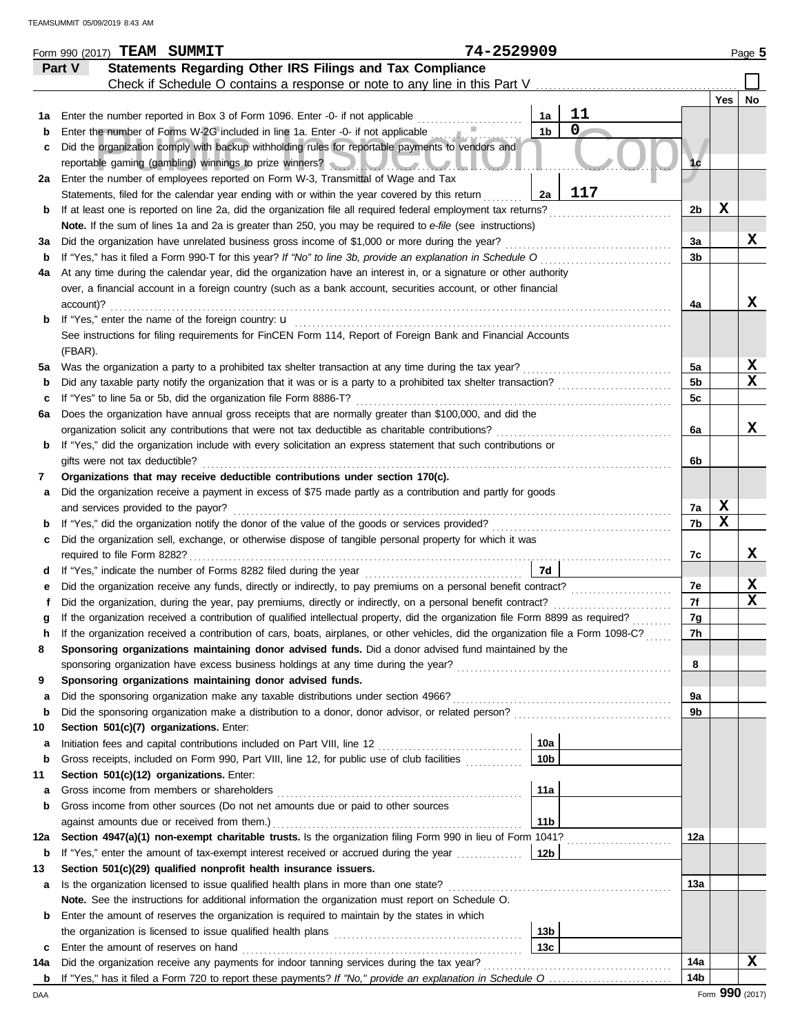|         | Form 990 (2017) TEAM SUMMIT                                                                                                                                                                                                         | 74-2529909                       |                |     | Page 5 |
|---------|-------------------------------------------------------------------------------------------------------------------------------------------------------------------------------------------------------------------------------------|----------------------------------|----------------|-----|--------|
|         | Statements Regarding Other IRS Filings and Tax Compliance<br>Part V                                                                                                                                                                 |                                  |                |     |        |
|         | Check if Schedule O contains a response or note to any line in this Part V                                                                                                                                                          |                                  |                |     |        |
|         |                                                                                                                                                                                                                                     |                                  |                | Yes | No     |
| 1a      | Enter the number reported in Box 3 of Form 1096. Enter -0- if not applicable                                                                                                                                                        | 11<br>1a                         |                |     |        |
| b       | Enter the number of Forms W-2G included in line 1a. Enter -0- if not applicable                                                                                                                                                     | $\overline{0}$<br>1 <sub>b</sub> |                |     |        |
| c       | Did the organization comply with backup withholding rules for reportable payments to vendors and                                                                                                                                    |                                  |                |     |        |
|         | reportable gaming (gambling) winnings to prize winners? [10]                                                                                                                                                                        |                                  | 1 <sub>c</sub> |     |        |
| 2a      | Enter the number of employees reported on Form W-3, Transmittal of Wage and Tax                                                                                                                                                     |                                  |                |     |        |
|         | Statements, filed for the calendar year ending with or within the year covered by this return                                                                                                                                       | 117<br>2a                        |                |     |        |
| b       | If at least one is reported on line 2a, did the organization file all required federal employment tax returns?                                                                                                                      |                                  | 2b             | X   |        |
|         | Note. If the sum of lines 1a and 2a is greater than 250, you may be required to e-file (see instructions)                                                                                                                           |                                  |                |     |        |
| За      | Did the organization have unrelated business gross income of \$1,000 or more during the year?                                                                                                                                       |                                  | За             |     | x      |
| b       | If "Yes," has it filed a Form 990-T for this year? If "No" to line 3b, provide an explanation in Schedule O                                                                                                                         |                                  | 3b             |     |        |
| 4a      | At any time during the calendar year, did the organization have an interest in, or a signature or other authority<br>over, a financial account in a foreign country (such as a bank account, securities account, or other financial |                                  |                |     |        |
|         | account)?                                                                                                                                                                                                                           |                                  | 4a             |     | x      |
| b       | If "Yes," enter the name of the foreign country: u                                                                                                                                                                                  |                                  |                |     |        |
|         | See instructions for filing requirements for FinCEN Form 114, Report of Foreign Bank and Financial Accounts                                                                                                                         |                                  |                |     |        |
|         | (FBAR).                                                                                                                                                                                                                             |                                  |                |     |        |
| 5a      | Was the organization a party to a prohibited tax shelter transaction at any time during the tax year?                                                                                                                               |                                  | 5a             |     | X      |
| b       | Did any taxable party notify the organization that it was or is a party to a prohibited tax shelter transaction?                                                                                                                    |                                  | 5 <sub>b</sub> |     | x      |
| c       | If "Yes" to line 5a or 5b, did the organization file Form 8886-T?                                                                                                                                                                   |                                  | 5c             |     |        |
| 6a      | Does the organization have annual gross receipts that are normally greater than \$100,000, and did the                                                                                                                              |                                  |                |     |        |
|         | organization solicit any contributions that were not tax deductible as charitable contributions?                                                                                                                                    |                                  | 6a             |     | X      |
| b       | If "Yes," did the organization include with every solicitation an express statement that such contributions or                                                                                                                      |                                  |                |     |        |
|         | gifts were not tax deductible?                                                                                                                                                                                                      |                                  | 6b             |     |        |
| 7       | Organizations that may receive deductible contributions under section 170(c).                                                                                                                                                       |                                  |                |     |        |
| а       | Did the organization receive a payment in excess of \$75 made partly as a contribution and partly for goods                                                                                                                         |                                  |                |     |        |
|         | and services provided to the payor?                                                                                                                                                                                                 |                                  | 7a             | X   |        |
| b       | If "Yes," did the organization notify the donor of the value of the goods or services provided?                                                                                                                                     |                                  | 7b             | X   |        |
| c       | Did the organization sell, exchange, or otherwise dispose of tangible personal property for which it was                                                                                                                            |                                  |                |     |        |
|         | required to file Form 8282?                                                                                                                                                                                                         |                                  | 7c             |     | x      |
| d       |                                                                                                                                                                                                                                     | 7d                               |                |     |        |
| е       | Did the organization receive any funds, directly or indirectly, to pay premiums on a personal benefit contract?                                                                                                                     |                                  | 7e             |     | X      |
|         | Did the organization, during the year, pay premiums, directly or indirectly, on a personal benefit contract?                                                                                                                        |                                  | 7f             |     | x      |
|         | If the organization received a contribution of qualified intellectual property, did the organization file Form 8899 as required?                                                                                                    |                                  | 7g             |     |        |
|         | If the organization received a contribution of cars, boats, airplanes, or other vehicles, did the organization file a Form 1098-C?                                                                                                  |                                  | 7h             |     |        |
| 8       | Sponsoring organizations maintaining donor advised funds. Did a donor advised fund maintained by the                                                                                                                                |                                  |                |     |        |
|         |                                                                                                                                                                                                                                     |                                  | 8              |     |        |
| 9       | Sponsoring organizations maintaining donor advised funds.                                                                                                                                                                           |                                  |                |     |        |
| a       | Did the sponsoring organization make any taxable distributions under section 4966?<br>Did the sponsoring organization make a distribution to a donor, donor advisor, or related person?                                             |                                  | 9a<br>9b       |     |        |
| b       | Section 501(c)(7) organizations. Enter:                                                                                                                                                                                             |                                  |                |     |        |
| 10<br>а | Initiation fees and capital contributions included on Part VIII, line 12 [11] [11] [12] [11] [12] [11] [12] [1                                                                                                                      | 10a                              |                |     |        |
| b       | Gross receipts, included on Form 990, Part VIII, line 12, for public use of club facilities                                                                                                                                         | 10 <sub>b</sub>                  |                |     |        |
| 11      | Section 501(c)(12) organizations. Enter:                                                                                                                                                                                            |                                  |                |     |        |
| а       | Gross income from members or shareholders                                                                                                                                                                                           | 11a                              |                |     |        |
| b       | Gross income from other sources (Do not net amounts due or paid to other sources                                                                                                                                                    |                                  |                |     |        |
|         | against amounts due or received from them.)                                                                                                                                                                                         | 11 <sub>b</sub>                  |                |     |        |
| 12a     | Section 4947(a)(1) non-exempt charitable trusts. Is the organization filing Form 990 in lieu of Form 1041?                                                                                                                          |                                  | 12a            |     |        |
| b       | If "Yes," enter the amount of tax-exempt interest received or accrued during the year                                                                                                                                               | $\vert$ 12b                      |                |     |        |
| 13      | Section 501(c)(29) qualified nonprofit health insurance issuers.                                                                                                                                                                    |                                  |                |     |        |
| a       | Is the organization licensed to issue qualified health plans in more than one state?                                                                                                                                                |                                  | 13а            |     |        |
|         | Note. See the instructions for additional information the organization must report on Schedule O.                                                                                                                                   |                                  |                |     |        |
| b       | Enter the amount of reserves the organization is required to maintain by the states in which                                                                                                                                        |                                  |                |     |        |
|         |                                                                                                                                                                                                                                     | 13 <sub>b</sub>                  |                |     |        |
| c       | Enter the amount of reserves on hand                                                                                                                                                                                                | 13c                              |                |     |        |
| 14a     | Did the organization receive any payments for indoor tanning services during the tax year?                                                                                                                                          |                                  | 14a            |     | х      |
|         |                                                                                                                                                                                                                                     |                                  | 14b            |     |        |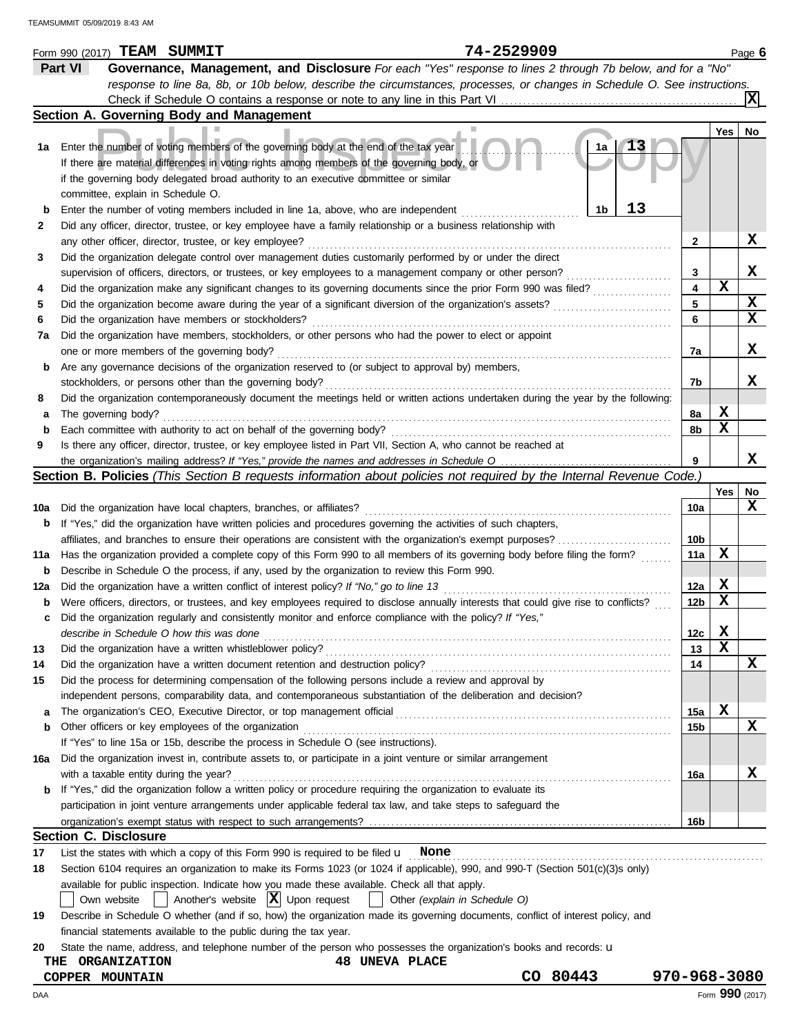|     | 74-2529909<br>Form 990 (2017) TEAM SUMMIT                                                                                                                                                                                                                                       |                 |             | Page 6      |
|-----|---------------------------------------------------------------------------------------------------------------------------------------------------------------------------------------------------------------------------------------------------------------------------------|-----------------|-------------|-------------|
|     | Part VI<br>Governance, Management, and Disclosure For each "Yes" response to lines 2 through 7b below, and for a "No"                                                                                                                                                           |                 |             |             |
|     | response to line 8a, 8b, or 10b below, describe the circumstances, processes, or changes in Schedule O. See instructions.                                                                                                                                                       |                 |             |             |
|     |                                                                                                                                                                                                                                                                                 |                 |             | ΙXΙ         |
|     | Section A. Governing Body and Management                                                                                                                                                                                                                                        |                 |             |             |
|     |                                                                                                                                                                                                                                                                                 |                 | Yes         | No          |
| 1a  | Enter the number of voting members of the governing body at the end of the tax year<br>1a<br>If there are material differences in voting rights among members of the governing body, or<br>if the governing body delegated broad authority to an executive committee or similar |                 |             |             |
|     | committee, explain in Schedule O.                                                                                                                                                                                                                                               |                 |             |             |
| b   | 13<br>1b<br>Enter the number of voting members included in line 1a, above, who are independent                                                                                                                                                                                  |                 |             |             |
| 2   | Did any officer, director, trustee, or key employee have a family relationship or a business relationship with                                                                                                                                                                  |                 |             |             |
|     | any other officer, director, trustee, or key employee?                                                                                                                                                                                                                          | 2               |             | х           |
| 3   | Did the organization delegate control over management duties customarily performed by or under the direct                                                                                                                                                                       |                 |             |             |
|     | supervision of officers, directors, or trustees, or key employees to a management company or other person?                                                                                                                                                                      | 3               |             | X           |
| 4   | Did the organization make any significant changes to its governing documents since the prior Form 990 was filed?                                                                                                                                                                | 4               | $\mathbf x$ |             |
| 5   | Did the organization become aware during the year of a significant diversion of the organization's assets?                                                                                                                                                                      | 5               |             | X           |
| 6   | Did the organization have members or stockholders?                                                                                                                                                                                                                              | 6               |             | $\mathbf x$ |
| 7a  | Did the organization have members, stockholders, or other persons who had the power to elect or appoint                                                                                                                                                                         |                 |             |             |
|     | one or more members of the governing body?                                                                                                                                                                                                                                      | 7a              |             | х           |
| b   | Are any governance decisions of the organization reserved to (or subject to approval by) members,                                                                                                                                                                               |                 |             |             |
|     | stockholders, or persons other than the governing body?                                                                                                                                                                                                                         | 7b              |             | x           |
| 8   | Did the organization contemporaneously document the meetings held or written actions undertaken during the year by the following:                                                                                                                                               |                 |             |             |
| а   | The governing body?                                                                                                                                                                                                                                                             | 8a              | X           |             |
| b   | Each committee with authority to act on behalf of the governing body?                                                                                                                                                                                                           | 8b              | x           |             |
| 9   | Is there any officer, director, trustee, or key employee listed in Part VII, Section A, who cannot be reached at                                                                                                                                                                |                 |             |             |
|     |                                                                                                                                                                                                                                                                                 | 9               |             | x           |
|     | Section B. Policies (This Section B requests information about policies not required by the Internal Revenue Code.)                                                                                                                                                             |                 |             |             |
|     |                                                                                                                                                                                                                                                                                 |                 | Yes         | No          |
| 10a | Did the organization have local chapters, branches, or affiliates?                                                                                                                                                                                                              | 10a             |             | X           |
| b   | If "Yes," did the organization have written policies and procedures governing the activities of such chapters,                                                                                                                                                                  |                 |             |             |
|     |                                                                                                                                                                                                                                                                                 | 10 <sub>b</sub> |             |             |
| 11a | Has the organization provided a complete copy of this Form 990 to all members of its governing body before filing the form?                                                                                                                                                     | 11a             | х           |             |
| b   | Describe in Schedule O the process, if any, used by the organization to review this Form 990.                                                                                                                                                                                   |                 |             |             |
| 12a | Did the organization have a written conflict of interest policy? If "No," go to line 13                                                                                                                                                                                         | 12a             | X           |             |
| b   | Were officers, directors, or trustees, and key employees required to disclose annually interests that could give rise to conflicts?                                                                                                                                             | 12 <sub>b</sub> | X           |             |
| c   | Did the organization regularly and consistently monitor and enforce compliance with the policy? If "Yes,"                                                                                                                                                                       |                 |             |             |
|     | describe in Schedule O how this was done                                                                                                                                                                                                                                        | 12c             | x           |             |
| 13  |                                                                                                                                                                                                                                                                                 | 13              | х           |             |
| 14  | Did the organization have a written document retention and destruction policy?                                                                                                                                                                                                  | 14              |             | X           |
| 15  | Did the process for determining compensation of the following persons include a review and approval by                                                                                                                                                                          |                 |             |             |
|     | independent persons, comparability data, and contemporaneous substantiation of the deliberation and decision?                                                                                                                                                                   |                 |             |             |
| а   |                                                                                                                                                                                                                                                                                 | 15a             | X           |             |
| b   | Other officers or key employees of the organization                                                                                                                                                                                                                             | 15b             |             | X           |
|     | If "Yes" to line 15a or 15b, describe the process in Schedule O (see instructions).                                                                                                                                                                                             |                 |             |             |
| 16a | Did the organization invest in, contribute assets to, or participate in a joint venture or similar arrangement                                                                                                                                                                  |                 |             |             |
|     | with a taxable entity during the year?                                                                                                                                                                                                                                          | 16a             |             | X           |
|     | <b>b</b> If "Yes," did the organization follow a written policy or procedure requiring the organization to evaluate its                                                                                                                                                         |                 |             |             |
|     | participation in joint venture arrangements under applicable federal tax law, and take steps to safeguard the                                                                                                                                                                   |                 |             |             |
|     |                                                                                                                                                                                                                                                                                 | 16b             |             |             |
|     | <b>Section C. Disclosure</b>                                                                                                                                                                                                                                                    |                 |             |             |
| 17  | List the states with which a copy of this Form 990 is required to be filed $\mathbf u$ None                                                                                                                                                                                     |                 |             |             |
| 18  | Section 6104 requires an organization to make its Forms 1023 (or 1024 if applicable), 990, and 990-T (Section 501(c)(3)s only)                                                                                                                                                  |                 |             |             |
|     | available for public inspection. Indicate how you made these available. Check all that apply.                                                                                                                                                                                   |                 |             |             |
|     | $ \mathbf{X} $ Upon request<br>Another's website<br>Other (explain in Schedule O)<br>Own website                                                                                                                                                                                |                 |             |             |
| 19  | Describe in Schedule O whether (and if so, how) the organization made its governing documents, conflict of interest policy, and                                                                                                                                                 |                 |             |             |
|     | financial statements available to the public during the tax year.                                                                                                                                                                                                               |                 |             |             |
| 20  | State the name, address, and telephone number of the person who possesses the organization's books and records: u                                                                                                                                                               |                 |             |             |
|     | <b>48 UNEVA PLACE</b><br><b>ORGANIZATION</b><br>THE                                                                                                                                                                                                                             |                 |             |             |
|     | CO 80443<br>COPPER MOUNTAIN                                                                                                                                                                                                                                                     | 970-968-3080    |             |             |

DAA Form **990** (2017)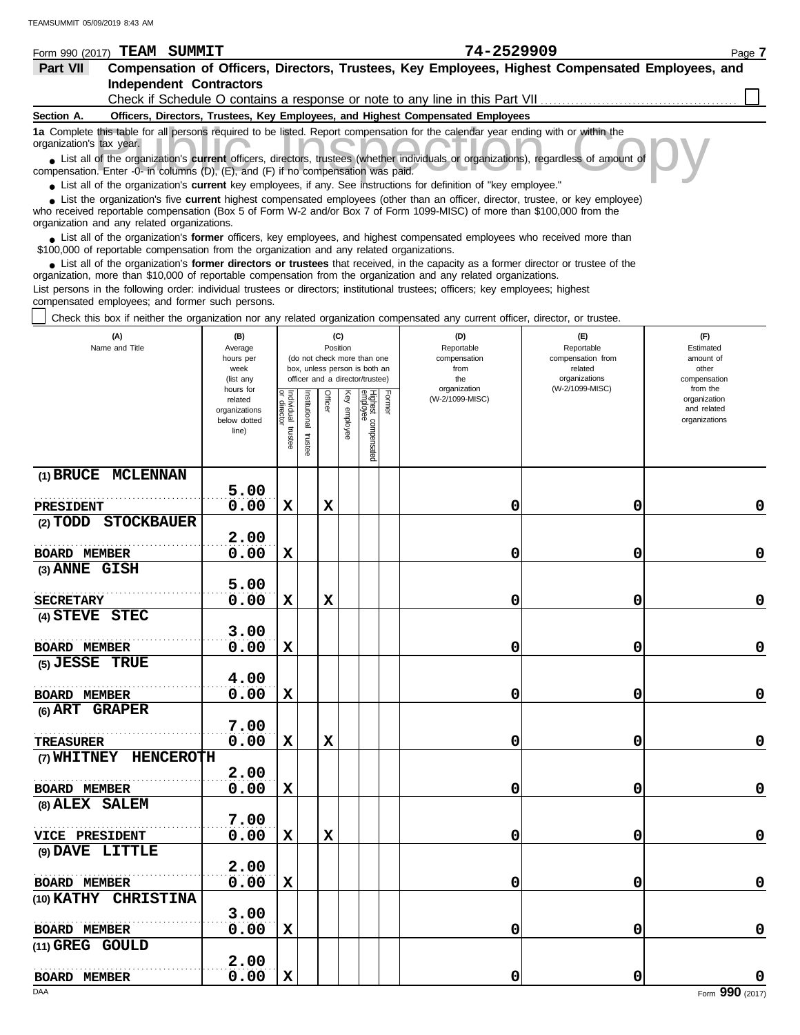| Form 990 (2017)          | SUMMIT<br>TEAM                                                                    | 74-2529909                                                                                                                                                                                                                                                  | Page 7 |
|--------------------------|-----------------------------------------------------------------------------------|-------------------------------------------------------------------------------------------------------------------------------------------------------------------------------------------------------------------------------------------------------------|--------|
| Part VII                 |                                                                                   | Compensation of Officers, Directors, Trustees, Key Employees, Highest Compensated Employees, and                                                                                                                                                            |        |
|                          | <b>Independent Contractors</b>                                                    |                                                                                                                                                                                                                                                             |        |
|                          |                                                                                   | Check if Schedule O contains a response or note to any line in this Part VII                                                                                                                                                                                |        |
| Section A.               |                                                                                   | Officers, Directors, Trustees, Key Employees, and Highest Compensated Employees                                                                                                                                                                             |        |
| organization's tax year. |                                                                                   | 1a Complete this table for all persons required to be listed. Report compensation for the calendar year ending with or within the                                                                                                                           |        |
|                          | compensation. Enter -0- in columns (D), (E), and (F) if no compensation was paid. | List all of the organization's current officers, directors, trustees (whether individuals or organizations), regardless of amount of                                                                                                                        |        |
|                          |                                                                                   | • List all of the organization's current key employees, if any. See instructions for definition of "key employee."                                                                                                                                          |        |
|                          | organization and any related organizations.                                       | • List the organization's five current highest compensated employees (other than an officer, director, trustee, or key employee)<br>who received reportable compensation (Box 5 of Form W-2 and/or Box 7 of Form 1099-MISC) of more than \$100,000 from the |        |
|                          |                                                                                   | • List all of the organization's former officers, key employees, and highest compensated employees who received more than<br>\$100,000 of reportable compensation from the organization and any related organizations.                                      |        |
|                          |                                                                                   | • List all of the organization's former directors or trustees that received, in the capacity as a former director or trustee of the<br>organization, more than \$10,000 of reportable compensation from the organization and any related organizations.     |        |

List persons in the following order: individual trustees or directors; institutional trustees; officers; key employees; highest compensated employees; and former such persons.

Check this box if neither the organization nor any related organization compensated any current officer, director, or trustee.

| (A)<br>Name and Title                      | (B)<br>Average<br>hours per<br>week<br>(list any<br>hours for |                                      |                          | (C)<br>Position |                 | (do not check more than one<br>box, unless person is both an<br>officer and a director/trustee) |        | (D)<br>Reportable<br>compensation<br>from<br>the<br>organization | (E)<br>Reportable<br>compensation from<br>related<br>organizations<br>(W-2/1099-MISC) | (F)<br>Estimated<br>amount of<br>other<br>compensation<br>from the |
|--------------------------------------------|---------------------------------------------------------------|--------------------------------------|--------------------------|-----------------|-----------------|-------------------------------------------------------------------------------------------------|--------|------------------------------------------------------------------|---------------------------------------------------------------------------------------|--------------------------------------------------------------------|
|                                            | related<br>organizations<br>below dotted<br>line)             | Individual<br>or director<br>trustee | Institutional<br>trustee | Officer         | Key<br>employee | Highest compensated<br>employee                                                                 | Former | (W-2/1099-MISC)                                                  |                                                                                       | organization<br>and related<br>organizations                       |
| (1) BRUCE MCLENNAN                         | 5.00                                                          |                                      |                          |                 |                 |                                                                                                 |        |                                                                  |                                                                                       |                                                                    |
| PRESIDENT                                  | 0.00                                                          | $\mathbf x$                          |                          | $\mathbf x$     |                 |                                                                                                 |        | 0                                                                | 0                                                                                     | 0                                                                  |
| <b>STOCKBAUER</b><br>$(2)$ $\mathbf{TODD}$ |                                                               |                                      |                          |                 |                 |                                                                                                 |        |                                                                  |                                                                                       |                                                                    |
|                                            | 2.00                                                          |                                      |                          |                 |                 |                                                                                                 |        |                                                                  |                                                                                       |                                                                    |
| <b>BOARD MEMBER</b>                        | 0.00                                                          | $\mathbf x$                          |                          |                 |                 |                                                                                                 |        | 0                                                                | 0                                                                                     | $\mathbf 0$                                                        |
| (3) ANNE GISH                              |                                                               |                                      |                          |                 |                 |                                                                                                 |        |                                                                  |                                                                                       |                                                                    |
|                                            | 5.00                                                          |                                      |                          |                 |                 |                                                                                                 |        |                                                                  |                                                                                       |                                                                    |
| <b>SECRETARY</b>                           | 0.00                                                          | $\mathbf x$                          |                          | $\mathbf x$     |                 |                                                                                                 |        | 0                                                                | 0                                                                                     | 0                                                                  |
| (4) STEVE STEC                             |                                                               |                                      |                          |                 |                 |                                                                                                 |        |                                                                  |                                                                                       |                                                                    |
|                                            | 3.00                                                          |                                      |                          |                 |                 |                                                                                                 |        |                                                                  |                                                                                       |                                                                    |
| <b>BOARD MEMBER</b>                        | 0.00                                                          | $\mathbf x$                          |                          |                 |                 |                                                                                                 |        | 0                                                                | 0                                                                                     | 0                                                                  |
| (5) JESSE TRUE                             | 4.00                                                          |                                      |                          |                 |                 |                                                                                                 |        |                                                                  |                                                                                       |                                                                    |
| <b>BOARD MEMBER</b>                        | 0.00                                                          | $\mathbf x$                          |                          |                 |                 |                                                                                                 |        | 0                                                                | 0                                                                                     | 0                                                                  |
| (6) ART GRAPER                             |                                                               |                                      |                          |                 |                 |                                                                                                 |        |                                                                  |                                                                                       |                                                                    |
|                                            | 7.00                                                          |                                      |                          |                 |                 |                                                                                                 |        |                                                                  |                                                                                       |                                                                    |
| <b>TREASURER</b>                           | 0.00                                                          | $\mathbf x$                          |                          | $\mathbf x$     |                 |                                                                                                 |        | 0                                                                | 0                                                                                     | $\mathbf 0$                                                        |
| (7) WHITNEY HENCEROTH                      |                                                               |                                      |                          |                 |                 |                                                                                                 |        |                                                                  |                                                                                       |                                                                    |
|                                            | 2.00                                                          |                                      |                          |                 |                 |                                                                                                 |        |                                                                  |                                                                                       |                                                                    |
| <b>BOARD MEMBER</b>                        | 0.00                                                          | $\mathbf x$                          |                          |                 |                 |                                                                                                 |        | 0                                                                | 0                                                                                     | $\mathbf 0$                                                        |
| (8) ALEX SALEM                             |                                                               |                                      |                          |                 |                 |                                                                                                 |        |                                                                  |                                                                                       |                                                                    |
|                                            | 7.00                                                          |                                      |                          |                 |                 |                                                                                                 |        |                                                                  |                                                                                       |                                                                    |
| <b>VICE PRESIDENT</b>                      | 0.00                                                          | $\mathbf x$                          |                          | $\mathbf x$     |                 |                                                                                                 |        | 0                                                                | 0                                                                                     | $\mathbf 0$                                                        |
| (9) DAVE LITTLE                            |                                                               |                                      |                          |                 |                 |                                                                                                 |        |                                                                  |                                                                                       |                                                                    |
|                                            | 2.00                                                          |                                      |                          |                 |                 |                                                                                                 |        |                                                                  |                                                                                       |                                                                    |
| BOARD MEMBER                               | 0.00                                                          | X                                    |                          |                 |                 |                                                                                                 |        | 0                                                                | 0                                                                                     | 0                                                                  |
| (10) KATHY CHRISTINA                       |                                                               |                                      |                          |                 |                 |                                                                                                 |        |                                                                  |                                                                                       |                                                                    |
|                                            | 3.00<br>0.00                                                  | $\mathbf x$                          |                          |                 |                 |                                                                                                 |        | 0                                                                | 0                                                                                     | 0                                                                  |
| <b>BOARD MEMBER</b><br>(11) GREG GOULD     |                                                               |                                      |                          |                 |                 |                                                                                                 |        |                                                                  |                                                                                       |                                                                    |
|                                            | 2.00                                                          |                                      |                          |                 |                 |                                                                                                 |        |                                                                  |                                                                                       |                                                                    |
| <b>BOARD MEMBER</b>                        | 0.00                                                          | $\mathbf x$                          |                          |                 |                 |                                                                                                 |        | 0                                                                | 0                                                                                     | 0                                                                  |
|                                            |                                                               |                                      |                          |                 |                 |                                                                                                 |        |                                                                  |                                                                                       |                                                                    |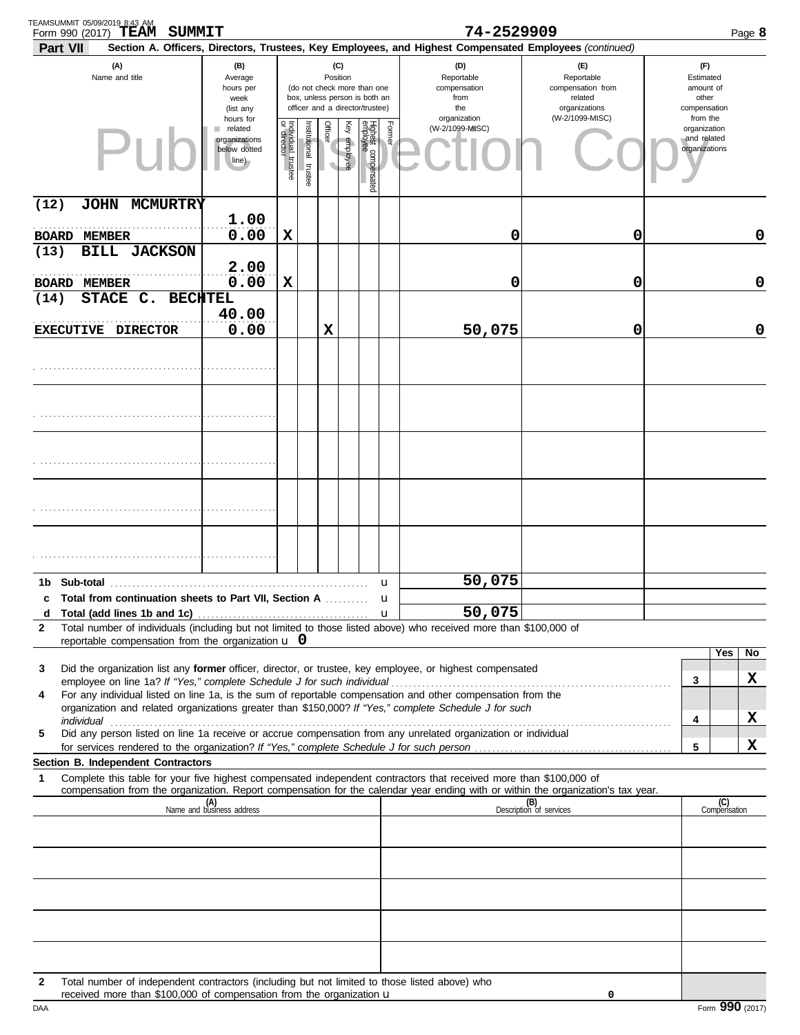| TEAMSUMMIT 05/09/2019 8:43 AM<br>SUMMIT<br>Form 990 (2017) TEAM                                                                                                                                                                |                                                                     |                                   |                       |          |              |                                                                                                 |        | 74-2529909                                                                                             |                                                                    |                                                          | Page 8              |
|--------------------------------------------------------------------------------------------------------------------------------------------------------------------------------------------------------------------------------|---------------------------------------------------------------------|-----------------------------------|-----------------------|----------|--------------|-------------------------------------------------------------------------------------------------|--------|--------------------------------------------------------------------------------------------------------|--------------------------------------------------------------------|----------------------------------------------------------|---------------------|
| Part VII                                                                                                                                                                                                                       |                                                                     |                                   |                       |          |              |                                                                                                 |        | Section A. Officers, Directors, Trustees, Key Employees, and Highest Compensated Employees (continued) |                                                                    |                                                          |                     |
| (A)<br>Name and title                                                                                                                                                                                                          | (B)<br>Average<br>hours per<br>week<br>(list any                    |                                   |                       | Position | (C)          | (do not check more than one<br>box, unless person is both an<br>officer and a director/trustee) |        | (D)<br>Reportable<br>compensation<br>from<br>the                                                       | (E)<br>Reportable<br>compensation from<br>related<br>organizations | (F)<br>Estimated<br>amount of<br>other<br>compensation   |                     |
|                                                                                                                                                                                                                                | hours for<br>related<br>٠<br>organizations<br>below dotted<br>line) | Individual trustee<br>or director | Institutional trustee | Officer  | Key employee | Highest compensated<br>employee                                                                 | Former | organization<br>(W-2/1099-MISC)                                                                        | (W-2/1099-MISC)                                                    | from the<br>organization<br>and related<br>organizations |                     |
| (12)<br>JOHN MCMURTRY                                                                                                                                                                                                          |                                                                     |                                   |                       |          |              |                                                                                                 |        |                                                                                                        |                                                                    |                                                          |                     |
| <b>BOARD</b><br><b>MEMBER</b>                                                                                                                                                                                                  | 1.00<br>0.00                                                        | X                                 |                       |          |              |                                                                                                 |        | 0                                                                                                      | 0                                                                  |                                                          | $\mathbf 0$         |
| <b>BILL JACKSON</b><br>(13)<br><b>BOARD MEMBER</b>                                                                                                                                                                             | 2.00<br>0.00                                                        | X                                 |                       |          |              |                                                                                                 |        | 0                                                                                                      | 0                                                                  |                                                          | $\mathbf 0$         |
| STACE C.<br><b>BECHTEL</b><br>(14)<br>EXECUTIVE DIRECTOR                                                                                                                                                                       | 40.00<br>0.00                                                       |                                   |                       | X        |              |                                                                                                 |        | 50,075                                                                                                 | 0                                                                  |                                                          | $\mathbf 0$         |
|                                                                                                                                                                                                                                |                                                                     |                                   |                       |          |              |                                                                                                 |        |                                                                                                        |                                                                    |                                                          |                     |
|                                                                                                                                                                                                                                |                                                                     |                                   |                       |          |              |                                                                                                 |        |                                                                                                        |                                                                    |                                                          |                     |
|                                                                                                                                                                                                                                |                                                                     |                                   |                       |          |              |                                                                                                 |        |                                                                                                        |                                                                    |                                                          |                     |
|                                                                                                                                                                                                                                |                                                                     |                                   |                       |          |              |                                                                                                 |        |                                                                                                        |                                                                    |                                                          |                     |
|                                                                                                                                                                                                                                |                                                                     |                                   |                       |          |              |                                                                                                 |        |                                                                                                        |                                                                    |                                                          |                     |
|                                                                                                                                                                                                                                |                                                                     |                                   |                       |          |              |                                                                                                 |        |                                                                                                        |                                                                    |                                                          |                     |
|                                                                                                                                                                                                                                |                                                                     |                                   |                       |          |              |                                                                                                 | u      | 50,075                                                                                                 |                                                                    |                                                          |                     |
| c Total from continuation sheets to Part VII, Section A                                                                                                                                                                        |                                                                     |                                   |                       |          |              |                                                                                                 | u      | 50,075                                                                                                 |                                                                    |                                                          |                     |
| d<br>Total number of individuals (including but not limited to those listed above) who received more than \$100,000 of<br>2                                                                                                    |                                                                     |                                   |                       |          |              |                                                                                                 | u      |                                                                                                        |                                                                    |                                                          |                     |
| reportable compensation from the organization $\bf{u}$ 0                                                                                                                                                                       |                                                                     |                                   |                       |          |              |                                                                                                 |        |                                                                                                        |                                                                    |                                                          | Yes<br>No.          |
| Did the organization list any former officer, director, or trustee, key employee, or highest compensated<br>3                                                                                                                  |                                                                     |                                   |                       |          |              |                                                                                                 |        |                                                                                                        |                                                                    | 3                                                        | X                   |
| For any individual listed on line 1a, is the sum of reportable compensation and other compensation from the<br>4<br>organization and related organizations greater than \$150,000? If "Yes," complete Schedule J for such      |                                                                     |                                   |                       |          |              |                                                                                                 |        |                                                                                                        |                                                                    |                                                          |                     |
| individual with an account of the contract of the contract of the contract of the contract of the contract of<br>Did any person listed on line 1a receive or accrue compensation from any unrelated organization or individual |                                                                     |                                   |                       |          |              |                                                                                                 |        |                                                                                                        |                                                                    | 4                                                        | X                   |
| 5                                                                                                                                                                                                                              |                                                                     |                                   |                       |          |              |                                                                                                 |        |                                                                                                        |                                                                    | 5                                                        | X                   |
| <b>Section B. Independent Contractors</b><br>Complete this table for your five highest compensated independent contractors that received more than \$100,000 of<br>1                                                           |                                                                     |                                   |                       |          |              |                                                                                                 |        |                                                                                                        |                                                                    |                                                          |                     |
| compensation from the organization. Report compensation for the calendar year ending with or within the organization's tax year.                                                                                               |                                                                     |                                   |                       |          |              |                                                                                                 |        |                                                                                                        |                                                                    |                                                          |                     |
|                                                                                                                                                                                                                                | (A)<br>Name and business address                                    |                                   |                       |          |              |                                                                                                 |        |                                                                                                        | (B)<br>Description of services                                     |                                                          | (C)<br>Compensation |
|                                                                                                                                                                                                                                |                                                                     |                                   |                       |          |              |                                                                                                 |        |                                                                                                        |                                                                    |                                                          |                     |
|                                                                                                                                                                                                                                |                                                                     |                                   |                       |          |              |                                                                                                 |        |                                                                                                        |                                                                    |                                                          |                     |
|                                                                                                                                                                                                                                |                                                                     |                                   |                       |          |              |                                                                                                 |        |                                                                                                        |                                                                    |                                                          |                     |
|                                                                                                                                                                                                                                |                                                                     |                                   |                       |          |              |                                                                                                 |        |                                                                                                        |                                                                    |                                                          |                     |
| Total number of independent contractors (including but not limited to those listed above) who<br>$\mathbf{2}$<br>received more than \$100,000 of compensation from the organization $\mathbf u$                                |                                                                     |                                   |                       |          |              |                                                                                                 |        |                                                                                                        | 0                                                                  |                                                          |                     |

| I |  |  |
|---|--|--|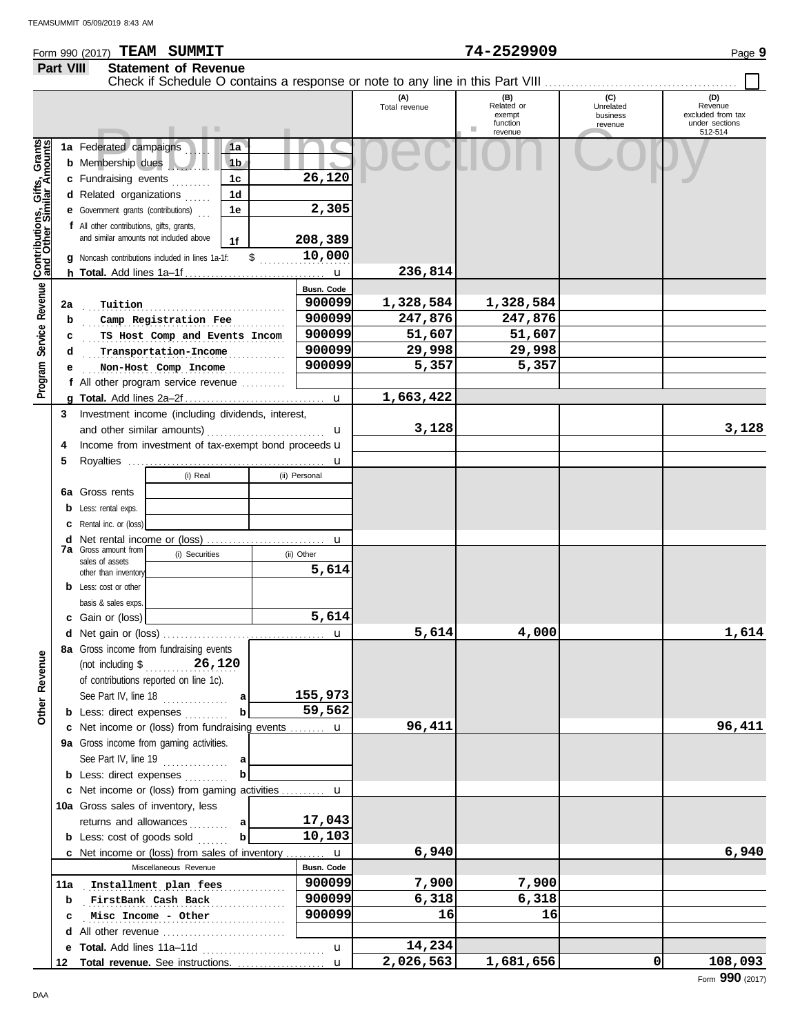### Form 990 (2017) Page **9 TEAM SUMMIT 74-2529909 Part VIII Statement of Revenue**

|                                                           |     |                                                                    |                |                   | (A)<br>Total revenue | (B)<br>Related or   | (C)<br>Unrelated | (D)<br>Revenue            |
|-----------------------------------------------------------|-----|--------------------------------------------------------------------|----------------|-------------------|----------------------|---------------------|------------------|---------------------------|
|                                                           |     |                                                                    |                |                   |                      | exempt              | business         | excluded from tax         |
|                                                           |     | . .                                                                |                |                   |                      | function<br>revenue | revenue          | under sections<br>512-514 |
|                                                           |     | 1a Federated campaigns                                             | 1a             |                   |                      |                     |                  |                           |
|                                                           |     | <b>b</b> Membership dues                                           | 1 <sub>b</sub> |                   |                      |                     |                  |                           |
|                                                           |     | c Fundraising events                                               | 1c             | 26,120            |                      |                     |                  |                           |
|                                                           |     | d Related organizations                                            | 1d             |                   |                      |                     |                  |                           |
|                                                           |     | <b>e</b> Government grants (contributions)<br>$\sim$               | 1e             | 2,305             |                      |                     |                  |                           |
|                                                           |     | f All other contributions, gifts, grants,                          |                |                   |                      |                     |                  |                           |
|                                                           |     | and similar amounts not included above                             | 1f             | 208,389           |                      |                     |                  |                           |
|                                                           |     | <b>q</b> Noncash contributions included in lines 1a-1f:            | \$             | 10,000            |                      |                     |                  |                           |
| Contributions, Gifts, Grants<br>and Other Similar Amounts |     |                                                                    |                |                   | 236,814              |                     |                  |                           |
|                                                           |     |                                                                    |                | Busn. Code        |                      |                     |                  |                           |
| Service Revenue                                           | 2a  | Tuition                                                            |                | 900099            | 1,328,584            | 1,328,584           |                  |                           |
|                                                           | b   | Camp Registration Fee                                              |                | 900099            | 247,876              | 247,876             |                  |                           |
|                                                           | c   | TS Host Comp and Events Incom                                      |                | 900099            | 51,607               | 51,607              |                  |                           |
|                                                           | d   | Transportation-Income                                              |                | 900099            | 29,998               | 29,998              |                  |                           |
|                                                           | е   | Non-Host Comp Income                                               |                | 900099            | 5,357                | 5,357               |                  |                           |
| Program                                                   |     | f All other program service revenue                                |                |                   |                      |                     |                  |                           |
|                                                           |     |                                                                    |                |                   | 1,663,422            |                     |                  |                           |
|                                                           | 3   | Investment income (including dividends, interest,                  |                |                   |                      |                     |                  |                           |
|                                                           |     |                                                                    |                | $\mathbf u$       | 3,128                |                     |                  | 3,128                     |
|                                                           | 4   | Income from investment of tax-exempt bond proceeds u               |                |                   |                      |                     |                  |                           |
|                                                           | 5   |                                                                    |                |                   |                      |                     |                  |                           |
|                                                           |     | (i) Real                                                           |                | (ii) Personal     |                      |                     |                  |                           |
|                                                           |     | <b>6a</b> Gross rents                                              |                |                   |                      |                     |                  |                           |
|                                                           |     | <b>b</b> Less: rental exps.                                        |                |                   |                      |                     |                  |                           |
|                                                           |     | <b>c</b> Rental inc. or (loss)                                     |                |                   |                      |                     |                  |                           |
|                                                           |     |                                                                    |                |                   |                      |                     |                  |                           |
|                                                           |     | <b>7a</b> Gross amount from<br>(i) Securities                      |                | (ii) Other        |                      |                     |                  |                           |
|                                                           |     | sales of assets<br>other than inventory                            |                | 5,614             |                      |                     |                  |                           |
|                                                           |     | <b>b</b> Less: cost or other                                       |                |                   |                      |                     |                  |                           |
|                                                           |     | basis & sales exps.                                                |                |                   |                      |                     |                  |                           |
|                                                           |     | c Gain or (loss)                                                   |                | 5,614             |                      |                     |                  |                           |
|                                                           |     |                                                                    |                | u                 | 5,614                | 4,000               |                  | 1,614                     |
|                                                           |     | 8a Gross income from fundraising events                            |                |                   |                      |                     |                  |                           |
| g                                                         |     | (not including $\sqrt[6]{26,120}$                                  |                |                   |                      |                     |                  |                           |
|                                                           |     | of contributions reported on line 1c).                             |                |                   |                      |                     |                  |                           |
|                                                           |     | See Part IV, line 18                                               | a              | 155,973           |                      |                     |                  |                           |
| Other Reven                                               |     | <b>b</b> Less: direct expenses                                     | $\mathbf{b}$   | 59,562            |                      |                     |                  |                           |
|                                                           |     | c Net income or (loss) from fundraising events  u                  |                |                   | 96,411               |                     |                  | 96,411                    |
|                                                           |     | 9a Gross income from gaming activities.                            |                |                   |                      |                     |                  |                           |
|                                                           |     | See Part IV, line 19                                               |                |                   |                      |                     |                  |                           |
|                                                           |     | <b>b</b> Less: direct expenses                                     | $\mathbf b$    |                   |                      |                     |                  |                           |
|                                                           |     | c Net income or (loss) from gaming activities  u                   |                |                   |                      |                     |                  |                           |
|                                                           |     | 10a Gross sales of inventory, less                                 |                |                   |                      |                     |                  |                           |
|                                                           |     | returns and allowances<br>.                                        | a              | 17,043            |                      |                     |                  |                           |
|                                                           |     | <b>b</b> Less: cost of goods sold                                  | $\mathbf{b}$   | 10,103            |                      |                     |                  |                           |
|                                                           |     | <b>c</b> Net income or (loss) from sales of inventory $\mathbf{u}$ |                |                   | 6,940                |                     |                  | 6,940                     |
|                                                           |     | Miscellaneous Revenue                                              |                | <b>Busn. Code</b> |                      |                     |                  |                           |
|                                                           | 11a | Installment plan fees                                              |                | 900099            | 7,900                | 7,900               |                  |                           |
|                                                           | b   | FirstBank Cash Back                                                |                | 900099            | 6,318                | 6,318               |                  |                           |
|                                                           |     | Misc Income - Other                                                |                | 900099            | 16                   | 16                  |                  |                           |
|                                                           |     | d All other revenue                                                |                |                   |                      |                     |                  |                           |
|                                                           |     |                                                                    |                | $\mathbf{u}$      | 14,234               |                     |                  |                           |
|                                                           | 12  |                                                                    |                |                   | 2,026,563            | 1,681,656           | 0                | 108,093                   |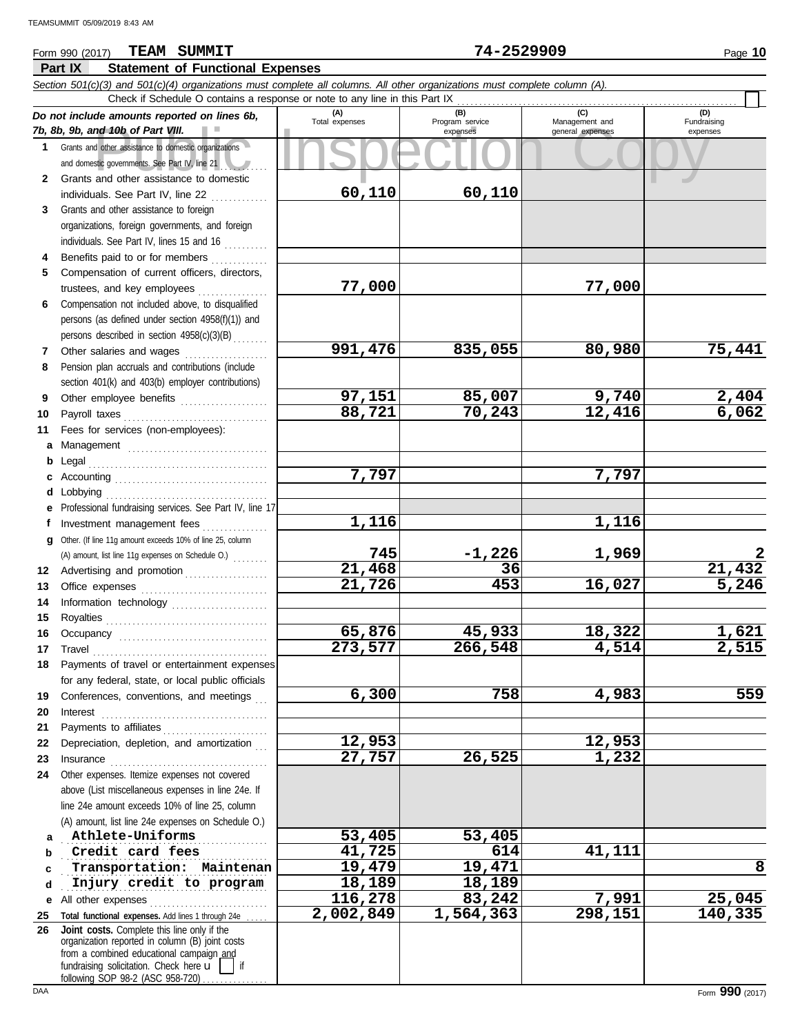## **Part IX Statement of Functional Expenses** Form 990 (2017) Page **10 TEAM SUMMIT 74-2529909**

|              | Section 501(c)(3) and 501(c)(4) organizations must complete all columns. All other organizations must complete column (A).<br>Check if Schedule O contains a response or note to any line in this Part IX                                                                                                                                                                                                                                                                                                                                          |                                |                                    |                                    |                                    |
|--------------|----------------------------------------------------------------------------------------------------------------------------------------------------------------------------------------------------------------------------------------------------------------------------------------------------------------------------------------------------------------------------------------------------------------------------------------------------------------------------------------------------------------------------------------------------|--------------------------------|------------------------------------|------------------------------------|------------------------------------|
|              | Do not include amounts reported on lines 6b,                                                                                                                                                                                                                                                                                                                                                                                                                                                                                                       |                                |                                    | (C)                                | (D)                                |
|              | 7b, 8b, 9b, and 10b of Part VIII.                                                                                                                                                                                                                                                                                                                                                                                                                                                                                                                  | (A)<br>Total expenses          | (B)<br>Program service<br>expenses | Management and<br>general expenses | Fundraising<br>expenses            |
| 1            | Grants and other assistance to domestic organizations                                                                                                                                                                                                                                                                                                                                                                                                                                                                                              |                                |                                    |                                    |                                    |
|              | and domestic governments. See Part IV, line 21                                                                                                                                                                                                                                                                                                                                                                                                                                                                                                     |                                |                                    |                                    |                                    |
| $\mathbf{2}$ | Grants and other assistance to domestic                                                                                                                                                                                                                                                                                                                                                                                                                                                                                                            |                                |                                    |                                    |                                    |
|              | individuals. See Part IV, line 22                                                                                                                                                                                                                                                                                                                                                                                                                                                                                                                  | 60,110                         | 60,110                             |                                    |                                    |
| 3            | Grants and other assistance to foreign                                                                                                                                                                                                                                                                                                                                                                                                                                                                                                             |                                |                                    |                                    |                                    |
|              | organizations, foreign governments, and foreign                                                                                                                                                                                                                                                                                                                                                                                                                                                                                                    |                                |                                    |                                    |                                    |
|              | individuals. See Part IV, lines 15 and 16                                                                                                                                                                                                                                                                                                                                                                                                                                                                                                          |                                |                                    |                                    |                                    |
| 4            | Benefits paid to or for members                                                                                                                                                                                                                                                                                                                                                                                                                                                                                                                    |                                |                                    |                                    |                                    |
| 5            | Compensation of current officers, directors,                                                                                                                                                                                                                                                                                                                                                                                                                                                                                                       |                                |                                    |                                    |                                    |
|              | trustees, and key employees                                                                                                                                                                                                                                                                                                                                                                                                                                                                                                                        | 77,000                         |                                    | 77,000                             |                                    |
| 6            | Compensation not included above, to disqualified                                                                                                                                                                                                                                                                                                                                                                                                                                                                                                   |                                |                                    |                                    |                                    |
|              | persons (as defined under section 4958(f)(1)) and                                                                                                                                                                                                                                                                                                                                                                                                                                                                                                  |                                |                                    |                                    |                                    |
|              | persons described in section 4958(c)(3)(B)                                                                                                                                                                                                                                                                                                                                                                                                                                                                                                         |                                |                                    |                                    |                                    |
| 7            | Other salaries and wages                                                                                                                                                                                                                                                                                                                                                                                                                                                                                                                           | 991,476                        | 835,055                            | 80,980                             | 75,441                             |
| 8            | Pension plan accruals and contributions (include                                                                                                                                                                                                                                                                                                                                                                                                                                                                                                   |                                |                                    |                                    |                                    |
|              | section 401(k) and 403(b) employer contributions)                                                                                                                                                                                                                                                                                                                                                                                                                                                                                                  |                                |                                    |                                    |                                    |
| 9            | Other employee benefits                                                                                                                                                                                                                                                                                                                                                                                                                                                                                                                            | 97,151                         | 85,007                             | 9,740                              | $\frac{2,404}{6,062}$              |
| 10           | Payroll taxes                                                                                                                                                                                                                                                                                                                                                                                                                                                                                                                                      | 88,721                         | 70,243                             | 12,416                             |                                    |
| 11           | Fees for services (non-employees):                                                                                                                                                                                                                                                                                                                                                                                                                                                                                                                 |                                |                                    |                                    |                                    |
| a            |                                                                                                                                                                                                                                                                                                                                                                                                                                                                                                                                                    |                                |                                    |                                    |                                    |
| b            | Legal                                                                                                                                                                                                                                                                                                                                                                                                                                                                                                                                              |                                |                                    |                                    |                                    |
|              |                                                                                                                                                                                                                                                                                                                                                                                                                                                                                                                                                    | 7,797                          |                                    | $\overline{7}$ , 797               |                                    |
| d            | Lobbying                                                                                                                                                                                                                                                                                                                                                                                                                                                                                                                                           |                                |                                    |                                    |                                    |
| е            | Professional fundraising services. See Part IV, line 17                                                                                                                                                                                                                                                                                                                                                                                                                                                                                            |                                |                                    |                                    |                                    |
| f            | Investment management fees                                                                                                                                                                                                                                                                                                                                                                                                                                                                                                                         | 1,116                          |                                    | 1,116                              |                                    |
| g            | Other. (If line 11g amount exceeds 10% of line 25, column                                                                                                                                                                                                                                                                                                                                                                                                                                                                                          |                                |                                    |                                    |                                    |
|              | (A) amount, list line 11g expenses on Schedule O.)                                                                                                                                                                                                                                                                                                                                                                                                                                                                                                 | 745                            | $-1,226$                           | 1,969                              |                                    |
| 12           | Advertising and promotion                                                                                                                                                                                                                                                                                                                                                                                                                                                                                                                          | 21,468                         | 36                                 |                                    | $\frac{21,432}{5,246}$             |
| 13           |                                                                                                                                                                                                                                                                                                                                                                                                                                                                                                                                                    | 21,726                         | 453                                | 16,027                             |                                    |
| 14           | Information technology                                                                                                                                                                                                                                                                                                                                                                                                                                                                                                                             |                                |                                    |                                    |                                    |
| 15           |                                                                                                                                                                                                                                                                                                                                                                                                                                                                                                                                                    |                                |                                    |                                    |                                    |
| 16           |                                                                                                                                                                                                                                                                                                                                                                                                                                                                                                                                                    | 65,876<br>$\overline{273,577}$ | 45,933                             | 18,322                             | <u>1,621</u><br>$\overline{2,515}$ |
| 17           | Travel                                                                                                                                                                                                                                                                                                                                                                                                                                                                                                                                             |                                | 266,548                            | 4,514                              |                                    |
|              | Payments of travel or entertainment expenses                                                                                                                                                                                                                                                                                                                                                                                                                                                                                                       |                                |                                    |                                    |                                    |
|              | for any federal, state, or local public officials                                                                                                                                                                                                                                                                                                                                                                                                                                                                                                  | 6,300                          | 758                                |                                    | 559                                |
| 19           | Conferences, conventions, and meetings                                                                                                                                                                                                                                                                                                                                                                                                                                                                                                             |                                |                                    | 4,983                              |                                    |
| 20           | Interest                                                                                                                                                                                                                                                                                                                                                                                                                                                                                                                                           |                                |                                    |                                    |                                    |
| 21<br>22     | Payments to affiliates<br>Depreciation, depletion, and amortization                                                                                                                                                                                                                                                                                                                                                                                                                                                                                | 12,953                         |                                    | 12,953                             |                                    |
| 23           |                                                                                                                                                                                                                                                                                                                                                                                                                                                                                                                                                    | 27,757                         | 26,525                             | 1,232                              |                                    |
| 24           | $In \textbf{surance} \begin{tabular}{@{}l@{}} \hline \multicolumn{3}{c}{\textbf{in}} & \multicolumn{3}{c}{\textbf{in}} \\ \hline \multicolumn{3}{c}{\textbf{in}} & \multicolumn{3}{c}{\textbf{in}} \\ \hline \multicolumn{3}{c}{\textbf{in}} & \multicolumn{3}{c}{\textbf{in}} \\ \hline \multicolumn{3}{c}{\textbf{in}} & \multicolumn{3}{c}{\textbf{in}} \\ \hline \multicolumn{3}{c}{\textbf{in}} & \multicolumn{3}{c}{\textbf{in}} \\ \hline \multicolumn{3}{c}{\textbf{in}} & \multicolumn{3$<br>Other expenses. Itemize expenses not covered |                                |                                    |                                    |                                    |
|              | above (List miscellaneous expenses in line 24e. If                                                                                                                                                                                                                                                                                                                                                                                                                                                                                                 |                                |                                    |                                    |                                    |
|              | line 24e amount exceeds 10% of line 25, column                                                                                                                                                                                                                                                                                                                                                                                                                                                                                                     |                                |                                    |                                    |                                    |
|              | (A) amount, list line 24e expenses on Schedule O.)                                                                                                                                                                                                                                                                                                                                                                                                                                                                                                 |                                |                                    |                                    |                                    |
| a            | Athlete-Uniforms                                                                                                                                                                                                                                                                                                                                                                                                                                                                                                                                   | 53,405                         | 53,405                             |                                    |                                    |
| b            | Credit card fees                                                                                                                                                                                                                                                                                                                                                                                                                                                                                                                                   | 41,725                         | 614                                | 41,111                             |                                    |
| c            | Transportation: Maintenan                                                                                                                                                                                                                                                                                                                                                                                                                                                                                                                          | 19,479                         | 19,471                             |                                    | 8                                  |
| d            | Injury credit to program                                                                                                                                                                                                                                                                                                                                                                                                                                                                                                                           | 18,189                         | 18,189                             |                                    |                                    |
| е            | All other expenses                                                                                                                                                                                                                                                                                                                                                                                                                                                                                                                                 | 116,278                        | 83,242                             | 7,991                              | 25,045                             |
| 25           | Total functional expenses. Add lines 1 through 24e                                                                                                                                                                                                                                                                                                                                                                                                                                                                                                 | 2,002,849                      | 1,564,363                          | 298,151                            | 140,335                            |
| 26           | Joint costs. Complete this line only if the                                                                                                                                                                                                                                                                                                                                                                                                                                                                                                        |                                |                                    |                                    |                                    |
|              | organization reported in column (B) joint costs                                                                                                                                                                                                                                                                                                                                                                                                                                                                                                    |                                |                                    |                                    |                                    |
|              | from a combined educational campaign and<br>fundraising solicitation. Check here $\mathbf{u}$<br>if                                                                                                                                                                                                                                                                                                                                                                                                                                                |                                |                                    |                                    |                                    |
|              | following SOP 98-2 (ASC 958-720)                                                                                                                                                                                                                                                                                                                                                                                                                                                                                                                   |                                |                                    |                                    |                                    |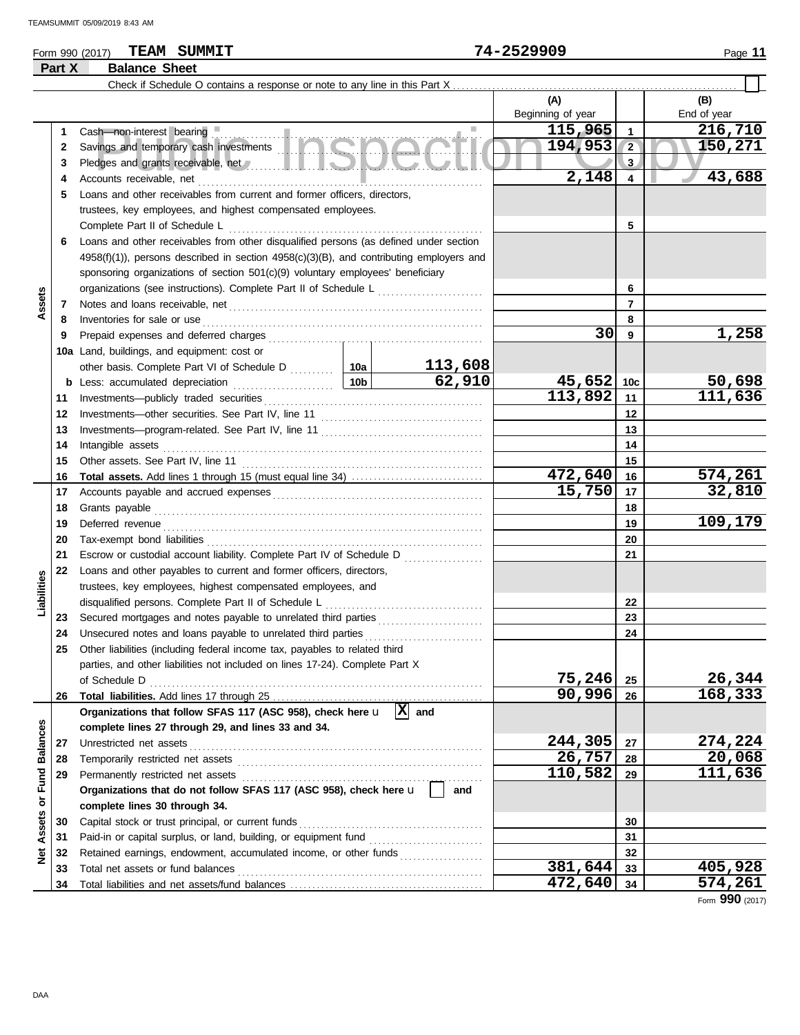# Form 990 (2017) Page **11 TEAM SUMMIT 74-2529909**

**Part X Balance Sheet**

|                                |    |                                                                                                      |                 |          | (A)               |                | (B)         |
|--------------------------------|----|------------------------------------------------------------------------------------------------------|-----------------|----------|-------------------|----------------|-------------|
|                                |    |                                                                                                      |                 |          | Beginning of year |                | End of year |
|                                | 1. | Cash-non-interest bearing                                                                            |                 |          | 115,965           | $\mathbf{1}$   | 216,710     |
|                                | 2  | Cash—non-interest bearing<br>Savings and temporary cash investments                                  |                 |          | 194, 953          | $\sqrt{2}$     | 150,271     |
|                                | 3  |                                                                                                      |                 | 3.       |                   |                |             |
|                                | 4  | Accounts receivable, net                                                                             |                 |          | 2,148             | 4              | 43,688      |
|                                | 5  | Loans and other receivables from current and former officers, directors,                             |                 |          |                   |                |             |
|                                |    | trustees, key employees, and highest compensated employees.                                          |                 |          |                   |                |             |
|                                |    | Complete Part II of Schedule L                                                                       |                 |          |                   | 5              |             |
|                                | 6  | Loans and other receivables from other disqualified persons (as defined under section                |                 |          |                   |                |             |
|                                |    | $4958(f)(1)$ ), persons described in section $4958(c)(3)(B)$ , and contributing employers and        |                 |          |                   |                |             |
|                                |    | sponsoring organizations of section 501(c)(9) voluntary employees' beneficiary                       |                 |          |                   |                |             |
|                                |    | organizations (see instructions). Complete Part II of Schedule L                                     |                 |          |                   | 6              |             |
| Assets                         | 7  |                                                                                                      |                 |          |                   | $\overline{7}$ |             |
|                                | 8  | Inventories for sale or use                                                                          |                 |          |                   | 8              |             |
|                                | 9  |                                                                                                      |                 |          | 30                | 9              | 1,258       |
|                                |    | 10a Land, buildings, and equipment: cost or                                                          |                 |          |                   |                |             |
|                                |    | other basis. Complete Part VI of Schedule D  10a                                                     |                 | 113,608  |                   |                |             |
|                                |    | <b>b</b> Less: accumulated depreciation<br>the contract of the contract of the                       | 10 <sub>b</sub> | 62,910   | 45,652            | 10c            | 50,698      |
|                                | 11 |                                                                                                      |                 |          | 113,892           | 11             | 111,636     |
|                                | 12 |                                                                                                      |                 |          |                   | 12             |             |
|                                | 13 |                                                                                                      |                 |          |                   | 13             |             |
|                                | 14 | Intangible assets                                                                                    |                 |          |                   | 14             |             |
|                                | 15 |                                                                                                      |                 | 15       |                   |                |             |
|                                | 16 |                                                                                                      |                 |          | 472,640           | 16             | 574,261     |
|                                | 17 |                                                                                                      | 15,750          | 17       | 32,810            |                |             |
|                                | 18 |                                                                                                      |                 |          |                   | 18             |             |
|                                | 19 | Deferred revenue                                                                                     |                 |          |                   | 19             | 109,179     |
|                                | 20 |                                                                                                      |                 |          |                   | 20             |             |
|                                | 21 | Escrow or custodial account liability. Complete Part IV of Schedule D                                |                 |          |                   | 21             |             |
|                                | 22 | Loans and other payables to current and former officers, directors,                                  |                 |          |                   |                |             |
| Liabilities                    |    | trustees, key employees, highest compensated employees, and                                          |                 |          |                   |                |             |
|                                |    | disqualified persons. Complete Part II of Schedule L                                                 |                 |          |                   | 22             |             |
|                                | 23 | Secured mortgages and notes payable to unrelated third parties [[[[[[[[[[[[[[[[[[[[[[[[[[[[[]]]]]]]] |                 |          |                   | 23             |             |
|                                | 24 | Unsecured notes and loans payable to unrelated third parties                                         |                 |          |                   | 24             |             |
|                                | 25 | Other liabilities (including federal income tax, payables to related third                           |                 |          |                   |                |             |
|                                |    | parties, and other liabilities not included on lines 17-24). Complete Part X                         |                 |          |                   |                |             |
|                                |    | of Schedule D                                                                                        |                 | 75,246   | 25                | 26,344         |             |
|                                | 26 |                                                                                                      |                 |          | 90,996            | 26             | 168, 333    |
|                                |    | Organizations that follow SFAS 117 (ASC 958), check here u                                           |                 | 図<br>and |                   |                |             |
|                                |    | complete lines 27 through 29, and lines 33 and 34.                                                   |                 |          |                   |                |             |
|                                | 27 | Unrestricted net assets                                                                              |                 |          | 244,305           | 27             | 274,224     |
|                                | 28 | Temporarily restricted net assets                                                                    | 26,757          | 28       | 20,068            |                |             |
|                                | 29 | Permanently restricted net assets                                                                    |                 |          | 110,582           | 29             | 111,636     |
| <b>Assets or Fund Balances</b> |    | Organizations that do not follow SFAS 117 (ASC 958), check here u                                    |                 | and      |                   |                |             |
|                                |    | complete lines 30 through 34.                                                                        |                 |          |                   |                |             |
|                                | 30 | Capital stock or trust principal, or current funds                                                   |                 |          |                   | 30             |             |
|                                | 31 | Paid-in or capital surplus, or land, building, or equipment fund                                     |                 |          |                   | 31             |             |
| $\frac{1}{2}$                  | 32 | Retained earnings, endowment, accumulated income, or other funds                                     |                 |          | 381,644           | 32             | 405,928     |
|                                | 33 | Total net assets or fund balances                                                                    |                 |          | 472,640           | 33             | 574,261     |
|                                | 34 |                                                                                                      |                 | 34       |                   |                |             |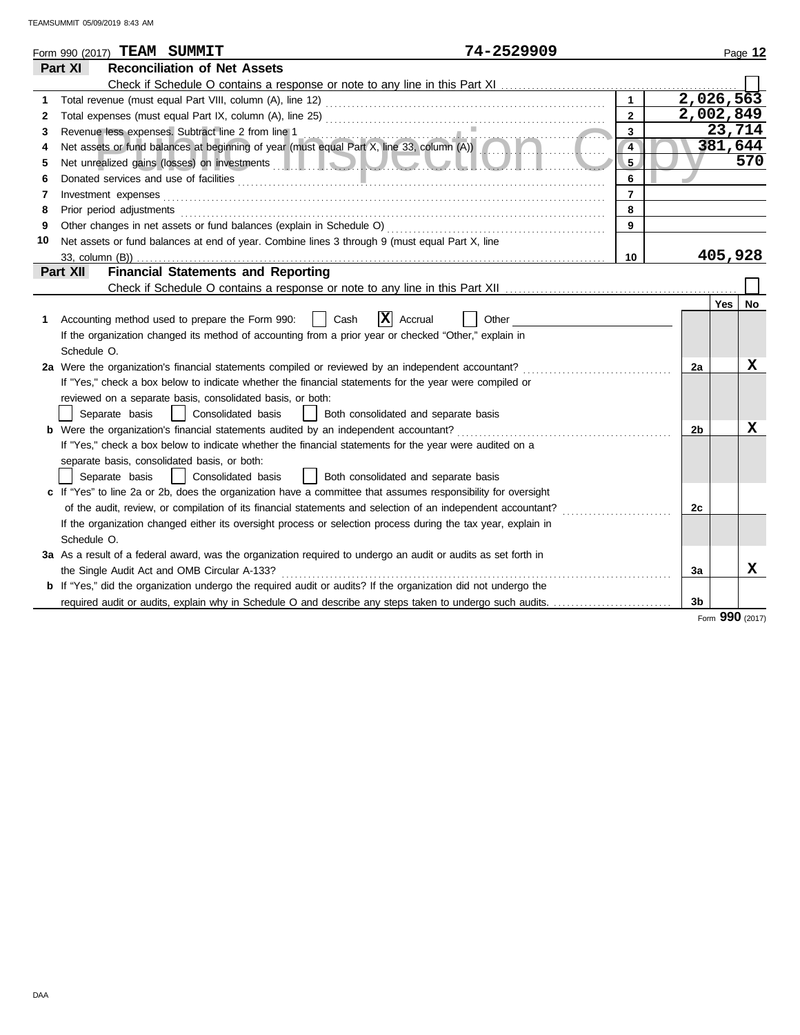| Part XI<br><b>Reconciliation of Net Assets</b>                                                                                                                                                                                                              |                |           |  |
|-------------------------------------------------------------------------------------------------------------------------------------------------------------------------------------------------------------------------------------------------------------|----------------|-----------|--|
|                                                                                                                                                                                                                                                             |                |           |  |
|                                                                                                                                                                                                                                                             |                |           |  |
| $\mathbf{1}$<br>1                                                                                                                                                                                                                                           |                | 2,026,563 |  |
| $\overline{2}$<br>2                                                                                                                                                                                                                                         |                | 2,002,849 |  |
| 3<br>3                                                                                                                                                                                                                                                      |                | 23,714    |  |
| Revenue less expenses. Subtract line 2 from line 1<br>Net assets or fund balances at beginning of year (must equal Part X, line 33, column (A))<br>$\overline{4}$                                                                                           |                | 381,644   |  |
| 5 <sub>5</sub><br>Net unrealized gains (losses) on investments <b>the contract of the contract of the contract of the contract of the contract of the contract of the contract of the contract of the contract of the contract of the contract of </b><br>5 |                | 570       |  |
| 6<br>6                                                                                                                                                                                                                                                      |                |           |  |
| $\overline{7}$<br>Investment expenses<br>7                                                                                                                                                                                                                  |                |           |  |
| 8<br>Prior period adjustments entertainments and adjustments of the contract of the contract of the contract of the contract of the contract of the contract of the contract of the contract of the contract of the contract of the<br>8                    |                |           |  |
| 9<br>9                                                                                                                                                                                                                                                      |                |           |  |
| Net assets or fund balances at end of year. Combine lines 3 through 9 (must equal Part X, line<br>10                                                                                                                                                        |                |           |  |
| 10<br>33, column (B))                                                                                                                                                                                                                                       |                | 405,928   |  |
| <b>Financial Statements and Reporting</b><br>Part XII                                                                                                                                                                                                       |                |           |  |
|                                                                                                                                                                                                                                                             |                |           |  |
|                                                                                                                                                                                                                                                             |                | Yes<br>No |  |
| x <br>Accounting method used to prepare the Form 990:<br>Cash<br>Accrual<br>Other<br>1                                                                                                                                                                      |                |           |  |
| If the organization changed its method of accounting from a prior year or checked "Other," explain in                                                                                                                                                       |                |           |  |
| Schedule O.                                                                                                                                                                                                                                                 |                |           |  |
| 2a Were the organization's financial statements compiled or reviewed by an independent accountant?                                                                                                                                                          | 2a             | х         |  |
| If "Yes," check a box below to indicate whether the financial statements for the year were compiled or                                                                                                                                                      |                |           |  |
| reviewed on a separate basis, consolidated basis, or both:                                                                                                                                                                                                  |                |           |  |
| Separate basis<br>Consolidated basis<br>Both consolidated and separate basis                                                                                                                                                                                |                |           |  |
| <b>b</b> Were the organization's financial statements audited by an independent accountant?                                                                                                                                                                 | 2b             | х         |  |
| If "Yes," check a box below to indicate whether the financial statements for the year were audited on a                                                                                                                                                     |                |           |  |
| separate basis, consolidated basis, or both:                                                                                                                                                                                                                |                |           |  |
| Consolidated basis<br>  Both consolidated and separate basis<br>Separate basis                                                                                                                                                                              |                |           |  |
| c If "Yes" to line 2a or 2b, does the organization have a committee that assumes responsibility for oversight                                                                                                                                               |                |           |  |
| of the audit, review, or compilation of its financial statements and selection of an independent accountant?                                                                                                                                                | 2 <sub>c</sub> |           |  |
| If the organization changed either its oversight process or selection process during the tax year, explain in                                                                                                                                               |                |           |  |
| Schedule O.                                                                                                                                                                                                                                                 |                |           |  |
| 3a As a result of a federal award, was the organization required to undergo an audit or audits as set forth in                                                                                                                                              |                |           |  |
| the Single Audit Act and OMB Circular A-133?                                                                                                                                                                                                                | 3a             | x         |  |
| <b>b</b> If "Yes," did the organization undergo the required audit or audits? If the organization did not undergo the                                                                                                                                       |                |           |  |
| required audit or audits, explain why in Schedule O and describe any steps taken to undergo such audits.                                                                                                                                                    | 3 <sub>b</sub> | $\sim$    |  |

Form **990** (2017)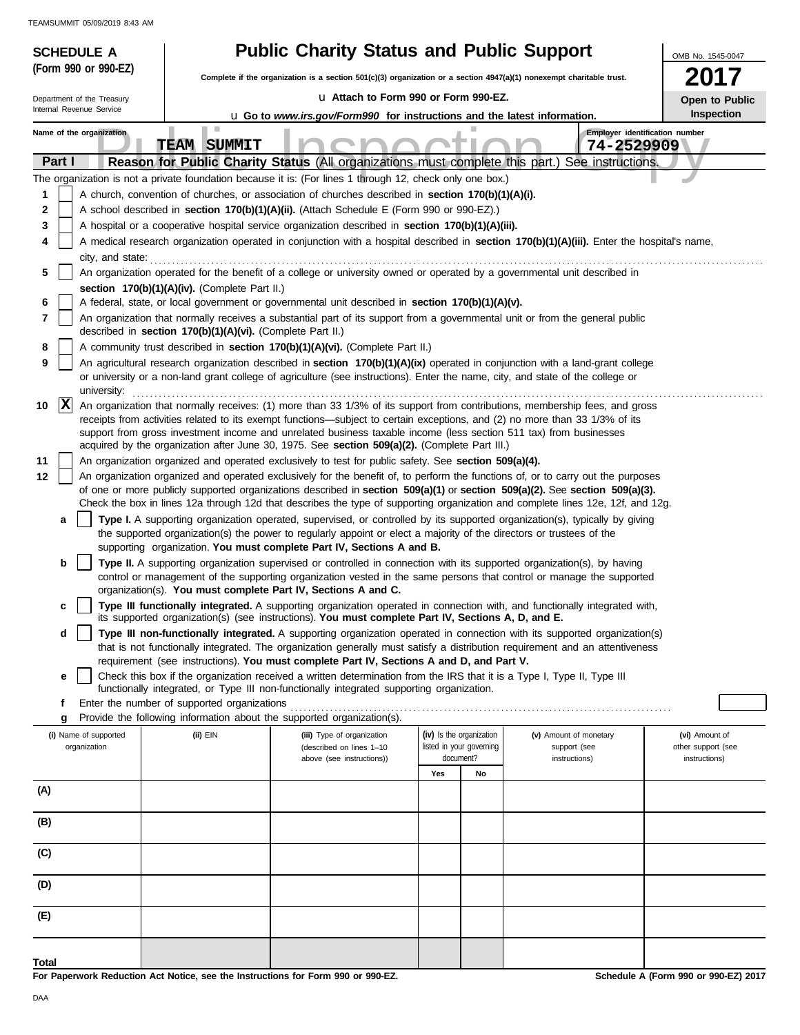| (Form 990 or 990-EZ)<br>2017<br>Complete if the organization is a section 501(c)(3) organization or a section 4947(a)(1) nonexempt charitable trust.<br>La Attach to Form 990 or Form 990-EZ.<br>Department of the Treasury<br>Open to Public<br>Internal Revenue Service<br><b>Inspection</b><br><b>u</b> Go to www.irs.gov/Form990 for instructions and the latest information. |  |  |  |  |  |  |  |  |  |  |
|-----------------------------------------------------------------------------------------------------------------------------------------------------------------------------------------------------------------------------------------------------------------------------------------------------------------------------------------------------------------------------------|--|--|--|--|--|--|--|--|--|--|
|                                                                                                                                                                                                                                                                                                                                                                                   |  |  |  |  |  |  |  |  |  |  |
|                                                                                                                                                                                                                                                                                                                                                                                   |  |  |  |  |  |  |  |  |  |  |
|                                                                                                                                                                                                                                                                                                                                                                                   |  |  |  |  |  |  |  |  |  |  |
| <b>The Contract</b><br>Employer identification number<br>Name of the organization                                                                                                                                                                                                                                                                                                 |  |  |  |  |  |  |  |  |  |  |
| <b>TEAM SUMMIT</b><br>74-2529909<br>Part I<br>Reason for Public Charity Status (All organizations must complete this part.) See instructions.                                                                                                                                                                                                                                     |  |  |  |  |  |  |  |  |  |  |
| The organization is not a private foundation because it is: (For lines 1 through 12, check only one box.)                                                                                                                                                                                                                                                                         |  |  |  |  |  |  |  |  |  |  |
| A church, convention of churches, or association of churches described in section 170(b)(1)(A)(i).<br>1                                                                                                                                                                                                                                                                           |  |  |  |  |  |  |  |  |  |  |
| A school described in section 170(b)(1)(A)(ii). (Attach Schedule E (Form 990 or 990-EZ).)<br>2                                                                                                                                                                                                                                                                                    |  |  |  |  |  |  |  |  |  |  |
| 3<br>A hospital or a cooperative hospital service organization described in section 170(b)(1)(A)(iii).                                                                                                                                                                                                                                                                            |  |  |  |  |  |  |  |  |  |  |
| A medical research organization operated in conjunction with a hospital described in section 170(b)(1)(A)(iii). Enter the hospital's name,<br>4<br>city, and state:                                                                                                                                                                                                               |  |  |  |  |  |  |  |  |  |  |
| 5<br>An organization operated for the benefit of a college or university owned or operated by a governmental unit described in                                                                                                                                                                                                                                                    |  |  |  |  |  |  |  |  |  |  |
| section 170(b)(1)(A)(iv). (Complete Part II.)                                                                                                                                                                                                                                                                                                                                     |  |  |  |  |  |  |  |  |  |  |
| A federal, state, or local government or governmental unit described in section 170(b)(1)(A)(v).<br>6                                                                                                                                                                                                                                                                             |  |  |  |  |  |  |  |  |  |  |
| An organization that normally receives a substantial part of its support from a governmental unit or from the general public<br>7<br>described in section 170(b)(1)(A)(vi). (Complete Part II.)                                                                                                                                                                                   |  |  |  |  |  |  |  |  |  |  |
| A community trust described in section 170(b)(1)(A)(vi). (Complete Part II.)<br>8                                                                                                                                                                                                                                                                                                 |  |  |  |  |  |  |  |  |  |  |
| 9<br>An agricultural research organization described in section 170(b)(1)(A)(ix) operated in conjunction with a land-grant college<br>or university or a non-land grant college of agriculture (see instructions). Enter the name, city, and state of the college or                                                                                                              |  |  |  |  |  |  |  |  |  |  |
| university:                                                                                                                                                                                                                                                                                                                                                                       |  |  |  |  |  |  |  |  |  |  |
| $ {\bf x} $<br>An organization that normally receives: (1) more than 33 1/3% of its support from contributions, membership fees, and gross<br>10                                                                                                                                                                                                                                  |  |  |  |  |  |  |  |  |  |  |
| receipts from activities related to its exempt functions—subject to certain exceptions, and (2) no more than 33 1/3% of its<br>support from gross investment income and unrelated business taxable income (less section 511 tax) from businesses                                                                                                                                  |  |  |  |  |  |  |  |  |  |  |
| acquired by the organization after June 30, 1975. See section 509(a)(2). (Complete Part III.)                                                                                                                                                                                                                                                                                     |  |  |  |  |  |  |  |  |  |  |
| 11<br>An organization organized and operated exclusively to test for public safety. See section 509(a)(4).                                                                                                                                                                                                                                                                        |  |  |  |  |  |  |  |  |  |  |
| 12<br>An organization organized and operated exclusively for the benefit of, to perform the functions of, or to carry out the purposes<br>of one or more publicly supported organizations described in section 509(a)(1) or section 509(a)(2). See section 509(a)(3).                                                                                                             |  |  |  |  |  |  |  |  |  |  |
| Check the box in lines 12a through 12d that describes the type of supporting organization and complete lines 12e, 12f, and 12g.                                                                                                                                                                                                                                                   |  |  |  |  |  |  |  |  |  |  |
| Type I. A supporting organization operated, supervised, or controlled by its supported organization(s), typically by giving<br>a                                                                                                                                                                                                                                                  |  |  |  |  |  |  |  |  |  |  |
| the supported organization(s) the power to regularly appoint or elect a majority of the directors or trustees of the<br>supporting organization. You must complete Part IV, Sections A and B.                                                                                                                                                                                     |  |  |  |  |  |  |  |  |  |  |
| Type II. A supporting organization supervised or controlled in connection with its supported organization(s), by having<br>b                                                                                                                                                                                                                                                      |  |  |  |  |  |  |  |  |  |  |
| control or management of the supporting organization vested in the same persons that control or manage the supported                                                                                                                                                                                                                                                              |  |  |  |  |  |  |  |  |  |  |
| organization(s). You must complete Part IV, Sections A and C.                                                                                                                                                                                                                                                                                                                     |  |  |  |  |  |  |  |  |  |  |
| Type III functionally integrated. A supporting organization operated in connection with, and functionally integrated with,<br>c<br>its supported organization(s) (see instructions). You must complete Part IV, Sections A, D, and E.                                                                                                                                             |  |  |  |  |  |  |  |  |  |  |
| Type III non-functionally integrated. A supporting organization operated in connection with its supported organization(s)<br>d                                                                                                                                                                                                                                                    |  |  |  |  |  |  |  |  |  |  |
| that is not functionally integrated. The organization generally must satisfy a distribution requirement and an attentiveness<br>requirement (see instructions). You must complete Part IV, Sections A and D, and Part V.                                                                                                                                                          |  |  |  |  |  |  |  |  |  |  |
| Check this box if the organization received a written determination from the IRS that it is a Type I, Type II, Type III<br>е                                                                                                                                                                                                                                                      |  |  |  |  |  |  |  |  |  |  |
| functionally integrated, or Type III non-functionally integrated supporting organization.                                                                                                                                                                                                                                                                                         |  |  |  |  |  |  |  |  |  |  |
| Enter the number of supported organizations<br>f<br>Provide the following information about the supported organization(s).<br>g                                                                                                                                                                                                                                                   |  |  |  |  |  |  |  |  |  |  |
| (iv) Is the organization<br>(i) Name of supported<br>(ii) EIN<br>(iii) Type of organization<br>(v) Amount of monetary<br>(vi) Amount of                                                                                                                                                                                                                                           |  |  |  |  |  |  |  |  |  |  |
| listed in your governing<br>organization<br>(described on lines 1-10<br>support (see<br>other support (see<br>document?                                                                                                                                                                                                                                                           |  |  |  |  |  |  |  |  |  |  |
| above (see instructions))<br>instructions)<br>instructions)<br>Yes<br>No                                                                                                                                                                                                                                                                                                          |  |  |  |  |  |  |  |  |  |  |
| (A)                                                                                                                                                                                                                                                                                                                                                                               |  |  |  |  |  |  |  |  |  |  |
|                                                                                                                                                                                                                                                                                                                                                                                   |  |  |  |  |  |  |  |  |  |  |
| (B)                                                                                                                                                                                                                                                                                                                                                                               |  |  |  |  |  |  |  |  |  |  |
| (C)                                                                                                                                                                                                                                                                                                                                                                               |  |  |  |  |  |  |  |  |  |  |
| (D)                                                                                                                                                                                                                                                                                                                                                                               |  |  |  |  |  |  |  |  |  |  |
| (E)                                                                                                                                                                                                                                                                                                                                                                               |  |  |  |  |  |  |  |  |  |  |
|                                                                                                                                                                                                                                                                                                                                                                                   |  |  |  |  |  |  |  |  |  |  |
| Total                                                                                                                                                                                                                                                                                                                                                                             |  |  |  |  |  |  |  |  |  |  |

**For Paperwork Reduction Act Notice, see the Instructions for Form 990 or 990-EZ.**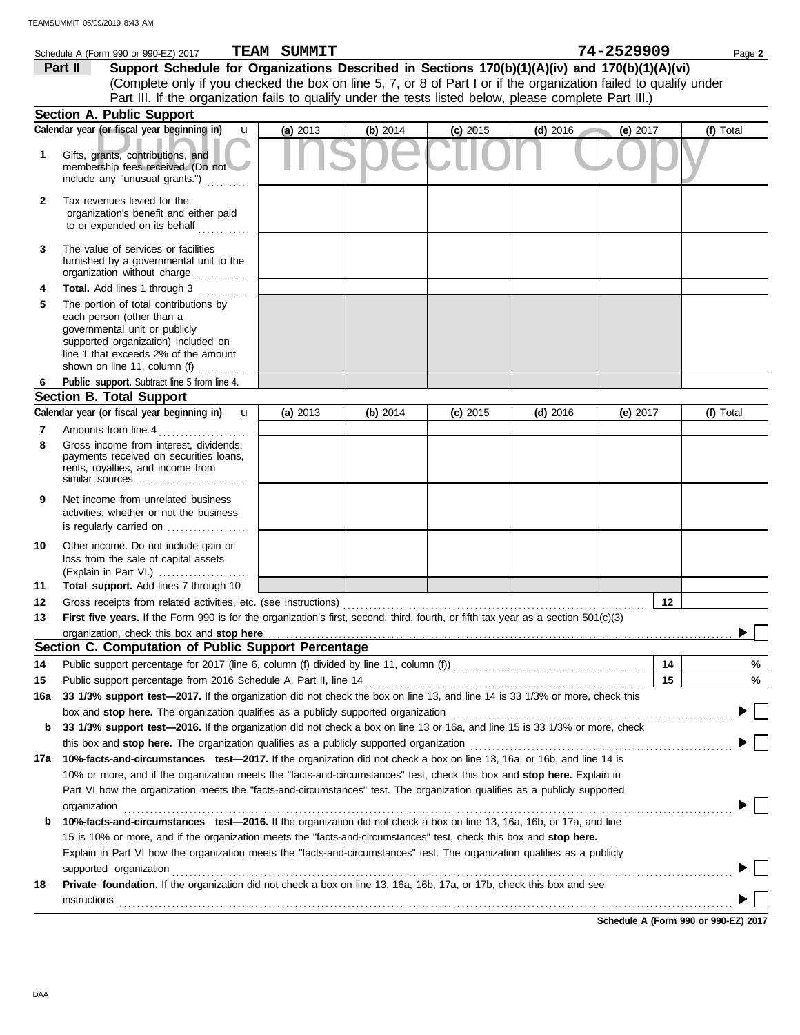|        | Schedule A (Form 990 or 990-EZ) 2017                                                                                                                                                                                                                 | <b>TEAM SUMMIT</b> |          |            |            | 74-2529909 | Page 2    |
|--------|------------------------------------------------------------------------------------------------------------------------------------------------------------------------------------------------------------------------------------------------------|--------------------|----------|------------|------------|------------|-----------|
|        | Support Schedule for Organizations Described in Sections 170(b)(1)(A)(iv) and 170(b)(1)(A)(vi)<br>Part II                                                                                                                                            |                    |          |            |            |            |           |
|        | (Complete only if you checked the box on line 5, 7, or 8 of Part I or if the organization failed to qualify under                                                                                                                                    |                    |          |            |            |            |           |
|        | Part III. If the organization fails to qualify under the tests listed below, please complete Part III.)                                                                                                                                              |                    |          |            |            |            |           |
|        | Section A. Public Support                                                                                                                                                                                                                            |                    |          |            |            |            |           |
|        | Calendar year (or fiscal year beginning in)<br>$\mathbf{u}$                                                                                                                                                                                          | (a) 2013           | (b) 2014 | $(c)$ 2015 | $(d)$ 2016 | (e) 2017   | (f) Total |
| 1      | Gifts, grants, contributions, and<br>membership fees received. (Do not<br>include any "unusual grants.")                                                                                                                                             |                    |          |            |            |            |           |
| 2      | Tax revenues levied for the<br>organization's benefit and either paid<br>to or expended on its behalf                                                                                                                                                |                    |          |            |            |            |           |
| 3      | The value of services or facilities<br>furnished by a governmental unit to the<br>organization without charge                                                                                                                                        |                    |          |            |            |            |           |
| 4      | Total. Add lines 1 through 3                                                                                                                                                                                                                         |                    |          |            |            |            |           |
| 5      | The portion of total contributions by<br>each person (other than a<br>governmental unit or publicly<br>supported organization) included on<br>line 1 that exceeds 2% of the amount<br>shown on line 11, column (f)                                   |                    |          |            |            |            |           |
| 6      | Public support. Subtract line 5 from line 4.                                                                                                                                                                                                         |                    |          |            |            |            |           |
|        | <b>Section B. Total Support</b>                                                                                                                                                                                                                      |                    |          |            |            |            |           |
|        | Calendar year (or fiscal year beginning in)<br>$\mathbf{u}$                                                                                                                                                                                          | (a) 2013           | (b) 2014 | $(c)$ 2015 | $(d)$ 2016 | (e) $2017$ | (f) Total |
| 7<br>8 | Amounts from line 4<br>Gross income from interest, dividends,<br>payments received on securities loans,<br>rents, royalties, and income from<br>similar sources                                                                                      |                    |          |            |            |            |           |
| 9      | Net income from unrelated business<br>activities, whether or not the business<br>is regularly carried on                                                                                                                                             |                    |          |            |            |            |           |
| 10     | Other income. Do not include gain or<br>loss from the sale of capital assets<br>(Explain in Part VI.)                                                                                                                                                |                    |          |            |            |            |           |
| 11     | Total support. Add lines 7 through 10                                                                                                                                                                                                                |                    |          |            |            |            |           |
| 12     |                                                                                                                                                                                                                                                      |                    |          |            |            |            | 12        |
| 13     | First five years. If the Form 990 is for the organization's first, second, third, fourth, or fifth tax year as a section 501(c)(3)                                                                                                                   |                    |          |            |            |            |           |
|        | organization, check this box and stop here<br>Section C. Computation of Public Support Percentage                                                                                                                                                    |                    |          |            |            |            |           |
|        |                                                                                                                                                                                                                                                      |                    |          |            |            |            |           |
| 14     |                                                                                                                                                                                                                                                      |                    |          |            |            |            | 14<br>%   |
| 15     | Public support percentage from 2016 Schedule A, Part II, line 14<br>33 1/3% support test-2017. If the organization did not check the box on line 13, and line 14 is 33 1/3% or more, check this                                                      |                    |          |            |            |            | 15<br>%   |
| 16a    |                                                                                                                                                                                                                                                      |                    |          |            |            |            |           |
|        | box and stop here. The organization qualifies as a publicly supported organization<br>33 1/3% support test-2016. If the organization did not check a box on line 13 or 16a, and line 15 is 33 1/3% or more, check                                    |                    |          |            |            |            |           |
| b      |                                                                                                                                                                                                                                                      |                    |          |            |            |            |           |
|        | this box and stop here. The organization qualifies as a publicly supported organization                                                                                                                                                              |                    |          |            |            |            |           |
| 17a    | 10%-facts-and-circumstances test-2017. If the organization did not check a box on line 13, 16a, or 16b, and line 14 is                                                                                                                               |                    |          |            |            |            |           |
|        | 10% or more, and if the organization meets the "facts-and-circumstances" test, check this box and stop here. Explain in<br>Part VI how the organization meets the "facts-and-circumstances" test. The organization qualifies as a publicly supported |                    |          |            |            |            |           |
|        | organization                                                                                                                                                                                                                                         |                    |          |            |            |            |           |
| b      | 10%-facts-and-circumstances test-2016. If the organization did not check a box on line 13, 16a, 16b, or 17a, and line                                                                                                                                |                    |          |            |            |            |           |
|        | 15 is 10% or more, and if the organization meets the "facts-and-circumstances" test, check this box and stop here.                                                                                                                                   |                    |          |            |            |            |           |
|        | Explain in Part VI how the organization meets the "facts-and-circumstances" test. The organization qualifies as a publicly                                                                                                                           |                    |          |            |            |            |           |
| 18     | supported organization<br>Private foundation. If the organization did not check a box on line 13, 16a, 16b, 17a, or 17b, check this box and see                                                                                                      |                    |          |            |            |            |           |
|        | instructions                                                                                                                                                                                                                                         |                    |          |            |            |            |           |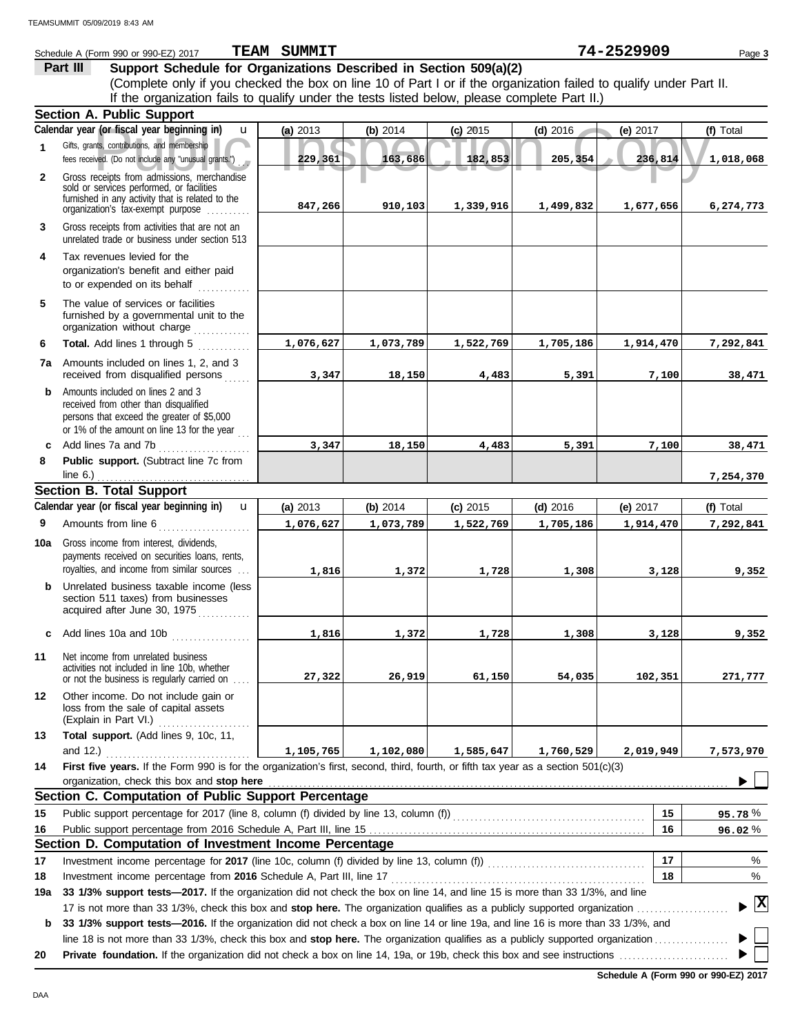|              | Schedule A (Form 990 or 990-EZ) 2017                                                                                                                                    | <b>TEAM SUMMIT</b> |           |            |            | 74-2529909 | Page 3       |
|--------------|-------------------------------------------------------------------------------------------------------------------------------------------------------------------------|--------------------|-----------|------------|------------|------------|--------------|
|              | Support Schedule for Organizations Described in Section 509(a)(2)<br>Part III                                                                                           |                    |           |            |            |            |              |
|              | (Complete only if you checked the box on line 10 of Part I or if the organization failed to qualify under Part II.                                                      |                    |           |            |            |            |              |
|              | If the organization fails to qualify under the tests listed below, please complete Part II.)                                                                            |                    |           |            |            |            |              |
|              | <b>Section A. Public Support</b>                                                                                                                                        |                    |           |            |            |            |              |
|              | Calendar year (or fiscal year beginning in)<br>$\mathbf{u}$                                                                                                             | (a) 2013           | (b) 2014  | $(c)$ 2015 | $(d)$ 2016 | (e) 2017   | (f) Total    |
| 1            | Gifts, grants, contributions, and membership<br>fees received. (Do not include any "unusual grants.")                                                                   | 229,361            | 163,686   | 182,853    | 205,354    | 236,814    | 1,018,068    |
| $\mathbf{2}$ | Gross receipts from admissions, merchandise<br>sold or services performed, or facilities                                                                                |                    |           |            |            |            |              |
|              | furnished in any activity that is related to the<br>organization's tax-exempt purpose                                                                                   | 847,266            | 910,103   | 1,339,916  | 1,499,832  | 1,677,656  | 6,274,773    |
| 3            | Gross receipts from activities that are not an<br>unrelated trade or business under section 513                                                                         |                    |           |            |            |            |              |
| 4            | Tax revenues levied for the<br>organization's benefit and either paid<br>to or expended on its behalf                                                                   |                    |           |            |            |            |              |
| 5            | The value of services or facilities<br>furnished by a governmental unit to the<br>organization without charge                                                           |                    |           |            |            |            |              |
| 6            | Total. Add lines 1 through 5                                                                                                                                            | 1,076,627          | 1,073,789 | 1,522,769  | 1,705,186  | 1,914,470  | 7,292,841    |
|              | 7a Amounts included on lines 1, 2, and 3<br>received from disqualified persons                                                                                          | 3,347              | 18,150    | 4,483      | 5,391      | 7,100      | 38,471       |
| b            | Amounts included on lines 2 and 3<br>received from other than disqualified<br>persons that exceed the greater of \$5,000<br>or 1% of the amount on line 13 for the year |                    |           |            |            |            |              |
| c            | Add lines 7a and 7b                                                                                                                                                     | 3,347              | 18,150    | 4,483      | 5,391      | 7,100      | 38,471       |
| 8            | Public support. (Subtract line 7c from<br>line $6.$ )                                                                                                                   |                    |           |            |            |            | 7,254,370    |
|              | <b>Section B. Total Support</b>                                                                                                                                         |                    |           |            |            |            |              |
|              | Calendar year (or fiscal year beginning in)<br>$\mathbf{u}$                                                                                                             | (a) 2013           | (b) 2014  | $(c)$ 2015 | $(d)$ 2016 | (e) $2017$ | (f) Total    |
| 9            | Amounts from line 6<br><u> 1999 - James Barnett</u>                                                                                                                     | 1,076,627          | 1,073,789 | 1,522,769  | 1,705,186  | 1,914,470  | 7,292,841    |
| 10a          | Gross income from interest, dividends,<br>payments received on securities loans, rents,                                                                                 |                    |           |            |            |            |              |
|              | royalties, and income from similar sources                                                                                                                              | 1,816              | 1,372     | 1,728      | 1,308      | 3,128      | 9,352        |
| b            | Unrelated business taxable income (less<br>section 511 taxes) from businesses<br>acquired after June 30, 1975<br>.                                                      |                    |           |            |            |            |              |
| c            | Add lines 10a and 10b                                                                                                                                                   | 1,816              | 1,372     | 1,728      | 1,308      | 3,128      | 9,352        |
| 11           | Net income from unrelated business<br>activities not included in line 10b, whether<br>or not the business is regularly carried on<br>.                                  | 27,322             | 26,919    | 61,150     | 54,035     | 102,351    | 271,777      |
| 12           | Other income. Do not include gain or<br>loss from the sale of capital assets<br>(Explain in Part VI.)                                                                   |                    |           |            |            |            |              |
| 13           | Total support. (Add lines 9, 10c, 11,<br>and $12.$ )                                                                                                                    | 1,105,765          | 1,102,080 | 1,585,647  | 1,760,529  | 2,019,949  | 7,573,970    |
| 14           | First five years. If the Form 990 is for the organization's first, second, third, fourth, or fifth tax year as a section $501(c)(3)$                                    |                    |           |            |            |            |              |
|              | organization, check this box and stop here                                                                                                                              |                    |           |            |            |            |              |
|              | Section C. Computation of Public Support Percentage                                                                                                                     |                    |           |            |            |            |              |
| 15           | Public support percentage for 2017 (line 8, column (f) divided by line 13, column (f)) [[[[[[[[[[[[[[[[[[[[[[                                                           |                    |           |            |            | 15         | 95.78%       |
| 16           |                                                                                                                                                                         |                    |           |            |            | 16         | 96.02%       |
|              | Section D. Computation of Investment Income Percentage                                                                                                                  |                    |           |            |            |            |              |
| 17           | Investment income percentage for 2017 (line 10c, column (f) divided by line 13, column (f)) [[[[[[[[[[[[[[[[[[                                                          |                    |           |            |            | 17         | %            |
| 18           |                                                                                                                                                                         |                    |           |            |            | 18         | %            |
| 19a          | 33 1/3% support tests-2017. If the organization did not check the box on line 14, and line 15 is more than 33 1/3%, and line                                            |                    |           |            |            |            |              |
| b            | 33 1/3% support tests-2016. If the organization did not check a box on line 14 or line 19a, and line 16 is more than 33 1/3%, and                                       |                    |           |            |            |            | $\mathbf{x}$ |
|              |                                                                                                                                                                         |                    |           |            |            |            |              |
| 20           |                                                                                                                                                                         |                    |           |            |            |            |              |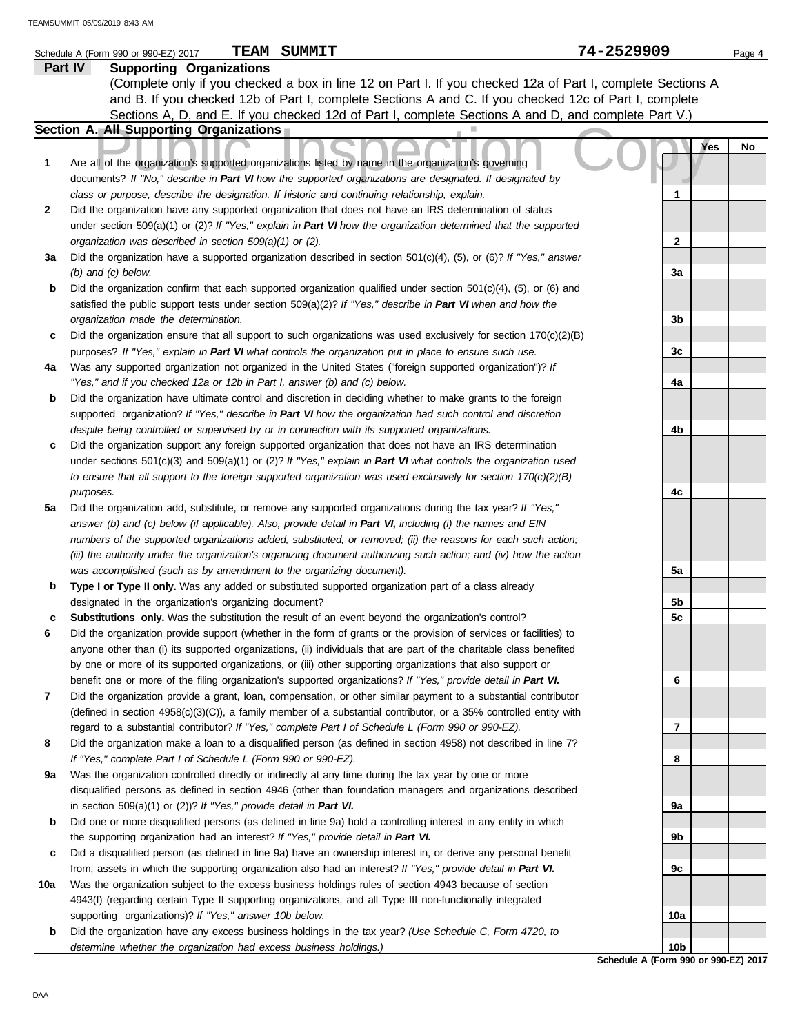|     | TEAM<br>SUMMIT<br>Schedule A (Form 990 or 990-EZ) 2017                                                                   | 74-2529909     | Page 4    |  |
|-----|--------------------------------------------------------------------------------------------------------------------------|----------------|-----------|--|
|     | <b>Part IV</b><br><b>Supporting Organizations</b>                                                                        |                |           |  |
|     | (Complete only if you checked a box in line 12 on Part I. If you checked 12a of Part I, complete Sections A              |                |           |  |
|     | and B. If you checked 12b of Part I, complete Sections A and C. If you checked 12c of Part I, complete                   |                |           |  |
|     | Sections A, D, and E. If you checked 12d of Part I, complete Sections A and D, and complete Part V.)                     |                |           |  |
|     | Section A. All Supporting Organizations                                                                                  |                |           |  |
|     |                                                                                                                          |                | Yes<br>No |  |
|     |                                                                                                                          |                |           |  |
| 1   | Are all of the organization's supported organizations listed by name in the organization's governing                     |                |           |  |
|     | documents? If "No," describe in Part VI how the supported organizations are designated. If designated by                 |                |           |  |
|     | class or purpose, describe the designation. If historic and continuing relationship, explain.                            | 1              |           |  |
| 2   | Did the organization have any supported organization that does not have an IRS determination of status                   |                |           |  |
|     | under section 509(a)(1) or (2)? If "Yes," explain in Part VI how the organization determined that the supported          |                |           |  |
|     | organization was described in section 509(a)(1) or (2).                                                                  | $\mathbf{2}$   |           |  |
| За  | Did the organization have a supported organization described in section $501(c)(4)$ , (5), or (6)? If "Yes," answer      |                |           |  |
|     | $(b)$ and $(c)$ below.                                                                                                   | 3a             |           |  |
| b   | Did the organization confirm that each supported organization qualified under section $501(c)(4)$ , $(5)$ , or $(6)$ and |                |           |  |
|     | satisfied the public support tests under section 509(a)(2)? If "Yes," describe in Part VI when and how the               |                |           |  |
|     | organization made the determination.                                                                                     | 3b             |           |  |
| c   | Did the organization ensure that all support to such organizations was used exclusively for section $170(c)(2)(B)$       |                |           |  |
|     | purposes? If "Yes," explain in Part VI what controls the organization put in place to ensure such use.                   | 3 <sub>c</sub> |           |  |
| 4a  | Was any supported organization not organized in the United States ("foreign supported organization")? If                 |                |           |  |
|     | "Yes," and if you checked 12a or 12b in Part I, answer (b) and (c) below.                                                | 4a             |           |  |
| b   | Did the organization have ultimate control and discretion in deciding whether to make grants to the foreign              |                |           |  |
|     | supported organization? If "Yes," describe in Part VI how the organization had such control and discretion               |                |           |  |
|     | despite being controlled or supervised by or in connection with its supported organizations.                             | 4b             |           |  |
| c   | Did the organization support any foreign supported organization that does not have an IRS determination                  |                |           |  |
|     | under sections $501(c)(3)$ and $509(a)(1)$ or (2)? If "Yes," explain in Part VI what controls the organization used      |                |           |  |
|     | to ensure that all support to the foreign supported organization was used exclusively for section $170(c)(2)(B)$         |                |           |  |
|     | purposes.                                                                                                                | 4c             |           |  |
| 5a  | Did the organization add, substitute, or remove any supported organizations during the tax year? If "Yes,"               |                |           |  |
|     | answer (b) and (c) below (if applicable). Also, provide detail in Part VI, including (i) the names and EIN               |                |           |  |
|     | numbers of the supported organizations added, substituted, or removed; (ii) the reasons for each such action;            |                |           |  |
|     | (iii) the authority under the organization's organizing document authorizing such action; and (iv) how the action        |                |           |  |
|     | was accomplished (such as by amendment to the organizing document).                                                      | 5a             |           |  |
| b   | Type I or Type II only. Was any added or substituted supported organization part of a class already                      |                |           |  |
|     | designated in the organization's organizing document?                                                                    | 5b             |           |  |
|     | Substitutions only. Was the substitution the result of an event beyond the organization's control?                       | 5c             |           |  |
| 6   | Did the organization provide support (whether in the form of grants or the provision of services or facilities) to       |                |           |  |
|     | anyone other than (i) its supported organizations, (ii) individuals that are part of the charitable class benefited      |                |           |  |
|     | by one or more of its supported organizations, or (iii) other supporting organizations that also support or              |                |           |  |
|     | benefit one or more of the filing organization's supported organizations? If "Yes," provide detail in Part VI.           |                |           |  |
|     |                                                                                                                          | 6              |           |  |
| 7   | Did the organization provide a grant, loan, compensation, or other similar payment to a substantial contributor          |                |           |  |
|     | (defined in section $4958(c)(3)(C)$ ), a family member of a substantial contributor, or a 35% controlled entity with     |                |           |  |
|     | regard to a substantial contributor? If "Yes," complete Part I of Schedule L (Form 990 or 990-EZ).                       | 7              |           |  |
| 8   | Did the organization make a loan to a disqualified person (as defined in section 4958) not described in line 7?          |                |           |  |
|     | If "Yes," complete Part I of Schedule L (Form 990 or 990-EZ).                                                            | 8              |           |  |
| 9a  | Was the organization controlled directly or indirectly at any time during the tax year by one or more                    |                |           |  |
|     | disqualified persons as defined in section 4946 (other than foundation managers and organizations described              |                |           |  |
|     | in section 509(a)(1) or (2))? If "Yes," provide detail in Part VI.                                                       | 9a             |           |  |
| b   | Did one or more disqualified persons (as defined in line 9a) hold a controlling interest in any entity in which          |                |           |  |
|     | the supporting organization had an interest? If "Yes," provide detail in Part VI.                                        | 9b             |           |  |
| c   | Did a disqualified person (as defined in line 9a) have an ownership interest in, or derive any personal benefit          |                |           |  |
|     | from, assets in which the supporting organization also had an interest? If "Yes," provide detail in Part VI.             | 9с             |           |  |
| 10a | Was the organization subject to the excess business holdings rules of section 4943 because of section                    |                |           |  |
|     | 4943(f) (regarding certain Type II supporting organizations, and all Type III non-functionally integrated                |                |           |  |
|     | supporting organizations)? If "Yes," answer 10b below.                                                                   | 10a            |           |  |
| b   | Did the organization have any excess business holdings in the tax year? (Use Schedule C, Form 4720, to                   |                |           |  |
|     | determine whether the organization had excess business holdings.)                                                        | 10b            |           |  |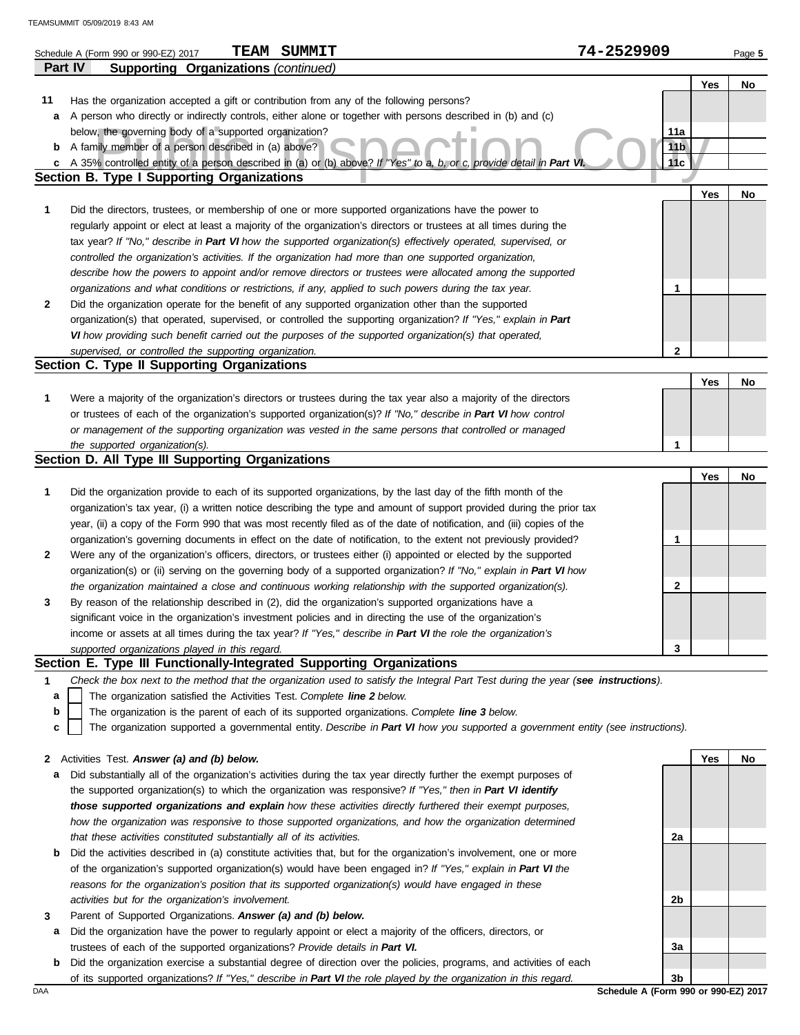|              | <b>TEAM SUMMIT</b><br>Schedule A (Form 990 or 990-EZ) 2017                                                                                                                | 74-2529909             |     | Page 5 |
|--------------|---------------------------------------------------------------------------------------------------------------------------------------------------------------------------|------------------------|-----|--------|
|              | <b>Supporting Organizations (continued)</b><br>Part IV                                                                                                                    |                        |     |        |
|              |                                                                                                                                                                           |                        | Yes | No     |
| 11           | Has the organization accepted a gift or contribution from any of the following persons?                                                                                   |                        |     |        |
| a            | A person who directly or indirectly controls, either alone or together with persons described in (b) and (c)                                                              |                        |     |        |
|              | below, the governing body of a supported organization?                                                                                                                    | 11a                    |     |        |
| b            | A family member of a person described in (a) above?                                                                                                                       | 11 <sub>b</sub><br>11c |     |        |
| c            | A 35% controlled entity of a person described in (a) or (b) above? If "Yes" to a, b, or c, provide detail in Part Vi<br><b>Section B. Type I Supporting Organizations</b> |                        |     |        |
|              |                                                                                                                                                                           |                        | Yes | No     |
| 1            | Did the directors, trustees, or membership of one or more supported organizations have the power to                                                                       |                        |     |        |
|              | regularly appoint or elect at least a majority of the organization's directors or trustees at all times during the                                                        |                        |     |        |
|              | tax year? If "No," describe in Part VI how the supported organization(s) effectively operated, supervised, or                                                             |                        |     |        |
|              | controlled the organization's activities. If the organization had more than one supported organization,                                                                   |                        |     |        |
|              | describe how the powers to appoint and/or remove directors or trustees were allocated among the supported                                                                 |                        |     |        |
|              | organizations and what conditions or restrictions, if any, applied to such powers during the tax year.                                                                    | 1                      |     |        |
| 2            | Did the organization operate for the benefit of any supported organization other than the supported                                                                       |                        |     |        |
|              | organization(s) that operated, supervised, or controlled the supporting organization? If "Yes," explain in Part                                                           |                        |     |        |
|              | VI how providing such benefit carried out the purposes of the supported organization(s) that operated,                                                                    |                        |     |        |
|              | supervised, or controlled the supporting organization.                                                                                                                    | 2                      |     |        |
|              | Section C. Type II Supporting Organizations                                                                                                                               |                        |     |        |
|              |                                                                                                                                                                           |                        | Yes | No     |
| 1            | Were a majority of the organization's directors or trustees during the tax year also a majority of the directors                                                          |                        |     |        |
|              | or trustees of each of the organization's supported organization(s)? If "No," describe in Part VI how control                                                             |                        |     |        |
|              | or management of the supporting organization was vested in the same persons that controlled or managed                                                                    |                        |     |        |
|              | the supported organization(s).                                                                                                                                            | 1                      |     |        |
|              | Section D. All Type III Supporting Organizations                                                                                                                          |                        |     |        |
|              |                                                                                                                                                                           |                        | Yes | No     |
| 1            | Did the organization provide to each of its supported organizations, by the last day of the fifth month of the                                                            |                        |     |        |
|              | organization's tax year, (i) a written notice describing the type and amount of support provided during the prior tax                                                     |                        |     |        |
|              | year, (ii) a copy of the Form 990 that was most recently filed as of the date of notification, and (iii) copies of the                                                    |                        |     |        |
|              | organization's governing documents in effect on the date of notification, to the extent not previously provided?                                                          | 1                      |     |        |
| 2            | Were any of the organization's officers, directors, or trustees either (i) appointed or elected by the supported                                                          |                        |     |        |
|              | organization(s) or (ii) serving on the governing body of a supported organization? If "No," explain in Part VI how                                                        |                        |     |        |
|              | the organization maintained a close and continuous working relationship with the supported organization(s).                                                               | 2                      |     |        |
| 3            | By reason of the relationship described in (2), did the organization's supported organizations have a                                                                     |                        |     |        |
|              | significant voice in the organization's investment policies and in directing the use of the organization's                                                                |                        |     |        |
|              | income or assets at all times during the tax year? If "Yes," describe in Part VI the role the organization's                                                              |                        |     |        |
|              | supported organizations played in this regard.                                                                                                                            | 3                      |     |        |
|              | Section E. Type III Functionally-Integrated Supporting Organizations                                                                                                      |                        |     |        |
| 1            | Check the box next to the method that the organization used to satisfy the Integral Part Test during the year (see instructions).                                         |                        |     |        |
| a            | The organization satisfied the Activities Test. Complete line 2 below.                                                                                                    |                        |     |        |
| b            | The organization is the parent of each of its supported organizations. Complete line 3 below.                                                                             |                        |     |        |
| c            | The organization supported a governmental entity. Describe in Part VI how you supported a government entity (see instructions).                                           |                        |     |        |
|              |                                                                                                                                                                           |                        |     |        |
| $\mathbf{z}$ | Activities Test. Answer (a) and (b) below.                                                                                                                                |                        | Yes | No     |
| а            | Did substantially all of the organization's activities during the tax year directly further the exempt purposes of                                                        |                        |     |        |
|              | the supported organization(s) to which the organization was responsive? If "Yes," then in Part VI identify                                                                |                        |     |        |
|              | those supported organizations and explain how these activities directly furthered their exempt purposes,                                                                  |                        |     |        |
|              | how the organization was responsive to those supported organizations, and how the organization determined                                                                 |                        |     |        |
|              | that these activities constituted substantially all of its activities.                                                                                                    | 2a                     |     |        |
| b            | Did the activities described in (a) constitute activities that, but for the organization's involvement, one or more                                                       |                        |     |        |
|              | of the organization's supported organization(s) would have been engaged in? If "Yes," explain in Part VI the                                                              |                        |     |        |

**3** Parent of Supported Organizations. *Answer (a) and (b) below.*

*activities but for the organization's involvement.*

**a** Did the organization have the power to regularly appoint or elect a majority of the officers, directors, or trustees of each of the supported organizations? *Provide details in Part VI.*

*reasons for the organization's position that its supported organization(s) would have engaged in these* 

**b** Did the organization exercise a substantial degree of direction over the policies, programs, and activities of each of its supported organizations? *If "Yes," describe in Part VI the role played by the organization in this regard.*

DAA **Schedule A (Form 990 or 990-EZ) 2017 3b**

**2b**

**3a**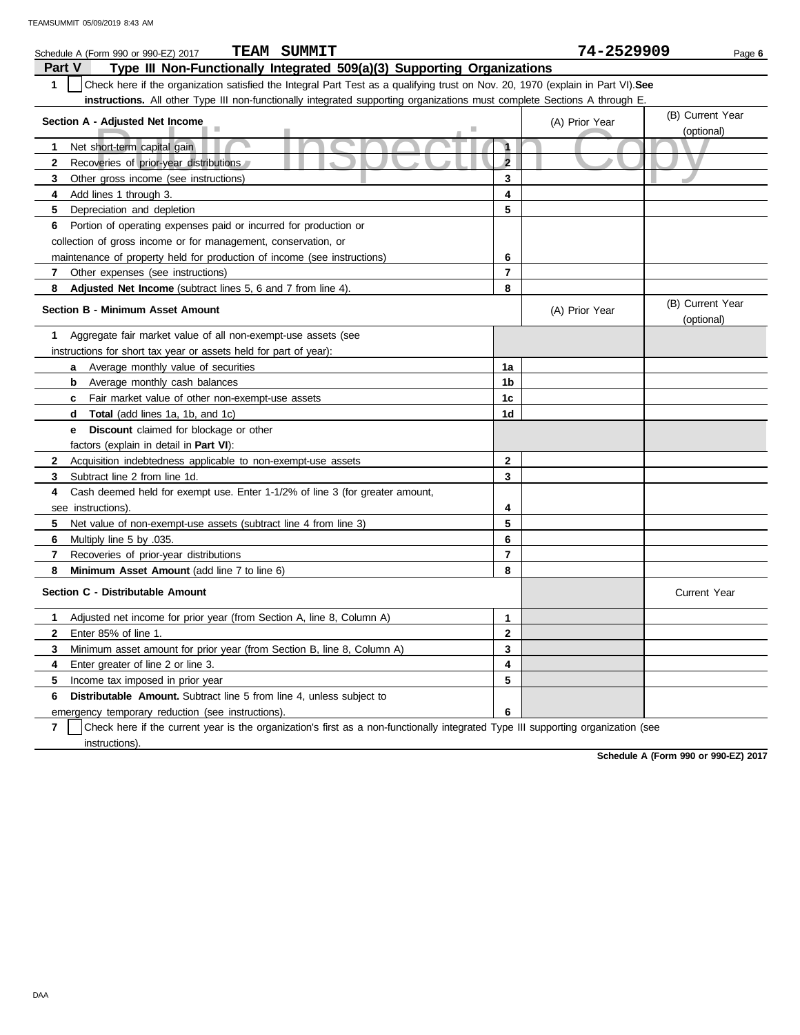| <b>TEAM SUMMIT</b><br>Schedule A (Form 990 or 990-EZ) 2017                                                                                       |                         | 74-2529909     | Page 6                         |
|--------------------------------------------------------------------------------------------------------------------------------------------------|-------------------------|----------------|--------------------------------|
| <b>Part V</b><br>Type III Non-Functionally Integrated 509(a)(3) Supporting Organizations                                                         |                         |                |                                |
| Check here if the organization satisfied the Integral Part Test as a qualifying trust on Nov. 20, 1970 (explain in Part VI). See<br>$\mathbf{1}$ |                         |                |                                |
| instructions. All other Type III non-functionally integrated supporting organizations must complete Sections A through E.                        |                         |                |                                |
| Section A - Adjusted Net Income                                                                                                                  |                         | (A) Prior Year | (B) Current Year               |
| Ш                                                                                                                                                |                         |                | (optional)                     |
| Net short-term capital gain<br>$\mathbf{1}$                                                                                                      | $\mathbf{1}$            |                |                                |
| $\mathbf{2}$<br>Recoveries of prior-year distributions                                                                                           | $\overline{2}$          |                |                                |
| 3<br>Other gross income (see instructions)                                                                                                       | 3                       |                |                                |
| Add lines 1 through 3.<br>4                                                                                                                      | 4                       |                |                                |
| 5<br>Depreciation and depletion                                                                                                                  | 5                       |                |                                |
| Portion of operating expenses paid or incurred for production or<br>6                                                                            |                         |                |                                |
| collection of gross income or for management, conservation, or                                                                                   |                         |                |                                |
| maintenance of property held for production of income (see instructions)                                                                         | 6                       |                |                                |
| 7<br>Other expenses (see instructions)                                                                                                           | $\overline{\mathbf{r}}$ |                |                                |
| 8<br><b>Adjusted Net Income</b> (subtract lines 5, 6 and 7 from line 4).                                                                         | 8                       |                |                                |
| <b>Section B - Minimum Asset Amount</b>                                                                                                          |                         | (A) Prior Year | (B) Current Year<br>(optional) |
| Aggregate fair market value of all non-exempt-use assets (see<br>1                                                                               |                         |                |                                |
| instructions for short tax year or assets held for part of year):                                                                                |                         |                |                                |
| <b>a</b> Average monthly value of securities                                                                                                     | 1a                      |                |                                |
| <b>b</b> Average monthly cash balances                                                                                                           | 1b                      |                |                                |
| Fair market value of other non-exempt-use assets<br>c                                                                                            | 1c                      |                |                                |
| Total (add lines 1a, 1b, and 1c)<br>d                                                                                                            | 1 <sub>d</sub>          |                |                                |
| <b>Discount</b> claimed for blockage or other<br>е                                                                                               |                         |                |                                |
| factors (explain in detail in <b>Part VI</b> ):                                                                                                  |                         |                |                                |
| $\mathbf{2}$<br>Acquisition indebtedness applicable to non-exempt-use assets                                                                     | $\mathbf{2}$            |                |                                |
| Subtract line 2 from line 1d.<br>3                                                                                                               | 3                       |                |                                |
| Cash deemed held for exempt use. Enter 1-1/2% of line 3 (for greater amount,<br>4                                                                |                         |                |                                |
| see instructions)                                                                                                                                | 4                       |                |                                |
| 5<br>Net value of non-exempt-use assets (subtract line 4 from line 3)                                                                            | 5                       |                |                                |
| 6<br>Multiply line 5 by .035.                                                                                                                    | 6                       |                |                                |
| $\overline{7}$<br>Recoveries of prior-year distributions                                                                                         | $\overline{7}$          |                |                                |
| 8<br>Minimum Asset Amount (add line 7 to line 6)                                                                                                 | 8                       |                |                                |
| Section C - Distributable Amount                                                                                                                 |                         |                | <b>Current Year</b>            |
| 1<br>Adjusted net income for prior year (from Section A, line 8, Column A)                                                                       | $\mathbf{1}$            |                |                                |
| $\mathbf{2}$<br>Enter 85% of line 1.                                                                                                             | $\mathbf{2}$            |                |                                |
| 3<br>Minimum asset amount for prior year (from Section B, line 8, Column A)                                                                      | 3                       |                |                                |
| 4<br>Enter greater of line 2 or line 3.                                                                                                          | 4                       |                |                                |
| 5<br>Income tax imposed in prior year                                                                                                            | 5                       |                |                                |
| <b>Distributable Amount.</b> Subtract line 5 from line 4, unless subject to<br>6                                                                 |                         |                |                                |
| emergency temporary reduction (see instructions).                                                                                                | 6                       |                |                                |

**7** instructions). Check here if the current year is the organization's first as a non-functionally integrated Type III supporting organization (see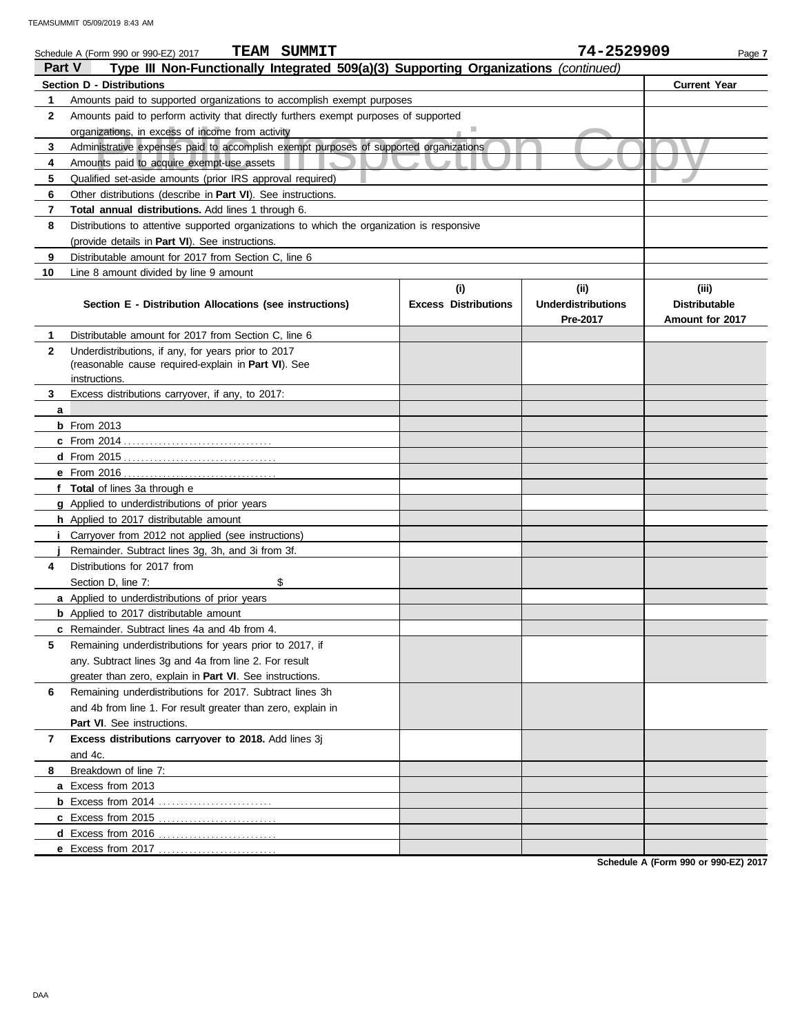|              | <b>TEAM SUMMIT</b><br>Schedule A (Form 990 or 990-EZ) 2017                                 |                             | 74-2529909                | Page 7               |  |  |  |
|--------------|--------------------------------------------------------------------------------------------|-----------------------------|---------------------------|----------------------|--|--|--|
| Part V       | Type III Non-Functionally Integrated 509(a)(3) Supporting Organizations (continued)        |                             |                           |                      |  |  |  |
|              | <b>Section D - Distributions</b>                                                           |                             |                           | <b>Current Year</b>  |  |  |  |
| 1            | Amounts paid to supported organizations to accomplish exempt purposes                      |                             |                           |                      |  |  |  |
| $\mathbf{2}$ | Amounts paid to perform activity that directly furthers exempt purposes of supported       |                             |                           |                      |  |  |  |
|              | organizations, in excess of income from activity                                           |                             |                           |                      |  |  |  |
| 3            | Administrative expenses paid to accomplish exempt purposes of supported organizations      |                             |                           |                      |  |  |  |
| 4            | Amounts paid to acquire exempt-use assets                                                  |                             |                           |                      |  |  |  |
| 5            | Qualified set-aside amounts (prior IRS approval required)                                  |                             |                           |                      |  |  |  |
| 6            | Other distributions (describe in Part VI). See instructions.                               |                             |                           |                      |  |  |  |
| 7            | Total annual distributions. Add lines 1 through 6.                                         |                             |                           |                      |  |  |  |
| 8            | Distributions to attentive supported organizations to which the organization is responsive |                             |                           |                      |  |  |  |
|              | (provide details in Part VI). See instructions.                                            |                             |                           |                      |  |  |  |
| 9            | Distributable amount for 2017 from Section C, line 6                                       |                             |                           |                      |  |  |  |
| 10           | Line 8 amount divided by line 9 amount                                                     |                             |                           |                      |  |  |  |
|              |                                                                                            | (i)                         | (ii)                      | (iii)                |  |  |  |
|              | Section E - Distribution Allocations (see instructions)                                    | <b>Excess Distributions</b> | <b>Underdistributions</b> | <b>Distributable</b> |  |  |  |
|              |                                                                                            |                             | Pre-2017                  | Amount for 2017      |  |  |  |
| 1            | Distributable amount for 2017 from Section C, line 6                                       |                             |                           |                      |  |  |  |
| $\mathbf{2}$ | Underdistributions, if any, for years prior to 2017                                        |                             |                           |                      |  |  |  |
|              | (reasonable cause required-explain in Part VI). See<br>instructions.                       |                             |                           |                      |  |  |  |
| 3            | Excess distributions carryover, if any, to 2017:                                           |                             |                           |                      |  |  |  |
| a            |                                                                                            |                             |                           |                      |  |  |  |
|              | $b$ From 2013                                                                              |                             |                           |                      |  |  |  |
|              |                                                                                            |                             |                           |                      |  |  |  |
|              |                                                                                            |                             |                           |                      |  |  |  |
|              | e From 2016                                                                                |                             |                           |                      |  |  |  |
|              | f Total of lines 3a through e                                                              |                             |                           |                      |  |  |  |
|              | g Applied to underdistributions of prior years                                             |                             |                           |                      |  |  |  |
|              | <b>h</b> Applied to 2017 distributable amount                                              |                             |                           |                      |  |  |  |
|              | Carryover from 2012 not applied (see instructions)                                         |                             |                           |                      |  |  |  |
|              | Remainder. Subtract lines 3g, 3h, and 3i from 3f.                                          |                             |                           |                      |  |  |  |
| 4            | Distributions for 2017 from                                                                |                             |                           |                      |  |  |  |
|              | \$<br>Section D, line 7:                                                                   |                             |                           |                      |  |  |  |
|              | a Applied to underdistributions of prior years                                             |                             |                           |                      |  |  |  |
|              | <b>b</b> Applied to 2017 distributable amount                                              |                             |                           |                      |  |  |  |
|              | c Remainder. Subtract lines 4a and 4b from 4.                                              |                             |                           |                      |  |  |  |
| 5            | Remaining underdistributions for years prior to 2017, if                                   |                             |                           |                      |  |  |  |
|              | any. Subtract lines 3g and 4a from line 2. For result                                      |                             |                           |                      |  |  |  |
|              | greater than zero, explain in Part VI. See instructions.                                   |                             |                           |                      |  |  |  |
| 6            | Remaining underdistributions for 2017. Subtract lines 3h                                   |                             |                           |                      |  |  |  |
|              | and 4b from line 1. For result greater than zero, explain in                               |                             |                           |                      |  |  |  |
|              | Part VI. See instructions.                                                                 |                             |                           |                      |  |  |  |
| 7            | Excess distributions carryover to 2018. Add lines 3j                                       |                             |                           |                      |  |  |  |
|              | and 4c.                                                                                    |                             |                           |                      |  |  |  |
| 8            | Breakdown of line 7:                                                                       |                             |                           |                      |  |  |  |
|              | a Excess from 2013                                                                         |                             |                           |                      |  |  |  |
|              |                                                                                            |                             |                           |                      |  |  |  |
|              | c Excess from 2015                                                                         |                             |                           |                      |  |  |  |
|              | d Excess from 2016                                                                         |                             |                           |                      |  |  |  |
|              | e Excess from 2017                                                                         |                             |                           |                      |  |  |  |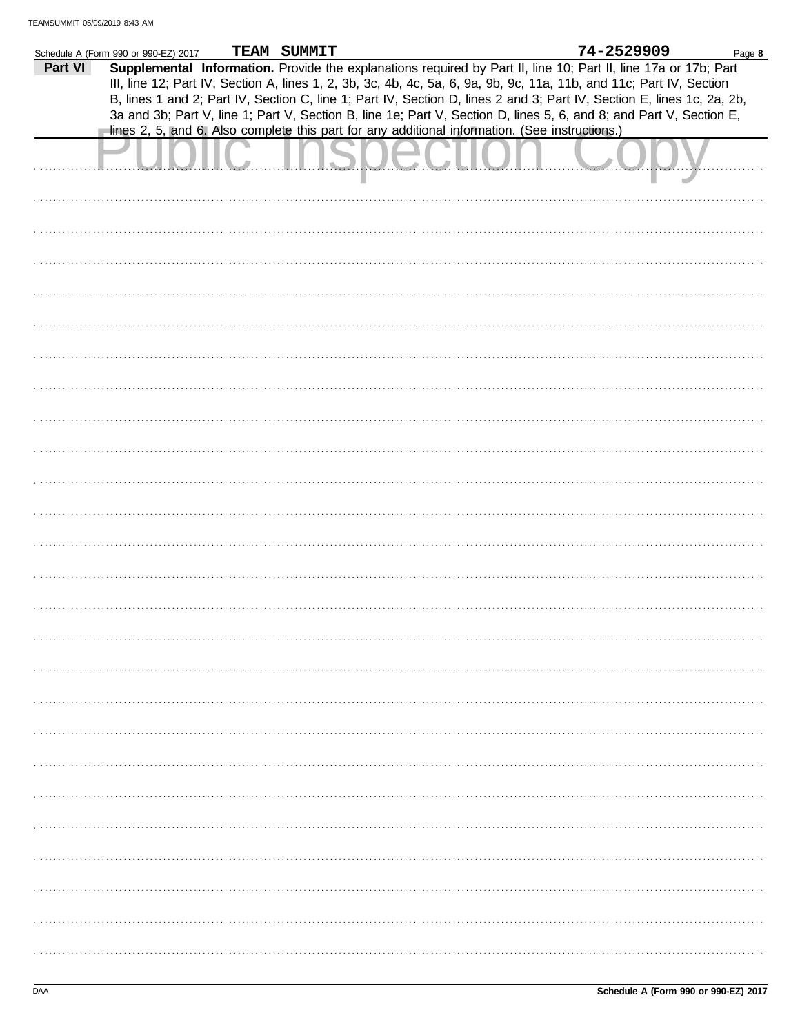|         | Schedule A (Form 990 or 990-EZ) 2017 | TEAM SUMMIT |                                                                                                | 74-2529909                                                                                                             | Page 8 |
|---------|--------------------------------------|-------------|------------------------------------------------------------------------------------------------|------------------------------------------------------------------------------------------------------------------------|--------|
| Part VI |                                      |             |                                                                                                | Supplemental Information. Provide the explanations required by Part II, line 10; Part II, line 17a or 17b; Part        |        |
|         |                                      |             |                                                                                                |                                                                                                                        |        |
|         |                                      |             |                                                                                                | III, line 12; Part IV, Section A, lines 1, 2, 3b, 3c, 4b, 4c, 5a, 6, 9a, 9b, 9c, 11a, 11b, and 11c; Part IV, Section   |        |
|         |                                      |             |                                                                                                | B, lines 1 and 2; Part IV, Section C, line 1; Part IV, Section D, lines 2 and 3; Part IV, Section E, lines 1c, 2a, 2b, |        |
|         |                                      |             |                                                                                                | 3a and 3b; Part V, line 1; Part V, Section B, line 1e; Part V, Section D, lines 5, 6, and 8; and Part V, Section E,    |        |
|         |                                      |             |                                                                                                |                                                                                                                        |        |
|         |                                      |             | lines 2, 5, and 6. Also complete this part for any additional information. (See instructions.) |                                                                                                                        |        |
|         |                                      |             |                                                                                                |                                                                                                                        |        |
|         |                                      |             |                                                                                                |                                                                                                                        |        |
|         |                                      |             |                                                                                                |                                                                                                                        |        |
|         |                                      |             |                                                                                                |                                                                                                                        |        |
|         |                                      |             |                                                                                                |                                                                                                                        |        |
|         |                                      |             |                                                                                                |                                                                                                                        |        |
|         |                                      |             |                                                                                                |                                                                                                                        |        |
|         |                                      |             |                                                                                                |                                                                                                                        |        |
|         |                                      |             |                                                                                                |                                                                                                                        |        |
|         |                                      |             |                                                                                                |                                                                                                                        |        |
|         |                                      |             |                                                                                                |                                                                                                                        |        |
|         |                                      |             |                                                                                                |                                                                                                                        |        |
|         |                                      |             |                                                                                                |                                                                                                                        |        |
|         |                                      |             |                                                                                                |                                                                                                                        |        |
|         |                                      |             |                                                                                                |                                                                                                                        |        |
|         |                                      |             |                                                                                                |                                                                                                                        |        |
|         |                                      |             |                                                                                                |                                                                                                                        |        |
|         |                                      |             |                                                                                                |                                                                                                                        |        |
|         |                                      |             |                                                                                                |                                                                                                                        |        |
|         |                                      |             |                                                                                                |                                                                                                                        |        |
|         |                                      |             |                                                                                                |                                                                                                                        |        |
|         |                                      |             |                                                                                                |                                                                                                                        |        |
|         |                                      |             |                                                                                                |                                                                                                                        |        |
|         |                                      |             |                                                                                                |                                                                                                                        |        |
|         |                                      |             |                                                                                                |                                                                                                                        |        |
|         |                                      |             |                                                                                                |                                                                                                                        |        |
|         |                                      |             |                                                                                                |                                                                                                                        |        |
|         |                                      |             |                                                                                                |                                                                                                                        |        |
|         |                                      |             |                                                                                                |                                                                                                                        |        |
|         |                                      |             |                                                                                                |                                                                                                                        |        |
|         |                                      |             |                                                                                                |                                                                                                                        |        |
|         |                                      |             |                                                                                                |                                                                                                                        |        |
|         |                                      |             |                                                                                                |                                                                                                                        |        |
|         |                                      |             |                                                                                                |                                                                                                                        |        |
|         |                                      |             |                                                                                                |                                                                                                                        |        |
|         |                                      |             |                                                                                                |                                                                                                                        |        |
|         |                                      |             |                                                                                                |                                                                                                                        |        |
|         |                                      |             |                                                                                                |                                                                                                                        |        |
|         |                                      |             |                                                                                                |                                                                                                                        |        |
|         |                                      |             |                                                                                                |                                                                                                                        |        |
|         |                                      |             |                                                                                                |                                                                                                                        |        |
|         |                                      |             |                                                                                                |                                                                                                                        |        |
|         |                                      |             |                                                                                                |                                                                                                                        |        |
|         |                                      |             |                                                                                                |                                                                                                                        |        |
|         |                                      |             |                                                                                                |                                                                                                                        |        |
|         |                                      |             |                                                                                                |                                                                                                                        |        |
|         |                                      |             |                                                                                                |                                                                                                                        |        |
|         |                                      |             |                                                                                                |                                                                                                                        |        |
|         |                                      |             |                                                                                                |                                                                                                                        |        |
|         |                                      |             |                                                                                                |                                                                                                                        |        |
|         |                                      |             |                                                                                                |                                                                                                                        |        |
|         |                                      |             |                                                                                                |                                                                                                                        |        |
|         |                                      |             |                                                                                                |                                                                                                                        |        |
|         |                                      |             |                                                                                                |                                                                                                                        |        |
|         |                                      |             |                                                                                                |                                                                                                                        |        |
|         |                                      |             |                                                                                                |                                                                                                                        |        |
|         |                                      |             |                                                                                                |                                                                                                                        |        |
|         |                                      |             |                                                                                                |                                                                                                                        |        |
|         |                                      |             |                                                                                                |                                                                                                                        |        |
|         |                                      |             |                                                                                                |                                                                                                                        |        |
|         |                                      |             |                                                                                                |                                                                                                                        |        |
|         |                                      |             |                                                                                                |                                                                                                                        |        |
|         |                                      |             |                                                                                                |                                                                                                                        |        |
|         |                                      |             |                                                                                                |                                                                                                                        |        |
|         |                                      |             |                                                                                                |                                                                                                                        |        |
|         |                                      |             |                                                                                                |                                                                                                                        |        |
|         |                                      |             |                                                                                                |                                                                                                                        |        |
|         |                                      |             |                                                                                                |                                                                                                                        |        |
|         |                                      |             |                                                                                                |                                                                                                                        |        |
|         |                                      |             |                                                                                                |                                                                                                                        |        |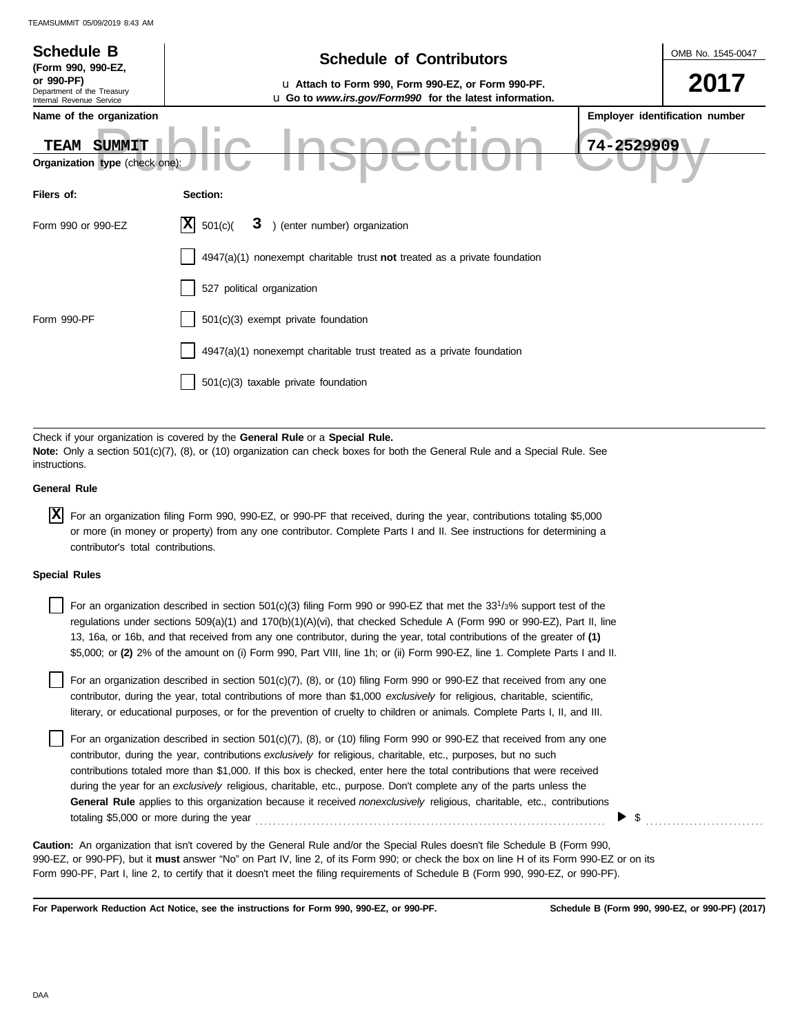| <b>Schedule B</b><br>(Form 990, 990-EZ,                              | <b>Schedule of Contributors</b>                                                                                                                                                                             | OMB No. 1545-0047              |
|----------------------------------------------------------------------|-------------------------------------------------------------------------------------------------------------------------------------------------------------------------------------------------------------|--------------------------------|
| or 990-PF)<br>Department of the Treasury<br>Internal Revenue Service | u Attach to Form 990, Form 990-EZ, or Form 990-PF.<br>u Go to www.irs.gov/Form990 for the latest information.                                                                                               | 2017                           |
| Name of the organization                                             |                                                                                                                                                                                                             | Employer identification number |
| TEAM<br>SUMMIT<br>Organization type (check one):                     |                                                                                                                                                                                                             | 74-2529909                     |
| Filers of:                                                           | Section:                                                                                                                                                                                                    |                                |
| Form 990 or 990-EZ                                                   | X <br>) (enter number) organization<br>501(c)<br>3                                                                                                                                                          |                                |
|                                                                      | 4947(a)(1) nonexempt charitable trust not treated as a private foundation                                                                                                                                   |                                |
|                                                                      | 527 political organization                                                                                                                                                                                  |                                |
| Form 990-PF                                                          | 501(c)(3) exempt private foundation                                                                                                                                                                         |                                |
|                                                                      | 4947(a)(1) nonexempt charitable trust treated as a private foundation                                                                                                                                       |                                |
|                                                                      | 501(c)(3) taxable private foundation                                                                                                                                                                        |                                |
|                                                                      |                                                                                                                                                                                                             |                                |
| instructions.                                                        | Check if your organization is covered by the General Rule or a Special Rule.<br>Note: Only a section 501(c)(7), (8), or (10) organization can check boxes for both the General Rule and a Special Rule. See |                                |

**General Rule**

| $X$ For an organization filing Form 990, 990-EZ, or 990-PF that received, during the year, contributions totaling \$5,000 |
|---------------------------------------------------------------------------------------------------------------------------|
| or more (in money or property) from any one contributor. Complete Parts I and II. See instructions for determining a      |
| contributor's total contributions.                                                                                        |

### **Special Rules**

| For an organization described in section 501(c)(3) filing Form 990 or 990-EZ that met the $331/3%$ support test of the      |
|-----------------------------------------------------------------------------------------------------------------------------|
| regulations under sections 509(a)(1) and 170(b)(1)(A)(vi), that checked Schedule A (Form 990 or 990-EZ), Part II, line      |
| 13, 16a, or 16b, and that received from any one contributor, during the year, total contributions of the greater of (1)     |
| \$5,000; or (2) 2% of the amount on (i) Form 990, Part VIII, line 1h; or (ii) Form 990-EZ, line 1. Complete Parts I and II. |

literary, or educational purposes, or for the prevention of cruelty to children or animals. Complete Parts I, II, and III. For an organization described in section 501(c)(7), (8), or (10) filing Form 990 or 990-EZ that received from any one contributor, during the year, total contributions of more than \$1,000 *exclusively* for religious, charitable, scientific,

For an organization described in section 501(c)(7), (8), or (10) filing Form 990 or 990-EZ that received from any one contributor, during the year, contributions *exclusively* for religious, charitable, etc., purposes, but no such contributions totaled more than \$1,000. If this box is checked, enter here the total contributions that were received during the year for an *exclusively* religious, charitable, etc., purpose. Don't complete any of the parts unless the **General Rule** applies to this organization because it received *nonexclusively* religious, charitable, etc., contributions totaling \$5,000 or more during the year . . . . . . . . . . . . . . . . . . . . . . . . . . . . . . . . . . . . . . . . . . . . . . . . . . . . . . . . . . . . . . . . . . . . . . . . . . . . . . . .

990-EZ, or 990-PF), but it **must** answer "No" on Part IV, line 2, of its Form 990; or check the box on line H of its Form 990-EZ or on its Form 990-PF, Part I, line 2, to certify that it doesn't meet the filing requirements of Schedule B (Form 990, 990-EZ, or 990-PF). **Caution:** An organization that isn't covered by the General Rule and/or the Special Rules doesn't file Schedule B (Form 990,

**For Paperwork Reduction Act Notice, see the instructions for Form 990, 990-EZ, or 990-PF.**

\$ . . . . . . . . . . . . . . . . . . . . . . . . . . .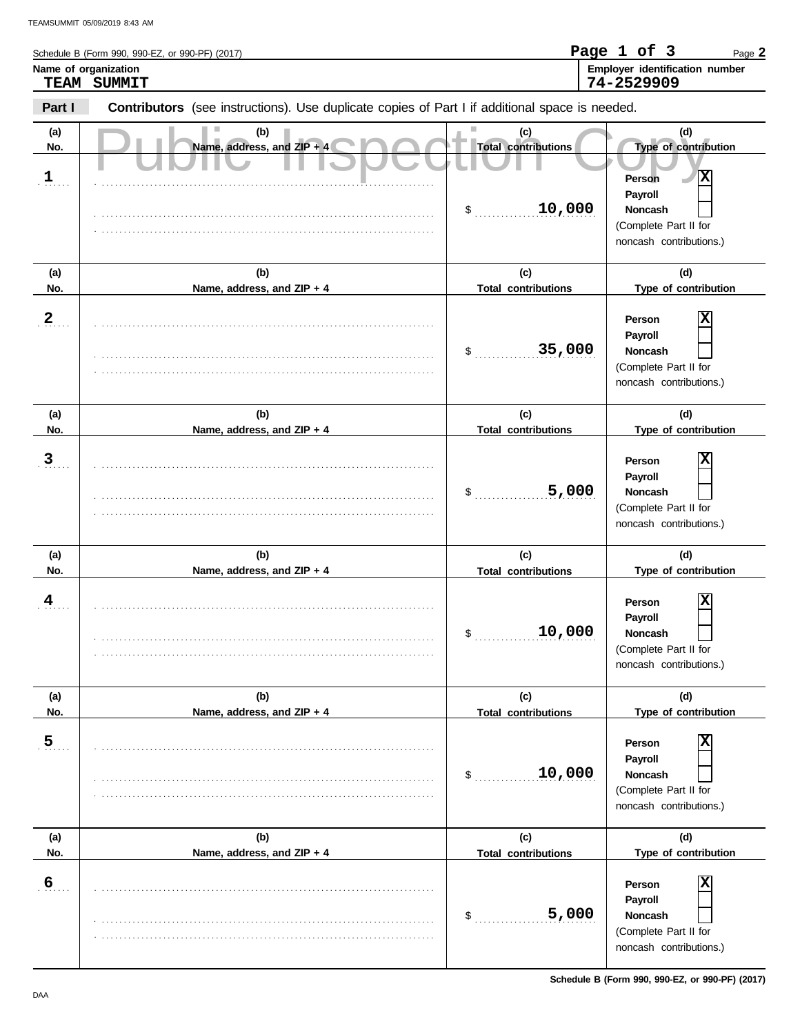| Name of organization | TEAM SUMMIT                                                                                    |                                   | Employer identification number<br>74-2529909                                                 |
|----------------------|------------------------------------------------------------------------------------------------|-----------------------------------|----------------------------------------------------------------------------------------------|
| Part I               | Contributors (see instructions). Use duplicate copies of Part I if additional space is needed. |                                   |                                                                                              |
| (a)<br>No.           | (b)<br>Name, address, and ZIP + 4                                                              | (c)<br><b>Total contributions</b> | (d)<br>Type of contribution                                                                  |
| $\frac{1}{2}$        |                                                                                                | 10,000<br>\$                      | x<br><b>Person</b><br>Payroll<br>Noncash<br>(Complete Part II for<br>noncash contributions.) |
| (a)<br>No.           | (b)<br>Name, address, and ZIP + 4                                                              | (c)<br><b>Total contributions</b> | (d)<br>Type of contribution                                                                  |
| $\mathbf{2}$         |                                                                                                | 35,000<br>\$                      | х<br>Person<br>Payroll<br>Noncash<br>(Complete Part II for<br>noncash contributions.)        |
| (a)<br>No.           | (b)<br>Name, address, and ZIP + 4                                                              | (c)<br><b>Total contributions</b> | (d)<br>Type of contribution                                                                  |
| $\overline{3}$       |                                                                                                | 5,000<br>\$                       | Х<br>Person<br>Payroll<br><b>Noncash</b><br>(Complete Part II for<br>noncash contributions.) |
| (a)<br>No.           | (b)<br>Name, address, and ZIP + 4                                                              | (c)<br><b>Total contributions</b> | (d)<br>Type of contribution                                                                  |
| 4                    |                                                                                                | 10,000<br>\$                      | X<br>Person<br>Payroll<br><b>Noncash</b><br>(Complete Part II for<br>noncash contributions.) |
| (a)<br>No.           | (b)<br>Name, address, and ZIP + 4                                                              | (c)<br><b>Total contributions</b> | (d)<br>Type of contribution                                                                  |
| $\frac{5}{2}$        |                                                                                                | 10,000<br>\$                      | х<br>Person<br>Payroll<br>Noncash<br>(Complete Part II for<br>noncash contributions.)        |
| (a)<br>No.           | (b)<br>Name, address, and ZIP + 4                                                              | (c)<br><b>Total contributions</b> | (d)<br>Type of contribution                                                                  |
| $\frac{6}{1}$        |                                                                                                | 5,000<br>$\mathsf{\$}$            | х<br>Person<br>Payroll<br>Noncash<br>(Complete Part II for                                   |

noncash contributions.)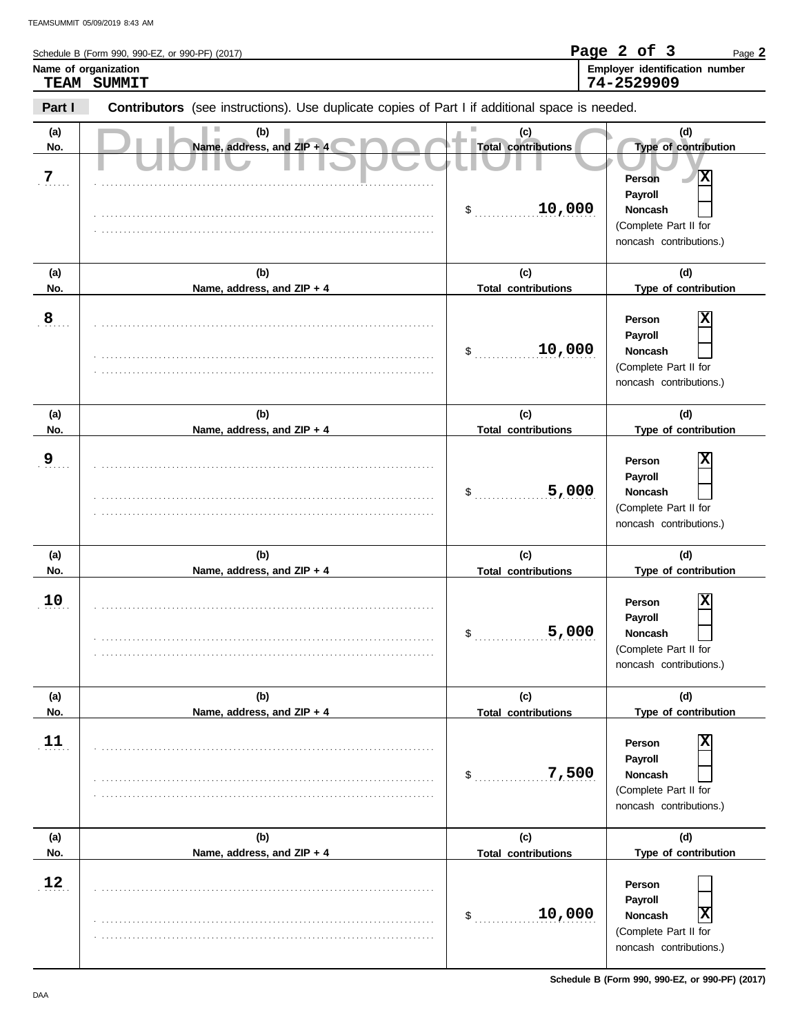| Name of organization | Schedule B (Form 990, 990-EZ, or 990-PF) (2017)<br>TEAM SUMMIT                                 |                                                   | Page 2 of 3<br>Page 2<br>Employer identification number<br>74-2529909                                                |
|----------------------|------------------------------------------------------------------------------------------------|---------------------------------------------------|----------------------------------------------------------------------------------------------------------------------|
| Part I               | Contributors (see instructions). Use duplicate copies of Part I if additional space is needed. |                                                   |                                                                                                                      |
| (a)<br>No.<br>7      | (b)<br>Name, address, and ZIP + 4                                                              | (c)<br><b>Total contributions</b><br>10,000<br>\$ | (d)<br>Type of contribution<br>x<br>Person<br>Payroll<br>Noncash<br>(Complete Part II for<br>noncash contributions.) |
| (a)<br>No.           | (b)<br>Name, address, and ZIP + 4                                                              | (c)<br><b>Total contributions</b>                 | (d)<br>Type of contribution                                                                                          |
| 8                    |                                                                                                | 10,000<br>\$                                      | х<br>Person<br>Payroll<br>Noncash<br>(Complete Part II for<br>noncash contributions.)                                |
| (a)<br>No.           | (b)<br>Name, address, and ZIP + 4                                                              | (c)<br><b>Total contributions</b>                 | (d)<br>Type of contribution                                                                                          |
| 9                    |                                                                                                | 5,000<br>\$                                       | ΙX<br>Person<br>Payroll<br>Noncash<br>(Complete Part II for<br>noncash contributions.)                               |
| (a)<br>No.           | (b)<br>Name, address, and ZIP + 4                                                              | (c)<br><b>Total contributions</b>                 | (d)<br>Type of contribution                                                                                          |
| 10                   |                                                                                                | 5,000<br>\$                                       | $\overline{\mathbf{x}}$<br>Person<br>Payroll<br>Noncash<br>(Complete Part II for<br>noncash contributions.)          |
| (a)<br>No.           | (b)<br>Name, address, and ZIP + 4                                                              | (c)<br><b>Total contributions</b>                 | (d)<br>Type of contribution                                                                                          |
| 11                   |                                                                                                | 7,500<br>\$                                       | ΙX<br>Person<br>Payroll<br>Noncash<br>(Complete Part II for<br>noncash contributions.)                               |
| (a)                  | (b)                                                                                            | (c)                                               | (d)                                                                                                                  |
| No.<br>12            | Name, address, and ZIP + 4                                                                     | <b>Total contributions</b><br>10,000<br>\$        | Type of contribution<br>Person<br>Payroll<br>$\overline{\mathbf{x}}$<br>Noncash                                      |

. . . . . . . . . . . . . . . . . . . . . . . . . . . . . . . . . . . . . . . . . . . . . . . . . . . . . . . . . . . . . . . . . . . . . . . . . . . . .

(Complete Part II for noncash contributions.)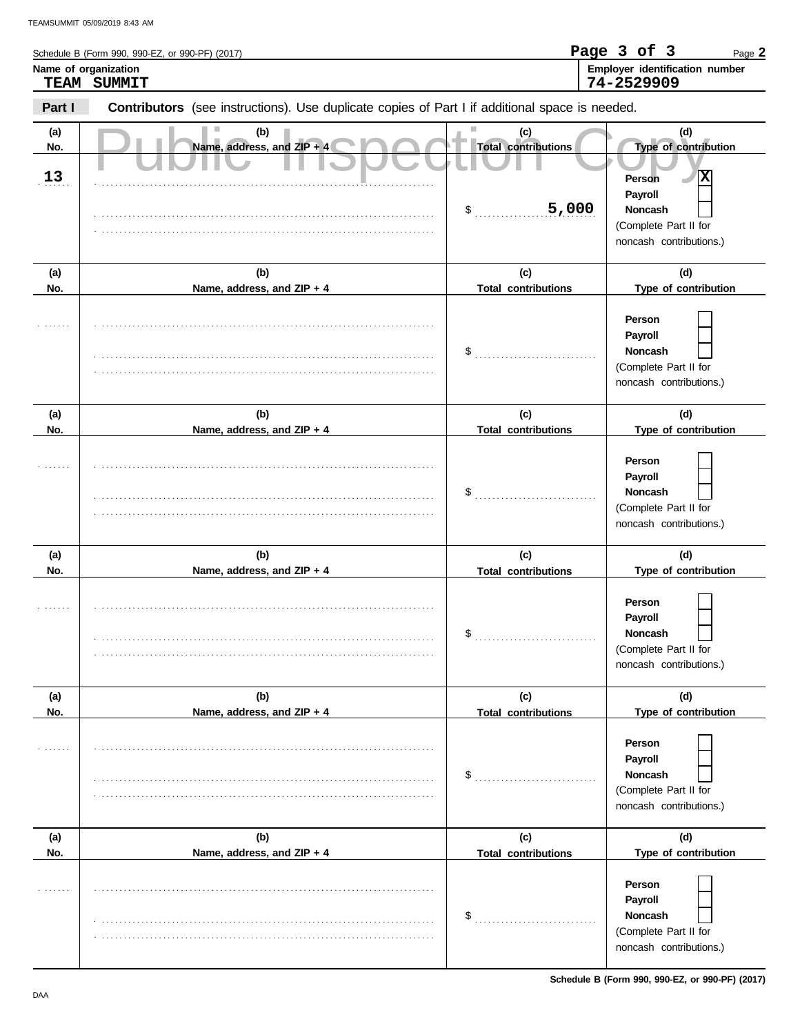|            | Name of organization<br>TEAM SUMMIT                                                            |                                   | Page 3 of 3<br>Page 2<br>Employer identification number<br>74-2529909            |
|------------|------------------------------------------------------------------------------------------------|-----------------------------------|----------------------------------------------------------------------------------|
| Part I     |                                                                                                |                                   |                                                                                  |
|            | Contributors (see instructions). Use duplicate copies of Part I if additional space is needed. |                                   |                                                                                  |
| (a)<br>No. | (b)<br>Name, address, and ZIP + 4                                                              | (c)<br><b>Total contributions</b> | (d)<br>Type of contribution                                                      |
| 13         |                                                                                                | 5,000<br>$\mathsf{\$}$            | ΙX<br><b>Person</b><br>Payroll<br>Noncash                                        |
|            |                                                                                                |                                   | (Complete Part II for<br>noncash contributions.)                                 |
| (a)        | (b)                                                                                            | (c)                               | (d)                                                                              |
| No.        | Name, address, and ZIP + 4                                                                     | <b>Total contributions</b>        | Type of contribution                                                             |
|            |                                                                                                | \$                                | Person<br>Payroll<br>Noncash<br>(Complete Part II for<br>noncash contributions.) |
| (a)        | (b)                                                                                            | (c)                               | (d)                                                                              |
| No.        | Name, address, and ZIP + 4                                                                     | <b>Total contributions</b>        | Type of contribution                                                             |
|            |                                                                                                | \$                                | Person<br>Payroll<br>Noncash<br>(Complete Part II for<br>noncash contributions.) |
| (a)        | (b)                                                                                            | (c)                               | (d)                                                                              |
| No.        | Name, address, and ZIP + 4                                                                     | <b>Total contributions</b>        | Type of contribution                                                             |
|            |                                                                                                | \$                                | Person<br>Payroll<br>Noncash<br>(Complete Part II for<br>noncash contributions.) |
| (a)        | (b)                                                                                            | (c)                               | (d)                                                                              |
| No.        | Name, address, and ZIP + 4                                                                     | <b>Total contributions</b>        | Type of contribution                                                             |
|            |                                                                                                |                                   | Person<br>Payroll<br>Noncash<br>(Complete Part II for<br>noncash contributions.) |
| (a)        | (b)                                                                                            | (c)                               | (d)                                                                              |
| No.        | Name, address, and ZIP + 4                                                                     | <b>Total contributions</b>        | Type of contribution                                                             |
|            |                                                                                                | \$                                | Person<br>Payroll<br>Noncash                                                     |
|            |                                                                                                |                                   | (Complete Part II for<br>noncash contributions.)                                 |

**Schedule B (Form 990, 990-EZ, or 990-PF) (2017)**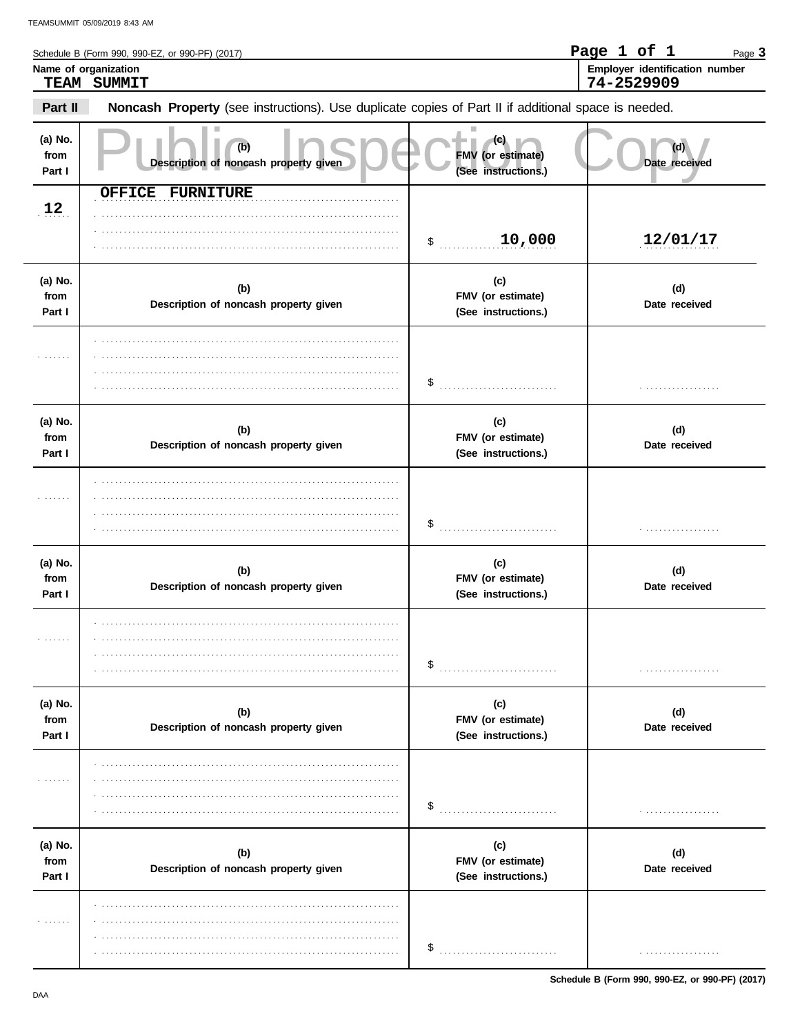|                           | Schedule B (Form 990, 990-EZ, or 990-PF) (2017)                                                     |                                                 | Page 1 of 1<br>Page 3                        |
|---------------------------|-----------------------------------------------------------------------------------------------------|-------------------------------------------------|----------------------------------------------|
|                           | Name of organization<br>TEAM SUMMIT                                                                 |                                                 | Employer identification number<br>74-2529909 |
| Part II                   | Noncash Property (see instructions). Use duplicate copies of Part II if additional space is needed. |                                                 |                                              |
| (a) No.<br>from<br>Part I | (b)<br>Description of noncash property given                                                        | FMV (or estimate)<br>(See instructions.)        | Date received                                |
| 12                        | OFFICE FURNITURE                                                                                    | 10,000<br>$\ddot{\text{S}}$                     | 12/01/17                                     |
| (a) No.<br>from<br>Part I | (b)<br>Description of noncash property given                                                        | (c)<br>FMV (or estimate)<br>(See instructions.) | (d)<br>Date received                         |
|                           |                                                                                                     | \$                                              | .                                            |
| (a) No.<br>from<br>Part I | (b)<br>Description of noncash property given                                                        | (c)<br>FMV (or estimate)<br>(See instructions.) | (d)<br>Date received                         |
|                           |                                                                                                     | \$                                              |                                              |
| (a) No.<br>from<br>Part I | (b)<br>Description of noncash property given                                                        | (c)<br>FMV (or estimate)<br>(See instructions.) | (d)<br>Date received                         |
|                           |                                                                                                     | \$                                              |                                              |
| (a) No.<br>from<br>Part I | (b)<br>Description of noncash property given                                                        | (c)<br>FMV (or estimate)<br>(See instructions.) | (d)<br>Date received                         |
|                           |                                                                                                     | \$                                              |                                              |
| (a) No.<br>from<br>Part I | (b)<br>Description of noncash property given                                                        | (c)<br>FMV (or estimate)<br>(See instructions.) | (d)<br>Date received                         |
|                           |                                                                                                     | \$                                              |                                              |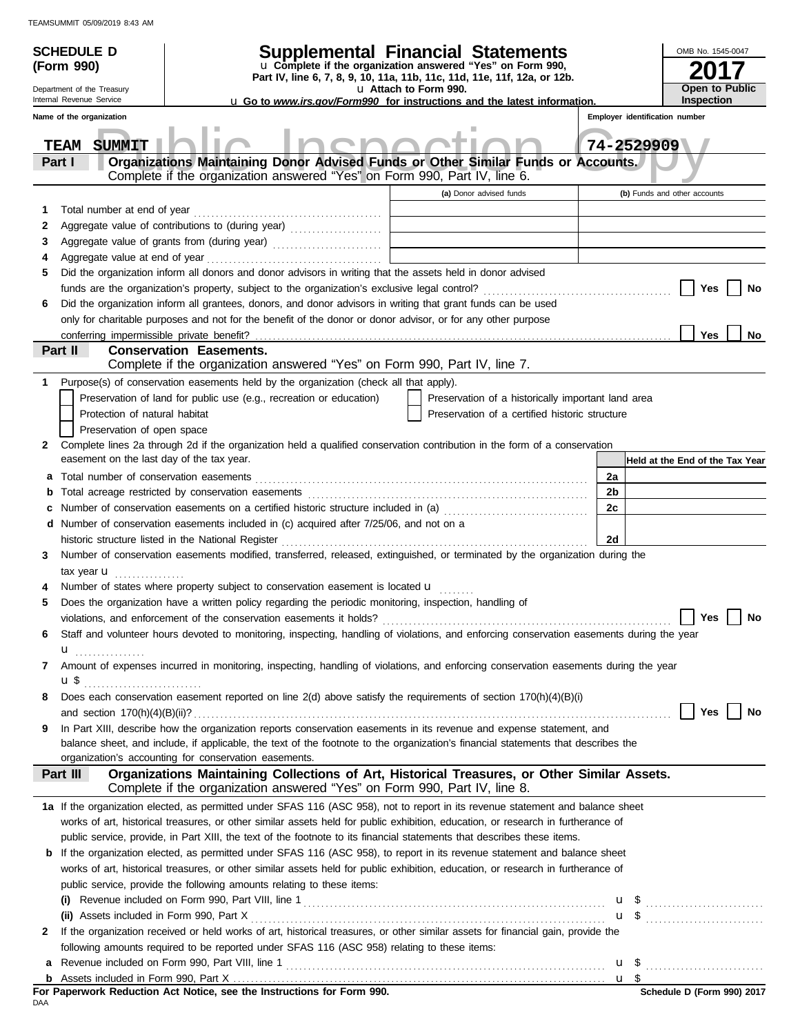|   | <b>SCHEDULE D</b><br>(Form 990)           | Part IV, line 6, 7, 8, 9, 10, 11a, 11b, 11c, 11d, 11e, 11f, 12a, or 12b.                                                                                                      | <b>Supplemental Financial Statements</b><br>u Complete if the organization answered "Yes" on Form 990, |            | OMB No. 1545-0047               |
|---|-------------------------------------------|-------------------------------------------------------------------------------------------------------------------------------------------------------------------------------|--------------------------------------------------------------------------------------------------------|------------|---------------------------------|
|   | Department of the Treasury                |                                                                                                                                                                               | u Attach to Form 990.                                                                                  |            | <b>Open to Public</b>           |
|   | Internal Revenue Service                  | <b>u</b> Go to www.irs.gov/Form990 for instructions and the latest information.                                                                                               |                                                                                                        |            | <b>Inspection</b>               |
|   | Name of the organization                  |                                                                                                                                                                               |                                                                                                        |            | Employer identification number  |
|   | <b>SUMMIT</b><br>TEAM                     |                                                                                                                                                                               |                                                                                                        | 74-2529909 |                                 |
|   | Part I                                    | Organizations Maintaining Donor Advised Funds or Other Similar Funds or Accounts.                                                                                             |                                                                                                        |            |                                 |
|   |                                           | Complete if the organization answered "Yes" on Form 990, Part IV, line 6.                                                                                                     |                                                                                                        |            |                                 |
|   |                                           |                                                                                                                                                                               | (a) Donor advised funds                                                                                |            | (b) Funds and other accounts    |
| 1 | Total number at end of year               |                                                                                                                                                                               |                                                                                                        |            |                                 |
| 2 |                                           | Aggregate value of contributions to (during year) [11] Aggregate value of contributions to (during year)                                                                      | <u> 1989 - Johann Barbara, martxa al</u>                                                               |            |                                 |
| 3 |                                           | Aggregate value of grants from (during year)                                                                                                                                  |                                                                                                        |            |                                 |
| 4 |                                           |                                                                                                                                                                               |                                                                                                        |            |                                 |
| 5 |                                           | Did the organization inform all donors and donor advisors in writing that the assets held in donor advised                                                                    |                                                                                                        |            |                                 |
|   |                                           |                                                                                                                                                                               |                                                                                                        |            | Yes<br>No                       |
| 6 |                                           | Did the organization inform all grantees, donors, and donor advisors in writing that grant funds can be used                                                                  |                                                                                                        |            |                                 |
|   |                                           | only for charitable purposes and not for the benefit of the donor or donor advisor, or for any other purpose                                                                  |                                                                                                        |            |                                 |
|   |                                           |                                                                                                                                                                               |                                                                                                        |            | <b>Yes</b><br>No                |
|   | Part II                                   | <b>Conservation Easements.</b>                                                                                                                                                |                                                                                                        |            |                                 |
|   |                                           | Complete if the organization answered "Yes" on Form 990, Part IV, line 7.                                                                                                     |                                                                                                        |            |                                 |
| 1 |                                           | Purpose(s) of conservation easements held by the organization (check all that apply).                                                                                         |                                                                                                        |            |                                 |
|   |                                           | Preservation of land for public use (e.g., recreation or education)                                                                                                           | Preservation of a historically important land area                                                     |            |                                 |
|   | Protection of natural habitat             |                                                                                                                                                                               | Preservation of a certified historic structure                                                         |            |                                 |
|   | Preservation of open space                |                                                                                                                                                                               |                                                                                                        |            |                                 |
| 2 |                                           | Complete lines 2a through 2d if the organization held a qualified conservation contribution in the form of a conservation                                                     |                                                                                                        |            |                                 |
|   | easement on the last day of the tax year. |                                                                                                                                                                               |                                                                                                        |            | Held at the End of the Tax Year |
| а |                                           |                                                                                                                                                                               |                                                                                                        | 2a         |                                 |
| b |                                           |                                                                                                                                                                               |                                                                                                        | 2b         |                                 |
|   |                                           |                                                                                                                                                                               |                                                                                                        | 2c         |                                 |
|   |                                           | <b>d</b> Number of conservation easements included in (c) acquired after $7/25/06$ , and not on a                                                                             |                                                                                                        |            |                                 |
|   |                                           | historic structure listed in the National Register                                                                                                                            |                                                                                                        | 2d         |                                 |
| 3 |                                           | Number of conservation easements modified, transferred, released, extinguished, or terminated by the organization during the                                                  |                                                                                                        |            |                                 |
|   | tax year $\mathbf{u}$                     |                                                                                                                                                                               |                                                                                                        |            |                                 |
|   |                                           | Number of states where property subject to conservation easement is located u                                                                                                 |                                                                                                        |            |                                 |
| 5 |                                           | Does the organization have a written policy regarding the periodic monitoring, inspection, handling of<br>violations, and enforcement of the conservation easements it holds? |                                                                                                        |            | <b>Yes</b><br>No                |
| 6 |                                           | Staff and volunteer hours devoted to monitoring, inspecting, handling of violations, and enforcing conservation easements during the year                                     |                                                                                                        |            |                                 |
|   |                                           |                                                                                                                                                                               |                                                                                                        |            |                                 |
| 7 | $\mathbf{u}_{\text{}}$                    | Amount of expenses incurred in monitoring, inspecting, handling of violations, and enforcing conservation easements during the year                                           |                                                                                                        |            |                                 |
|   | <b>u</b> \$                               |                                                                                                                                                                               |                                                                                                        |            |                                 |
| 8 |                                           | Does each conservation easement reported on line 2(d) above satisfy the requirements of section 170(h)(4)(B)(i)                                                               |                                                                                                        |            |                                 |
|   |                                           |                                                                                                                                                                               |                                                                                                        |            | Yes<br>No                       |
| 9 |                                           | In Part XIII, describe how the organization reports conservation easements in its revenue and expense statement, and                                                          |                                                                                                        |            |                                 |
|   |                                           | balance sheet, and include, if applicable, the text of the footnote to the organization's financial statements that describes the                                             |                                                                                                        |            |                                 |
|   |                                           | organization's accounting for conservation easements.                                                                                                                         |                                                                                                        |            |                                 |
|   | Part III                                  | Organizations Maintaining Collections of Art, Historical Treasures, or Other Similar Assets.<br>Complete if the organization answered "Yes" on Form 990, Part IV, line 8.     |                                                                                                        |            |                                 |
|   |                                           | 1a If the organization elected, as permitted under SFAS 116 (ASC 958), not to report in its revenue statement and balance sheet                                               |                                                                                                        |            |                                 |
|   |                                           | works of art, historical treasures, or other similar assets held for public exhibition, education, or research in furtherance of                                              |                                                                                                        |            |                                 |
|   |                                           | public service, provide, in Part XIII, the text of the footnote to its financial statements that describes these items.                                                       |                                                                                                        |            |                                 |
|   |                                           | <b>b</b> If the organization elected, as permitted under SFAS 116 (ASC 958), to report in its revenue statement and balance sheet                                             |                                                                                                        |            |                                 |
|   |                                           | works of art, historical treasures, or other similar assets held for public exhibition, education, or research in furtherance of                                              |                                                                                                        |            |                                 |
|   |                                           | public service, provide the following amounts relating to these items:                                                                                                        |                                                                                                        |            |                                 |
|   |                                           |                                                                                                                                                                               |                                                                                                        |            |                                 |
|   |                                           |                                                                                                                                                                               |                                                                                                        |            | $\mathbf{u}$ \$                 |
| 2 |                                           | If the organization received or held works of art, historical treasures, or other similar assets for financial gain, provide the                                              |                                                                                                        |            |                                 |
|   |                                           | following amounts required to be reported under SFAS 116 (ASC 958) relating to these items:                                                                                   |                                                                                                        |            |                                 |
| a |                                           |                                                                                                                                                                               |                                                                                                        |            |                                 |
|   |                                           |                                                                                                                                                                               |                                                                                                        |            |                                 |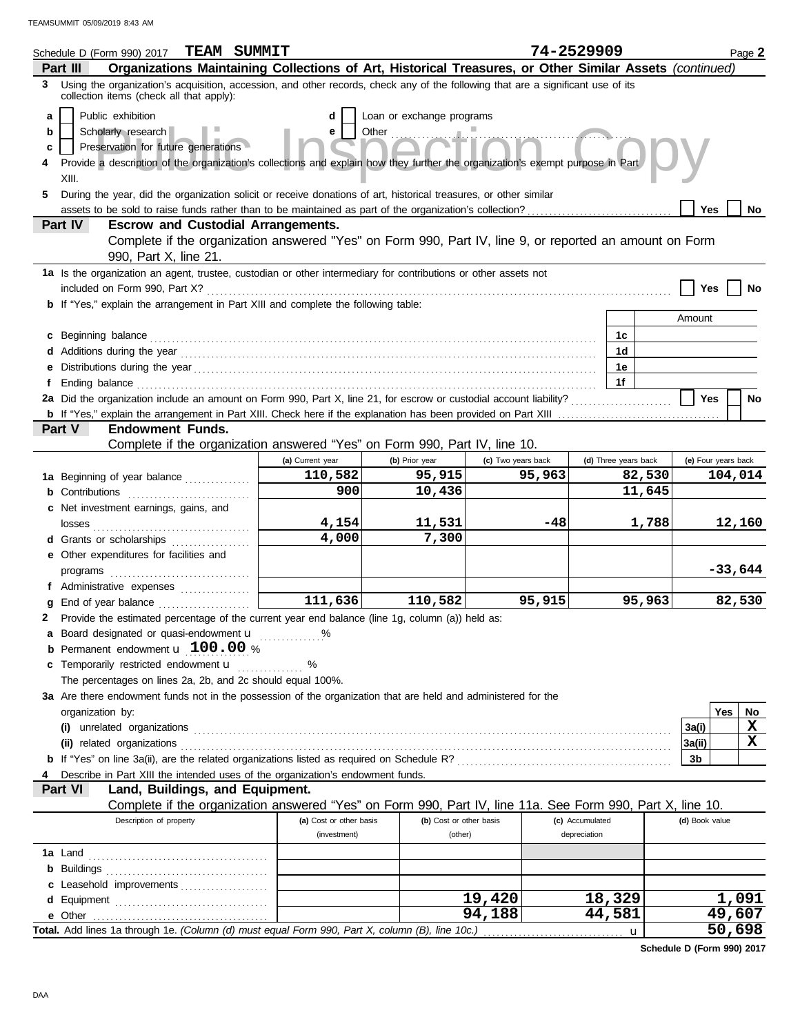| Organizations Maintaining Collections of Art, Historical Treasures, or Other Similar Assets (continued)<br>Part III<br>3 Using the organization's acquisition, accession, and other records, check any of the following that are a significant use of its<br>collection items (check all that apply):<br>Public exhibition<br>Loan or exchange programs<br>a<br>d<br>Other<br>Scholarly research<br>e<br>b<br>Preservation for future generations<br>c<br>Provide a description of the organization's collections and explain how they further the organization's exempt purpose in Part<br>XIII.<br>During the year, did the organization solicit or receive donations of art, historical treasures, or other similar<br>5.<br>assets to be sold to raise funds rather than to be maintained as part of the organization's collection?<br>Yes<br>No<br>Part IV<br><b>Escrow and Custodial Arrangements.</b><br>Complete if the organization answered "Yes" on Form 990, Part IV, line 9, or reported an amount on Form<br>990, Part X, line 21.<br>1a Is the organization an agent, trustee, custodian or other intermediary for contributions or other assets not<br>Yes<br>No<br><b>b</b> If "Yes," explain the arrangement in Part XIII and complete the following table:<br>Amount<br>c Beginning balance <b>contract to the contract of the set of the contract of the contract of the contract of the contract of the contract of the contract of the contract of the contract of the contract of the contract of th</b><br>1c<br>1d<br>1e<br>1f<br>2a Did the organization include an amount on Form 990, Part X, line 21, for escrow or custodial account liability?<br><b>Yes</b><br>No<br><b>Endowment Funds.</b><br>Part V<br>Complete if the organization answered "Yes" on Form 990, Part IV, line 10.<br>(a) Current year<br>(b) Prior year<br>(c) Two years back<br>(d) Three years back<br>(e) Four years back<br>110,582<br>95,915<br>95,963<br>82,530<br>104,014<br>1a Beginning of year balance<br>900<br>10,436<br>11,645<br><b>b</b> Contributions<br>c Net investment earnings, gains, and<br>4,154<br>1,788<br>12,160<br>11,531<br>-48<br>4,000<br>7,300<br>d Grants or scholarships<br>e Other expenditures for facilities and<br>$-33,644$<br>f Administrative expenses<br>111,636<br>110,582<br>95,915<br>95,963<br>82,530<br>g End of year balance<br>2 Provide the estimated percentage of the current year end balance (line 1g, column (a)) held as:<br>a Board designated or quasi-endowment u<br><b>b</b> Permanent endowment $\mathbf{u}$ 100.00 %<br>c Temporarily restricted endowment <b>u</b><br>%<br>The percentages on lines 2a, 2b, and 2c should equal 100%.<br>3a Are there endowment funds not in the possession of the organization that are held and administered for the<br>Yes<br>organization by:<br>No<br>X<br>3a(i)<br>X<br> 3a(ii)<br>3b<br>Describe in Part XIII the intended uses of the organization's endowment funds.<br>Land, Buildings, and Equipment.<br>Part VI<br>Complete if the organization answered "Yes" on Form 990, Part IV, line 11a. See Form 990, Part X, line 10.<br>Description of property<br>(a) Cost or other basis<br>(b) Cost or other basis<br>(c) Accumulated<br>(d) Book value<br>depreciation<br>(investment)<br>(other)<br>c Leasehold improvements<br>1,091<br>19,420<br>18,329<br>49,607<br>94,188<br>44,581<br>Total. Add lines 1a through 1e. (Column (d) must equal Form 990, Part X, column (B), line 10c.)<br>u | <b>TEAM SUMMIT</b><br>Schedule D (Form 990) 2017 |  |  |  | 74-2529909 | Page 2 |  |  |  |
|------------------------------------------------------------------------------------------------------------------------------------------------------------------------------------------------------------------------------------------------------------------------------------------------------------------------------------------------------------------------------------------------------------------------------------------------------------------------------------------------------------------------------------------------------------------------------------------------------------------------------------------------------------------------------------------------------------------------------------------------------------------------------------------------------------------------------------------------------------------------------------------------------------------------------------------------------------------------------------------------------------------------------------------------------------------------------------------------------------------------------------------------------------------------------------------------------------------------------------------------------------------------------------------------------------------------------------------------------------------------------------------------------------------------------------------------------------------------------------------------------------------------------------------------------------------------------------------------------------------------------------------------------------------------------------------------------------------------------------------------------------------------------------------------------------------------------------------------------------------------------------------------------------------------------------------------------------------------------------------------------------------------------------------------------------------------------------------------------------------------------------------------------------------------------------------------------------------------------------------------------------------------------------------------------------------------------------------------------------------------------------------------------------------------------------------------------------------------------------------------------------------------------------------------------------------------------------------------------------------------------------------------------------------------------------------------------------------------------------------------------------------------------------------------------------------------------------------------------------------------------------------------------------------------------------------------------------------------------------------------------------------------------------------------------------------------------------------------------------------------------------------------------------------------------------------------------------------------------------------------------------------------------------------------------------------------------------------------------------------------------------------------------------------------------------------------------------------------------------------------------------|--------------------------------------------------|--|--|--|------------|--------|--|--|--|
|                                                                                                                                                                                                                                                                                                                                                                                                                                                                                                                                                                                                                                                                                                                                                                                                                                                                                                                                                                                                                                                                                                                                                                                                                                                                                                                                                                                                                                                                                                                                                                                                                                                                                                                                                                                                                                                                                                                                                                                                                                                                                                                                                                                                                                                                                                                                                                                                                                                                                                                                                                                                                                                                                                                                                                                                                                                                                                                                                                                                                                                                                                                                                                                                                                                                                                                                                                                                                                                                                                            |                                                  |  |  |  |            |        |  |  |  |
|                                                                                                                                                                                                                                                                                                                                                                                                                                                                                                                                                                                                                                                                                                                                                                                                                                                                                                                                                                                                                                                                                                                                                                                                                                                                                                                                                                                                                                                                                                                                                                                                                                                                                                                                                                                                                                                                                                                                                                                                                                                                                                                                                                                                                                                                                                                                                                                                                                                                                                                                                                                                                                                                                                                                                                                                                                                                                                                                                                                                                                                                                                                                                                                                                                                                                                                                                                                                                                                                                                            |                                                  |  |  |  |            |        |  |  |  |
|                                                                                                                                                                                                                                                                                                                                                                                                                                                                                                                                                                                                                                                                                                                                                                                                                                                                                                                                                                                                                                                                                                                                                                                                                                                                                                                                                                                                                                                                                                                                                                                                                                                                                                                                                                                                                                                                                                                                                                                                                                                                                                                                                                                                                                                                                                                                                                                                                                                                                                                                                                                                                                                                                                                                                                                                                                                                                                                                                                                                                                                                                                                                                                                                                                                                                                                                                                                                                                                                                                            |                                                  |  |  |  |            |        |  |  |  |
|                                                                                                                                                                                                                                                                                                                                                                                                                                                                                                                                                                                                                                                                                                                                                                                                                                                                                                                                                                                                                                                                                                                                                                                                                                                                                                                                                                                                                                                                                                                                                                                                                                                                                                                                                                                                                                                                                                                                                                                                                                                                                                                                                                                                                                                                                                                                                                                                                                                                                                                                                                                                                                                                                                                                                                                                                                                                                                                                                                                                                                                                                                                                                                                                                                                                                                                                                                                                                                                                                                            |                                                  |  |  |  |            |        |  |  |  |
|                                                                                                                                                                                                                                                                                                                                                                                                                                                                                                                                                                                                                                                                                                                                                                                                                                                                                                                                                                                                                                                                                                                                                                                                                                                                                                                                                                                                                                                                                                                                                                                                                                                                                                                                                                                                                                                                                                                                                                                                                                                                                                                                                                                                                                                                                                                                                                                                                                                                                                                                                                                                                                                                                                                                                                                                                                                                                                                                                                                                                                                                                                                                                                                                                                                                                                                                                                                                                                                                                                            |                                                  |  |  |  |            |        |  |  |  |
|                                                                                                                                                                                                                                                                                                                                                                                                                                                                                                                                                                                                                                                                                                                                                                                                                                                                                                                                                                                                                                                                                                                                                                                                                                                                                                                                                                                                                                                                                                                                                                                                                                                                                                                                                                                                                                                                                                                                                                                                                                                                                                                                                                                                                                                                                                                                                                                                                                                                                                                                                                                                                                                                                                                                                                                                                                                                                                                                                                                                                                                                                                                                                                                                                                                                                                                                                                                                                                                                                                            |                                                  |  |  |  |            |        |  |  |  |
|                                                                                                                                                                                                                                                                                                                                                                                                                                                                                                                                                                                                                                                                                                                                                                                                                                                                                                                                                                                                                                                                                                                                                                                                                                                                                                                                                                                                                                                                                                                                                                                                                                                                                                                                                                                                                                                                                                                                                                                                                                                                                                                                                                                                                                                                                                                                                                                                                                                                                                                                                                                                                                                                                                                                                                                                                                                                                                                                                                                                                                                                                                                                                                                                                                                                                                                                                                                                                                                                                                            |                                                  |  |  |  |            |        |  |  |  |
|                                                                                                                                                                                                                                                                                                                                                                                                                                                                                                                                                                                                                                                                                                                                                                                                                                                                                                                                                                                                                                                                                                                                                                                                                                                                                                                                                                                                                                                                                                                                                                                                                                                                                                                                                                                                                                                                                                                                                                                                                                                                                                                                                                                                                                                                                                                                                                                                                                                                                                                                                                                                                                                                                                                                                                                                                                                                                                                                                                                                                                                                                                                                                                                                                                                                                                                                                                                                                                                                                                            |                                                  |  |  |  |            |        |  |  |  |
|                                                                                                                                                                                                                                                                                                                                                                                                                                                                                                                                                                                                                                                                                                                                                                                                                                                                                                                                                                                                                                                                                                                                                                                                                                                                                                                                                                                                                                                                                                                                                                                                                                                                                                                                                                                                                                                                                                                                                                                                                                                                                                                                                                                                                                                                                                                                                                                                                                                                                                                                                                                                                                                                                                                                                                                                                                                                                                                                                                                                                                                                                                                                                                                                                                                                                                                                                                                                                                                                                                            |                                                  |  |  |  |            |        |  |  |  |
|                                                                                                                                                                                                                                                                                                                                                                                                                                                                                                                                                                                                                                                                                                                                                                                                                                                                                                                                                                                                                                                                                                                                                                                                                                                                                                                                                                                                                                                                                                                                                                                                                                                                                                                                                                                                                                                                                                                                                                                                                                                                                                                                                                                                                                                                                                                                                                                                                                                                                                                                                                                                                                                                                                                                                                                                                                                                                                                                                                                                                                                                                                                                                                                                                                                                                                                                                                                                                                                                                                            |                                                  |  |  |  |            |        |  |  |  |
|                                                                                                                                                                                                                                                                                                                                                                                                                                                                                                                                                                                                                                                                                                                                                                                                                                                                                                                                                                                                                                                                                                                                                                                                                                                                                                                                                                                                                                                                                                                                                                                                                                                                                                                                                                                                                                                                                                                                                                                                                                                                                                                                                                                                                                                                                                                                                                                                                                                                                                                                                                                                                                                                                                                                                                                                                                                                                                                                                                                                                                                                                                                                                                                                                                                                                                                                                                                                                                                                                                            |                                                  |  |  |  |            |        |  |  |  |
|                                                                                                                                                                                                                                                                                                                                                                                                                                                                                                                                                                                                                                                                                                                                                                                                                                                                                                                                                                                                                                                                                                                                                                                                                                                                                                                                                                                                                                                                                                                                                                                                                                                                                                                                                                                                                                                                                                                                                                                                                                                                                                                                                                                                                                                                                                                                                                                                                                                                                                                                                                                                                                                                                                                                                                                                                                                                                                                                                                                                                                                                                                                                                                                                                                                                                                                                                                                                                                                                                                            |                                                  |  |  |  |            |        |  |  |  |
|                                                                                                                                                                                                                                                                                                                                                                                                                                                                                                                                                                                                                                                                                                                                                                                                                                                                                                                                                                                                                                                                                                                                                                                                                                                                                                                                                                                                                                                                                                                                                                                                                                                                                                                                                                                                                                                                                                                                                                                                                                                                                                                                                                                                                                                                                                                                                                                                                                                                                                                                                                                                                                                                                                                                                                                                                                                                                                                                                                                                                                                                                                                                                                                                                                                                                                                                                                                                                                                                                                            |                                                  |  |  |  |            |        |  |  |  |
|                                                                                                                                                                                                                                                                                                                                                                                                                                                                                                                                                                                                                                                                                                                                                                                                                                                                                                                                                                                                                                                                                                                                                                                                                                                                                                                                                                                                                                                                                                                                                                                                                                                                                                                                                                                                                                                                                                                                                                                                                                                                                                                                                                                                                                                                                                                                                                                                                                                                                                                                                                                                                                                                                                                                                                                                                                                                                                                                                                                                                                                                                                                                                                                                                                                                                                                                                                                                                                                                                                            |                                                  |  |  |  |            |        |  |  |  |
|                                                                                                                                                                                                                                                                                                                                                                                                                                                                                                                                                                                                                                                                                                                                                                                                                                                                                                                                                                                                                                                                                                                                                                                                                                                                                                                                                                                                                                                                                                                                                                                                                                                                                                                                                                                                                                                                                                                                                                                                                                                                                                                                                                                                                                                                                                                                                                                                                                                                                                                                                                                                                                                                                                                                                                                                                                                                                                                                                                                                                                                                                                                                                                                                                                                                                                                                                                                                                                                                                                            |                                                  |  |  |  |            |        |  |  |  |
|                                                                                                                                                                                                                                                                                                                                                                                                                                                                                                                                                                                                                                                                                                                                                                                                                                                                                                                                                                                                                                                                                                                                                                                                                                                                                                                                                                                                                                                                                                                                                                                                                                                                                                                                                                                                                                                                                                                                                                                                                                                                                                                                                                                                                                                                                                                                                                                                                                                                                                                                                                                                                                                                                                                                                                                                                                                                                                                                                                                                                                                                                                                                                                                                                                                                                                                                                                                                                                                                                                            |                                                  |  |  |  |            |        |  |  |  |
|                                                                                                                                                                                                                                                                                                                                                                                                                                                                                                                                                                                                                                                                                                                                                                                                                                                                                                                                                                                                                                                                                                                                                                                                                                                                                                                                                                                                                                                                                                                                                                                                                                                                                                                                                                                                                                                                                                                                                                                                                                                                                                                                                                                                                                                                                                                                                                                                                                                                                                                                                                                                                                                                                                                                                                                                                                                                                                                                                                                                                                                                                                                                                                                                                                                                                                                                                                                                                                                                                                            |                                                  |  |  |  |            |        |  |  |  |
|                                                                                                                                                                                                                                                                                                                                                                                                                                                                                                                                                                                                                                                                                                                                                                                                                                                                                                                                                                                                                                                                                                                                                                                                                                                                                                                                                                                                                                                                                                                                                                                                                                                                                                                                                                                                                                                                                                                                                                                                                                                                                                                                                                                                                                                                                                                                                                                                                                                                                                                                                                                                                                                                                                                                                                                                                                                                                                                                                                                                                                                                                                                                                                                                                                                                                                                                                                                                                                                                                                            |                                                  |  |  |  |            |        |  |  |  |
|                                                                                                                                                                                                                                                                                                                                                                                                                                                                                                                                                                                                                                                                                                                                                                                                                                                                                                                                                                                                                                                                                                                                                                                                                                                                                                                                                                                                                                                                                                                                                                                                                                                                                                                                                                                                                                                                                                                                                                                                                                                                                                                                                                                                                                                                                                                                                                                                                                                                                                                                                                                                                                                                                                                                                                                                                                                                                                                                                                                                                                                                                                                                                                                                                                                                                                                                                                                                                                                                                                            |                                                  |  |  |  |            |        |  |  |  |
|                                                                                                                                                                                                                                                                                                                                                                                                                                                                                                                                                                                                                                                                                                                                                                                                                                                                                                                                                                                                                                                                                                                                                                                                                                                                                                                                                                                                                                                                                                                                                                                                                                                                                                                                                                                                                                                                                                                                                                                                                                                                                                                                                                                                                                                                                                                                                                                                                                                                                                                                                                                                                                                                                                                                                                                                                                                                                                                                                                                                                                                                                                                                                                                                                                                                                                                                                                                                                                                                                                            |                                                  |  |  |  |            |        |  |  |  |
|                                                                                                                                                                                                                                                                                                                                                                                                                                                                                                                                                                                                                                                                                                                                                                                                                                                                                                                                                                                                                                                                                                                                                                                                                                                                                                                                                                                                                                                                                                                                                                                                                                                                                                                                                                                                                                                                                                                                                                                                                                                                                                                                                                                                                                                                                                                                                                                                                                                                                                                                                                                                                                                                                                                                                                                                                                                                                                                                                                                                                                                                                                                                                                                                                                                                                                                                                                                                                                                                                                            |                                                  |  |  |  |            |        |  |  |  |
|                                                                                                                                                                                                                                                                                                                                                                                                                                                                                                                                                                                                                                                                                                                                                                                                                                                                                                                                                                                                                                                                                                                                                                                                                                                                                                                                                                                                                                                                                                                                                                                                                                                                                                                                                                                                                                                                                                                                                                                                                                                                                                                                                                                                                                                                                                                                                                                                                                                                                                                                                                                                                                                                                                                                                                                                                                                                                                                                                                                                                                                                                                                                                                                                                                                                                                                                                                                                                                                                                                            |                                                  |  |  |  |            |        |  |  |  |
|                                                                                                                                                                                                                                                                                                                                                                                                                                                                                                                                                                                                                                                                                                                                                                                                                                                                                                                                                                                                                                                                                                                                                                                                                                                                                                                                                                                                                                                                                                                                                                                                                                                                                                                                                                                                                                                                                                                                                                                                                                                                                                                                                                                                                                                                                                                                                                                                                                                                                                                                                                                                                                                                                                                                                                                                                                                                                                                                                                                                                                                                                                                                                                                                                                                                                                                                                                                                                                                                                                            |                                                  |  |  |  |            |        |  |  |  |
|                                                                                                                                                                                                                                                                                                                                                                                                                                                                                                                                                                                                                                                                                                                                                                                                                                                                                                                                                                                                                                                                                                                                                                                                                                                                                                                                                                                                                                                                                                                                                                                                                                                                                                                                                                                                                                                                                                                                                                                                                                                                                                                                                                                                                                                                                                                                                                                                                                                                                                                                                                                                                                                                                                                                                                                                                                                                                                                                                                                                                                                                                                                                                                                                                                                                                                                                                                                                                                                                                                            |                                                  |  |  |  |            |        |  |  |  |
|                                                                                                                                                                                                                                                                                                                                                                                                                                                                                                                                                                                                                                                                                                                                                                                                                                                                                                                                                                                                                                                                                                                                                                                                                                                                                                                                                                                                                                                                                                                                                                                                                                                                                                                                                                                                                                                                                                                                                                                                                                                                                                                                                                                                                                                                                                                                                                                                                                                                                                                                                                                                                                                                                                                                                                                                                                                                                                                                                                                                                                                                                                                                                                                                                                                                                                                                                                                                                                                                                                            |                                                  |  |  |  |            |        |  |  |  |
|                                                                                                                                                                                                                                                                                                                                                                                                                                                                                                                                                                                                                                                                                                                                                                                                                                                                                                                                                                                                                                                                                                                                                                                                                                                                                                                                                                                                                                                                                                                                                                                                                                                                                                                                                                                                                                                                                                                                                                                                                                                                                                                                                                                                                                                                                                                                                                                                                                                                                                                                                                                                                                                                                                                                                                                                                                                                                                                                                                                                                                                                                                                                                                                                                                                                                                                                                                                                                                                                                                            |                                                  |  |  |  |            |        |  |  |  |
|                                                                                                                                                                                                                                                                                                                                                                                                                                                                                                                                                                                                                                                                                                                                                                                                                                                                                                                                                                                                                                                                                                                                                                                                                                                                                                                                                                                                                                                                                                                                                                                                                                                                                                                                                                                                                                                                                                                                                                                                                                                                                                                                                                                                                                                                                                                                                                                                                                                                                                                                                                                                                                                                                                                                                                                                                                                                                                                                                                                                                                                                                                                                                                                                                                                                                                                                                                                                                                                                                                            |                                                  |  |  |  |            |        |  |  |  |
|                                                                                                                                                                                                                                                                                                                                                                                                                                                                                                                                                                                                                                                                                                                                                                                                                                                                                                                                                                                                                                                                                                                                                                                                                                                                                                                                                                                                                                                                                                                                                                                                                                                                                                                                                                                                                                                                                                                                                                                                                                                                                                                                                                                                                                                                                                                                                                                                                                                                                                                                                                                                                                                                                                                                                                                                                                                                                                                                                                                                                                                                                                                                                                                                                                                                                                                                                                                                                                                                                                            |                                                  |  |  |  |            |        |  |  |  |
|                                                                                                                                                                                                                                                                                                                                                                                                                                                                                                                                                                                                                                                                                                                                                                                                                                                                                                                                                                                                                                                                                                                                                                                                                                                                                                                                                                                                                                                                                                                                                                                                                                                                                                                                                                                                                                                                                                                                                                                                                                                                                                                                                                                                                                                                                                                                                                                                                                                                                                                                                                                                                                                                                                                                                                                                                                                                                                                                                                                                                                                                                                                                                                                                                                                                                                                                                                                                                                                                                                            |                                                  |  |  |  |            |        |  |  |  |
|                                                                                                                                                                                                                                                                                                                                                                                                                                                                                                                                                                                                                                                                                                                                                                                                                                                                                                                                                                                                                                                                                                                                                                                                                                                                                                                                                                                                                                                                                                                                                                                                                                                                                                                                                                                                                                                                                                                                                                                                                                                                                                                                                                                                                                                                                                                                                                                                                                                                                                                                                                                                                                                                                                                                                                                                                                                                                                                                                                                                                                                                                                                                                                                                                                                                                                                                                                                                                                                                                                            |                                                  |  |  |  |            |        |  |  |  |
|                                                                                                                                                                                                                                                                                                                                                                                                                                                                                                                                                                                                                                                                                                                                                                                                                                                                                                                                                                                                                                                                                                                                                                                                                                                                                                                                                                                                                                                                                                                                                                                                                                                                                                                                                                                                                                                                                                                                                                                                                                                                                                                                                                                                                                                                                                                                                                                                                                                                                                                                                                                                                                                                                                                                                                                                                                                                                                                                                                                                                                                                                                                                                                                                                                                                                                                                                                                                                                                                                                            |                                                  |  |  |  |            |        |  |  |  |
|                                                                                                                                                                                                                                                                                                                                                                                                                                                                                                                                                                                                                                                                                                                                                                                                                                                                                                                                                                                                                                                                                                                                                                                                                                                                                                                                                                                                                                                                                                                                                                                                                                                                                                                                                                                                                                                                                                                                                                                                                                                                                                                                                                                                                                                                                                                                                                                                                                                                                                                                                                                                                                                                                                                                                                                                                                                                                                                                                                                                                                                                                                                                                                                                                                                                                                                                                                                                                                                                                                            |                                                  |  |  |  |            |        |  |  |  |
|                                                                                                                                                                                                                                                                                                                                                                                                                                                                                                                                                                                                                                                                                                                                                                                                                                                                                                                                                                                                                                                                                                                                                                                                                                                                                                                                                                                                                                                                                                                                                                                                                                                                                                                                                                                                                                                                                                                                                                                                                                                                                                                                                                                                                                                                                                                                                                                                                                                                                                                                                                                                                                                                                                                                                                                                                                                                                                                                                                                                                                                                                                                                                                                                                                                                                                                                                                                                                                                                                                            |                                                  |  |  |  |            |        |  |  |  |
|                                                                                                                                                                                                                                                                                                                                                                                                                                                                                                                                                                                                                                                                                                                                                                                                                                                                                                                                                                                                                                                                                                                                                                                                                                                                                                                                                                                                                                                                                                                                                                                                                                                                                                                                                                                                                                                                                                                                                                                                                                                                                                                                                                                                                                                                                                                                                                                                                                                                                                                                                                                                                                                                                                                                                                                                                                                                                                                                                                                                                                                                                                                                                                                                                                                                                                                                                                                                                                                                                                            |                                                  |  |  |  |            |        |  |  |  |
|                                                                                                                                                                                                                                                                                                                                                                                                                                                                                                                                                                                                                                                                                                                                                                                                                                                                                                                                                                                                                                                                                                                                                                                                                                                                                                                                                                                                                                                                                                                                                                                                                                                                                                                                                                                                                                                                                                                                                                                                                                                                                                                                                                                                                                                                                                                                                                                                                                                                                                                                                                                                                                                                                                                                                                                                                                                                                                                                                                                                                                                                                                                                                                                                                                                                                                                                                                                                                                                                                                            |                                                  |  |  |  |            |        |  |  |  |
|                                                                                                                                                                                                                                                                                                                                                                                                                                                                                                                                                                                                                                                                                                                                                                                                                                                                                                                                                                                                                                                                                                                                                                                                                                                                                                                                                                                                                                                                                                                                                                                                                                                                                                                                                                                                                                                                                                                                                                                                                                                                                                                                                                                                                                                                                                                                                                                                                                                                                                                                                                                                                                                                                                                                                                                                                                                                                                                                                                                                                                                                                                                                                                                                                                                                                                                                                                                                                                                                                                            |                                                  |  |  |  |            |        |  |  |  |
|                                                                                                                                                                                                                                                                                                                                                                                                                                                                                                                                                                                                                                                                                                                                                                                                                                                                                                                                                                                                                                                                                                                                                                                                                                                                                                                                                                                                                                                                                                                                                                                                                                                                                                                                                                                                                                                                                                                                                                                                                                                                                                                                                                                                                                                                                                                                                                                                                                                                                                                                                                                                                                                                                                                                                                                                                                                                                                                                                                                                                                                                                                                                                                                                                                                                                                                                                                                                                                                                                                            |                                                  |  |  |  |            |        |  |  |  |
|                                                                                                                                                                                                                                                                                                                                                                                                                                                                                                                                                                                                                                                                                                                                                                                                                                                                                                                                                                                                                                                                                                                                                                                                                                                                                                                                                                                                                                                                                                                                                                                                                                                                                                                                                                                                                                                                                                                                                                                                                                                                                                                                                                                                                                                                                                                                                                                                                                                                                                                                                                                                                                                                                                                                                                                                                                                                                                                                                                                                                                                                                                                                                                                                                                                                                                                                                                                                                                                                                                            |                                                  |  |  |  |            |        |  |  |  |
|                                                                                                                                                                                                                                                                                                                                                                                                                                                                                                                                                                                                                                                                                                                                                                                                                                                                                                                                                                                                                                                                                                                                                                                                                                                                                                                                                                                                                                                                                                                                                                                                                                                                                                                                                                                                                                                                                                                                                                                                                                                                                                                                                                                                                                                                                                                                                                                                                                                                                                                                                                                                                                                                                                                                                                                                                                                                                                                                                                                                                                                                                                                                                                                                                                                                                                                                                                                                                                                                                                            |                                                  |  |  |  |            |        |  |  |  |
|                                                                                                                                                                                                                                                                                                                                                                                                                                                                                                                                                                                                                                                                                                                                                                                                                                                                                                                                                                                                                                                                                                                                                                                                                                                                                                                                                                                                                                                                                                                                                                                                                                                                                                                                                                                                                                                                                                                                                                                                                                                                                                                                                                                                                                                                                                                                                                                                                                                                                                                                                                                                                                                                                                                                                                                                                                                                                                                                                                                                                                                                                                                                                                                                                                                                                                                                                                                                                                                                                                            |                                                  |  |  |  |            |        |  |  |  |
|                                                                                                                                                                                                                                                                                                                                                                                                                                                                                                                                                                                                                                                                                                                                                                                                                                                                                                                                                                                                                                                                                                                                                                                                                                                                                                                                                                                                                                                                                                                                                                                                                                                                                                                                                                                                                                                                                                                                                                                                                                                                                                                                                                                                                                                                                                                                                                                                                                                                                                                                                                                                                                                                                                                                                                                                                                                                                                                                                                                                                                                                                                                                                                                                                                                                                                                                                                                                                                                                                                            |                                                  |  |  |  |            |        |  |  |  |
|                                                                                                                                                                                                                                                                                                                                                                                                                                                                                                                                                                                                                                                                                                                                                                                                                                                                                                                                                                                                                                                                                                                                                                                                                                                                                                                                                                                                                                                                                                                                                                                                                                                                                                                                                                                                                                                                                                                                                                                                                                                                                                                                                                                                                                                                                                                                                                                                                                                                                                                                                                                                                                                                                                                                                                                                                                                                                                                                                                                                                                                                                                                                                                                                                                                                                                                                                                                                                                                                                                            |                                                  |  |  |  |            |        |  |  |  |
|                                                                                                                                                                                                                                                                                                                                                                                                                                                                                                                                                                                                                                                                                                                                                                                                                                                                                                                                                                                                                                                                                                                                                                                                                                                                                                                                                                                                                                                                                                                                                                                                                                                                                                                                                                                                                                                                                                                                                                                                                                                                                                                                                                                                                                                                                                                                                                                                                                                                                                                                                                                                                                                                                                                                                                                                                                                                                                                                                                                                                                                                                                                                                                                                                                                                                                                                                                                                                                                                                                            |                                                  |  |  |  |            |        |  |  |  |
|                                                                                                                                                                                                                                                                                                                                                                                                                                                                                                                                                                                                                                                                                                                                                                                                                                                                                                                                                                                                                                                                                                                                                                                                                                                                                                                                                                                                                                                                                                                                                                                                                                                                                                                                                                                                                                                                                                                                                                                                                                                                                                                                                                                                                                                                                                                                                                                                                                                                                                                                                                                                                                                                                                                                                                                                                                                                                                                                                                                                                                                                                                                                                                                                                                                                                                                                                                                                                                                                                                            |                                                  |  |  |  |            |        |  |  |  |
|                                                                                                                                                                                                                                                                                                                                                                                                                                                                                                                                                                                                                                                                                                                                                                                                                                                                                                                                                                                                                                                                                                                                                                                                                                                                                                                                                                                                                                                                                                                                                                                                                                                                                                                                                                                                                                                                                                                                                                                                                                                                                                                                                                                                                                                                                                                                                                                                                                                                                                                                                                                                                                                                                                                                                                                                                                                                                                                                                                                                                                                                                                                                                                                                                                                                                                                                                                                                                                                                                                            |                                                  |  |  |  |            |        |  |  |  |
|                                                                                                                                                                                                                                                                                                                                                                                                                                                                                                                                                                                                                                                                                                                                                                                                                                                                                                                                                                                                                                                                                                                                                                                                                                                                                                                                                                                                                                                                                                                                                                                                                                                                                                                                                                                                                                                                                                                                                                                                                                                                                                                                                                                                                                                                                                                                                                                                                                                                                                                                                                                                                                                                                                                                                                                                                                                                                                                                                                                                                                                                                                                                                                                                                                                                                                                                                                                                                                                                                                            |                                                  |  |  |  |            |        |  |  |  |
|                                                                                                                                                                                                                                                                                                                                                                                                                                                                                                                                                                                                                                                                                                                                                                                                                                                                                                                                                                                                                                                                                                                                                                                                                                                                                                                                                                                                                                                                                                                                                                                                                                                                                                                                                                                                                                                                                                                                                                                                                                                                                                                                                                                                                                                                                                                                                                                                                                                                                                                                                                                                                                                                                                                                                                                                                                                                                                                                                                                                                                                                                                                                                                                                                                                                                                                                                                                                                                                                                                            |                                                  |  |  |  |            |        |  |  |  |
|                                                                                                                                                                                                                                                                                                                                                                                                                                                                                                                                                                                                                                                                                                                                                                                                                                                                                                                                                                                                                                                                                                                                                                                                                                                                                                                                                                                                                                                                                                                                                                                                                                                                                                                                                                                                                                                                                                                                                                                                                                                                                                                                                                                                                                                                                                                                                                                                                                                                                                                                                                                                                                                                                                                                                                                                                                                                                                                                                                                                                                                                                                                                                                                                                                                                                                                                                                                                                                                                                                            |                                                  |  |  |  |            |        |  |  |  |
|                                                                                                                                                                                                                                                                                                                                                                                                                                                                                                                                                                                                                                                                                                                                                                                                                                                                                                                                                                                                                                                                                                                                                                                                                                                                                                                                                                                                                                                                                                                                                                                                                                                                                                                                                                                                                                                                                                                                                                                                                                                                                                                                                                                                                                                                                                                                                                                                                                                                                                                                                                                                                                                                                                                                                                                                                                                                                                                                                                                                                                                                                                                                                                                                                                                                                                                                                                                                                                                                                                            |                                                  |  |  |  |            |        |  |  |  |
|                                                                                                                                                                                                                                                                                                                                                                                                                                                                                                                                                                                                                                                                                                                                                                                                                                                                                                                                                                                                                                                                                                                                                                                                                                                                                                                                                                                                                                                                                                                                                                                                                                                                                                                                                                                                                                                                                                                                                                                                                                                                                                                                                                                                                                                                                                                                                                                                                                                                                                                                                                                                                                                                                                                                                                                                                                                                                                                                                                                                                                                                                                                                                                                                                                                                                                                                                                                                                                                                                                            |                                                  |  |  |  |            | 50,698 |  |  |  |

**Schedule D (Form 990) 2017**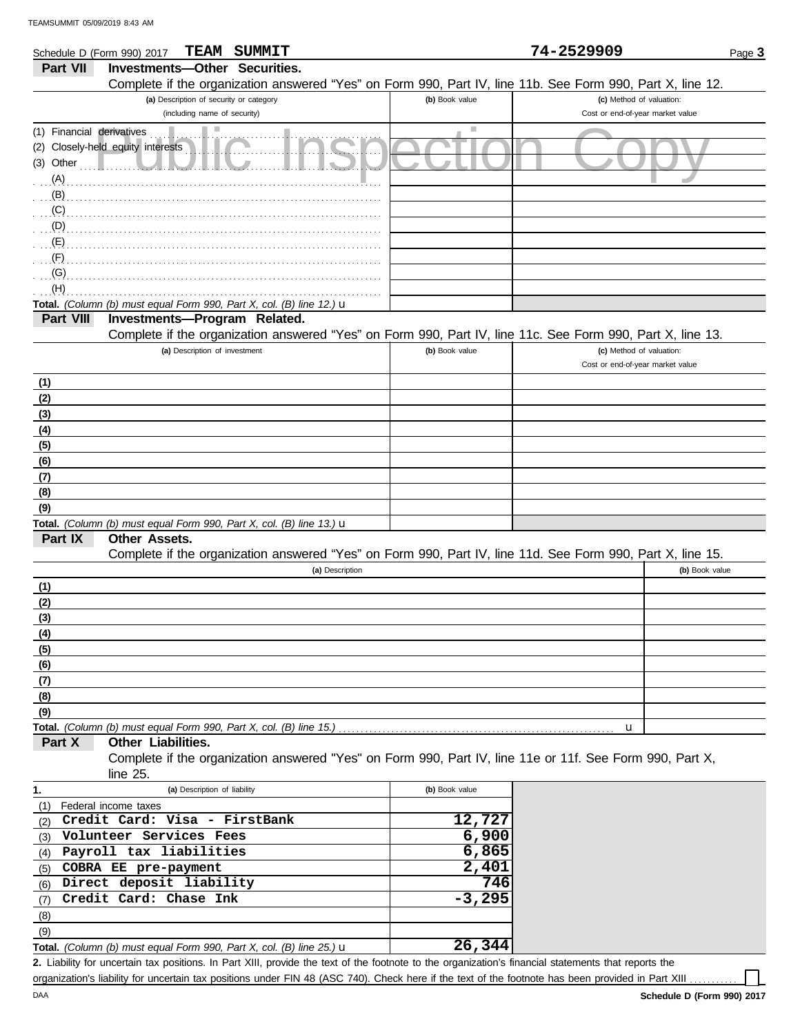| Schedule D (Form 990) 2017   | TEAM<br>SUMMIT                                                                                             |                          | 74-2529909                       | Page 3         |
|------------------------------|------------------------------------------------------------------------------------------------------------|--------------------------|----------------------------------|----------------|
| Part VII                     | <b>Investments-Other Securities.</b>                                                                       |                          |                                  |                |
|                              | Complete if the organization answered "Yes" on Form 990, Part IV, line 11b. See Form 990, Part X, line 12. |                          |                                  |                |
|                              | (a) Description of security or category                                                                    | (b) Book value           | (c) Method of valuation:         |                |
|                              | (including name of security)                                                                               |                          | Cost or end-of-year market value |                |
| Financial derivatives<br>(1) | $\mathcal{L}_{\mathcal{A}}$                                                                                | $\overline{\phantom{a}}$ |                                  |                |
| (2)                          | Closely-held equity interests                                                                              |                          |                                  |                |
| (3) Other                    |                                                                                                            |                          |                                  |                |
| (A)                          |                                                                                                            |                          |                                  |                |
| (B)                          |                                                                                                            |                          |                                  |                |
| (C)                          |                                                                                                            |                          |                                  |                |
| (D)                          |                                                                                                            |                          |                                  |                |
| (E)                          |                                                                                                            |                          |                                  |                |
| (F)                          |                                                                                                            |                          |                                  |                |
| (G)                          |                                                                                                            |                          |                                  |                |
| (H)                          |                                                                                                            |                          |                                  |                |
|                              | Total. (Column (b) must equal Form 990, Part X, col. (B) line 12.) u                                       |                          |                                  |                |
| Part VIII                    | Investments-Program Related.                                                                               |                          |                                  |                |
|                              | Complete if the organization answered "Yes" on Form 990, Part IV, line 11c. See Form 990, Part X, line 13. |                          |                                  |                |
|                              | (a) Description of investment                                                                              | (b) Book value           | (c) Method of valuation:         |                |
|                              |                                                                                                            |                          | Cost or end-of-year market value |                |
| (1)                          |                                                                                                            |                          |                                  |                |
| (2)                          |                                                                                                            |                          |                                  |                |
| (3)                          |                                                                                                            |                          |                                  |                |
| (4)                          |                                                                                                            |                          |                                  |                |
| (5)                          |                                                                                                            |                          |                                  |                |
| (6)                          |                                                                                                            |                          |                                  |                |
| (7)                          |                                                                                                            |                          |                                  |                |
| (8)                          |                                                                                                            |                          |                                  |                |
| (9)                          |                                                                                                            |                          |                                  |                |
|                              | Total. (Column (b) must equal Form 990, Part X, col. (B) line 13.) u                                       |                          |                                  |                |
| Part IX                      | Other Assets.                                                                                              |                          |                                  |                |
|                              | Complete if the organization answered "Yes" on Form 990, Part IV, line 11d. See Form 990, Part X, line 15. |                          |                                  |                |
|                              | (a) Description                                                                                            |                          |                                  | (b) Book value |
| (1)                          |                                                                                                            |                          |                                  |                |
| (2)                          |                                                                                                            |                          |                                  |                |
| (3)                          |                                                                                                            |                          |                                  |                |
| (4)                          |                                                                                                            |                          |                                  |                |
| (5)                          |                                                                                                            |                          |                                  |                |
| (6)                          |                                                                                                            |                          |                                  |                |
| (7)                          |                                                                                                            |                          |                                  |                |
| (8)                          |                                                                                                            |                          |                                  |                |
| (9)                          | Total. (Column (b) must equal Form 990, Part X, col. (B) line 15.)                                         |                          |                                  |                |
| Part X                       | Other Liabilities.                                                                                         |                          | u                                |                |
|                              | Complete if the organization answered "Yes" on Form 990, Part IV, line 11e or 11f. See Form 990, Part X,   |                          |                                  |                |
|                              | line $25$ .                                                                                                |                          |                                  |                |
|                              | (a) Description of liability                                                                               | (b) Book value           |                                  |                |
| 1.                           | Federal income taxes                                                                                       |                          |                                  |                |
| (1)                          | Credit Card: Visa - FirstBank                                                                              | 12,727                   |                                  |                |
| (2)                          | Volunteer Services Fees                                                                                    | 6,900                    |                                  |                |
| (3)                          | Payroll tax liabilities                                                                                    | 6,865                    |                                  |                |
| (4)<br>(5)                   | COBRA EE pre-payment                                                                                       | 2,401                    |                                  |                |
| (6)                          | Direct deposit liability                                                                                   | 746                      |                                  |                |

| 1.  | (a) Description of liability                                                   | (b) Book value |
|-----|--------------------------------------------------------------------------------|----------------|
| (1) | Federal income taxes                                                           |                |
| (2) | Credit Card: Visa - FirstBank                                                  | 12,727         |
| (3) | Volunteer Services Fees                                                        | 6,900          |
| (4) | Payroll tax liabilities                                                        | 6,865          |
| (5) | COBRA EE pre-payment                                                           | 2,401          |
| (6) | Direct deposit liability                                                       | 746            |
|     | (7) Credit Card: Chase Ink                                                     | $-3,295$       |
| (8) |                                                                                |                |
| (9) |                                                                                |                |
|     | Total. (Column (b) must equal Form 990, Part X, col. (B) line 25.) $\mathbf u$ | 26,344         |

Liability for uncertain tax positions. In Part XIII, provide the text of the footnote to the organization's financial statements that reports the **2.** organization's liability for uncertain tax positions under FIN 48 (ASC 740). Check here if the text of the footnote has been provided in Part XIII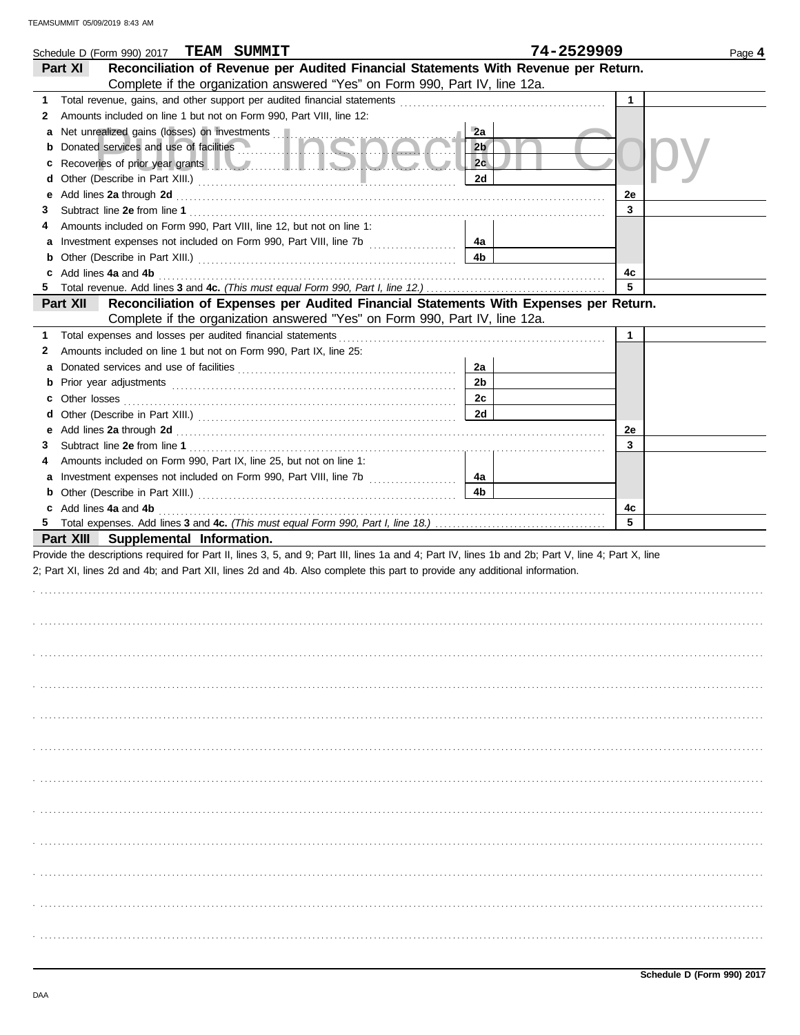|   | Schedule D (Form 990) 2017 TEAM SUMMIT                                                                                                                                                                                                    |                | 74-2529909   | Page 4 |
|---|-------------------------------------------------------------------------------------------------------------------------------------------------------------------------------------------------------------------------------------------|----------------|--------------|--------|
|   | Reconciliation of Revenue per Audited Financial Statements With Revenue per Return.<br>Part XI                                                                                                                                            |                |              |        |
|   | Complete if the organization answered "Yes" on Form 990, Part IV, line 12a.                                                                                                                                                               |                |              |        |
| 1 |                                                                                                                                                                                                                                           |                | $\mathbf{1}$ |        |
| 2 | Amounts included on line 1 but not on Form 990, Part VIII, line 12:                                                                                                                                                                       |                |              |        |
| а | Net unrealized gains (losses) on investments                                                                                                                                                                                              | 2a             |              |        |
|   | <b>b</b> Donated services and use of facilities <b>Denotes Act of Act of Act of Act of Act of Act of Act of Act of Act of Act of Act of Act of Act of Act of Act of Act of Act of Act of Act of Act of Act of Act of Act of Act of Ac</b> | 2 <sub>b</sub> |              |        |
| c | Recoveries of prior year grants <b>All Constitution Constitution Constitution Constitution</b>                                                                                                                                            | 2c             |              |        |
| d |                                                                                                                                                                                                                                           | 2d             |              |        |
| е |                                                                                                                                                                                                                                           |                | 2e           |        |
| З |                                                                                                                                                                                                                                           |                | 3            |        |
| 4 | Amounts included on Form 990, Part VIII, line 12, but not on line 1:                                                                                                                                                                      |                |              |        |
|   |                                                                                                                                                                                                                                           | 4a             |              |        |
|   |                                                                                                                                                                                                                                           | 4b             |              |        |
|   | c Add lines 4a and 4b (a) and the contract of the state of the state of the state of the state of the state of the state of the state of the state of the state of the state of the state of the state of the state of the sta            |                | 4c           |        |
|   |                                                                                                                                                                                                                                           |                | 5            |        |
|   | Reconciliation of Expenses per Audited Financial Statements With Expenses per Return.<br>Part XII                                                                                                                                         |                |              |        |
|   | Complete if the organization answered "Yes" on Form 990, Part IV, line 12a.                                                                                                                                                               |                |              |        |
| 1 |                                                                                                                                                                                                                                           |                | $\mathbf{1}$ |        |
| 2 | Amounts included on line 1 but not on Form 990, Part IX, line 25:                                                                                                                                                                         |                |              |        |
| а |                                                                                                                                                                                                                                           | 2a             |              |        |
|   |                                                                                                                                                                                                                                           | 2b             |              |        |
|   |                                                                                                                                                                                                                                           | 2c             |              |        |
|   |                                                                                                                                                                                                                                           | 2d             |              |        |
|   |                                                                                                                                                                                                                                           |                | 2e           |        |
| 3 |                                                                                                                                                                                                                                           |                | 3            |        |
| 4 | Amounts included on Form 990, Part IX, line 25, but not on line 1:                                                                                                                                                                        |                |              |        |
|   |                                                                                                                                                                                                                                           | 4a             |              |        |
|   |                                                                                                                                                                                                                                           | 4b             |              |        |
|   | c Add lines 4a and 4b <b>contract and 4b</b> and 4b and 4b and 4b and 4b and 4b and 4b and 4b and 4b and 4b and 4b and 4b and 4b and 4b and 4b and 4b and 4b and 4b and 4b and 4b and 4b and 4b and 4b and 4b and 4b and 4b and 4b        |                | 4c           |        |
|   |                                                                                                                                                                                                                                           |                | 5            |        |
|   | Part XIII Supplemental Information.                                                                                                                                                                                                       |                |              |        |
|   | Provide the descriptions required for Part II, lines 3, 5, and 9; Part III, lines 1a and 4; Part IV, lines 1b and 2b; Part V, line 4; Part X, line                                                                                        |                |              |        |
|   | 2; Part XI, lines 2d and 4b; and Part XII, lines 2d and 4b. Also complete this part to provide any additional information.                                                                                                                |                |              |        |
|   |                                                                                                                                                                                                                                           |                |              |        |
|   |                                                                                                                                                                                                                                           |                |              |        |
|   |                                                                                                                                                                                                                                           |                |              |        |
|   |                                                                                                                                                                                                                                           |                |              |        |
|   |                                                                                                                                                                                                                                           |                |              |        |
|   |                                                                                                                                                                                                                                           |                |              |        |
|   |                                                                                                                                                                                                                                           |                |              |        |
|   |                                                                                                                                                                                                                                           |                |              |        |
|   |                                                                                                                                                                                                                                           |                |              |        |
|   |                                                                                                                                                                                                                                           |                |              |        |
|   |                                                                                                                                                                                                                                           |                |              |        |
|   |                                                                                                                                                                                                                                           |                |              |        |
|   |                                                                                                                                                                                                                                           |                |              |        |
|   |                                                                                                                                                                                                                                           |                |              |        |
|   |                                                                                                                                                                                                                                           |                |              |        |
|   |                                                                                                                                                                                                                                           |                |              |        |
|   |                                                                                                                                                                                                                                           |                |              |        |
|   |                                                                                                                                                                                                                                           |                |              |        |
|   |                                                                                                                                                                                                                                           |                |              |        |
|   |                                                                                                                                                                                                                                           |                |              |        |
|   |                                                                                                                                                                                                                                           |                |              |        |
|   |                                                                                                                                                                                                                                           |                |              |        |
|   |                                                                                                                                                                                                                                           |                |              |        |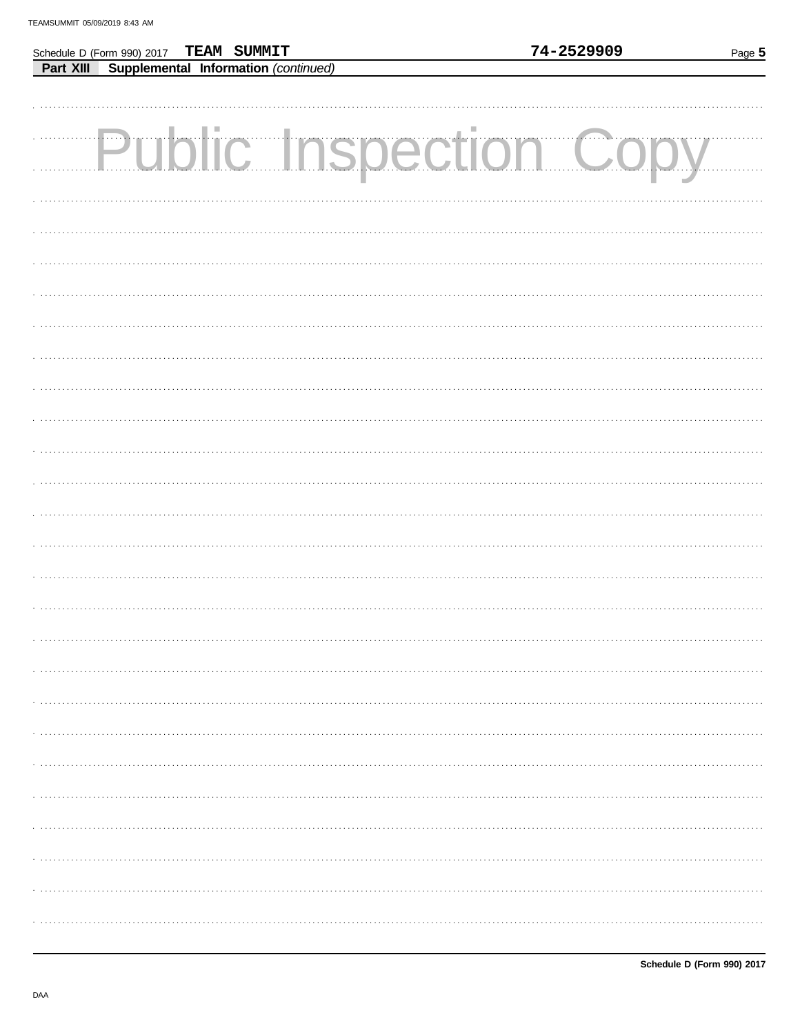|           | Schedule D (Form 990) 2017 TEAM SUMMIT | 74-2529909                    | Page 5 |
|-----------|----------------------------------------|-------------------------------|--------|
| Part XIII | Supplemental Information (continued)   |                               |        |
|           |                                        |                               |        |
|           |                                        |                               |        |
|           |                                        |                               |        |
|           |                                        |                               |        |
|           |                                        |                               |        |
|           |                                        | <b>Public Inspection Copy</b> |        |
|           |                                        |                               |        |
|           |                                        |                               |        |
|           |                                        |                               |        |
|           |                                        |                               |        |
|           |                                        |                               |        |
|           |                                        |                               |        |
|           |                                        |                               |        |
|           |                                        |                               |        |
|           |                                        |                               |        |
|           |                                        |                               |        |
|           |                                        |                               |        |
|           |                                        |                               |        |
|           |                                        |                               |        |
|           |                                        |                               |        |
|           |                                        |                               |        |
|           |                                        |                               |        |
|           |                                        |                               |        |
|           |                                        |                               |        |
|           |                                        |                               |        |
|           |                                        |                               |        |
|           |                                        |                               |        |
|           |                                        |                               |        |
|           |                                        |                               |        |
|           |                                        |                               |        |
|           |                                        |                               |        |
|           |                                        |                               |        |
|           |                                        |                               |        |
|           |                                        |                               |        |
|           |                                        |                               |        |
|           |                                        |                               |        |
|           |                                        |                               |        |
|           |                                        |                               |        |
|           |                                        |                               |        |
|           |                                        |                               |        |
|           |                                        |                               |        |
|           |                                        |                               |        |
|           |                                        |                               |        |
|           |                                        |                               |        |
|           |                                        |                               |        |
|           |                                        |                               |        |
|           |                                        |                               |        |
|           |                                        |                               |        |
|           |                                        |                               |        |
|           |                                        |                               |        |
|           |                                        |                               |        |
|           |                                        |                               |        |
|           |                                        |                               |        |
|           |                                        |                               |        |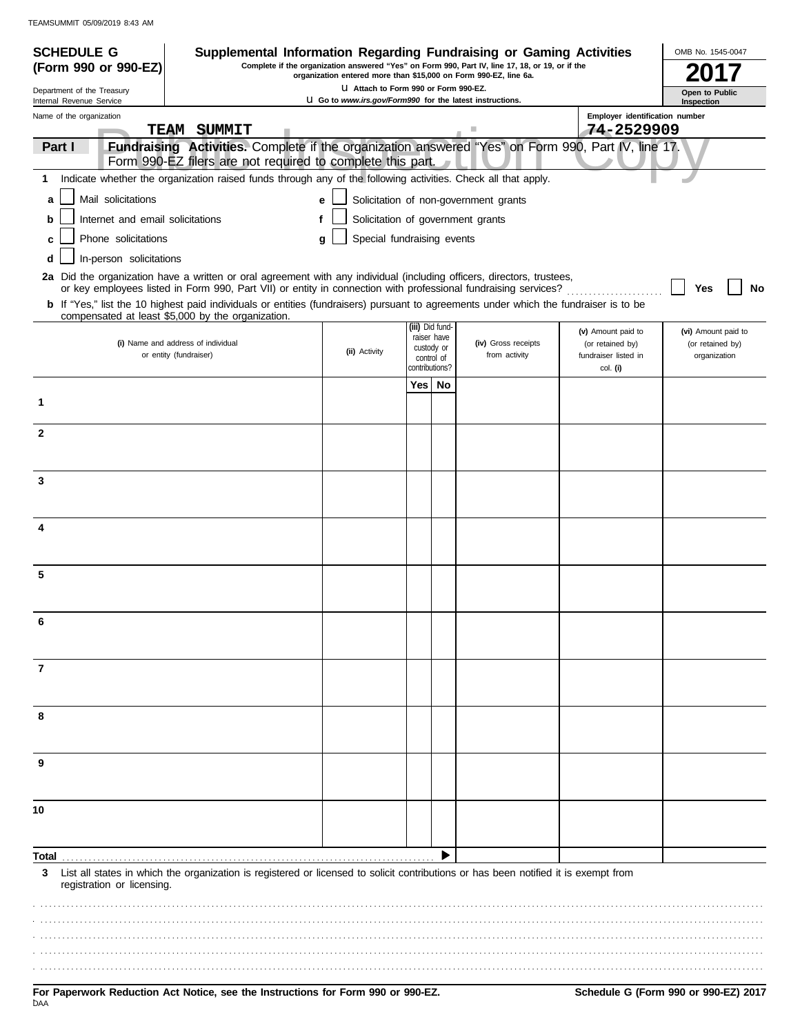| <b>SCHEDULE G</b>                                      | Supplemental Information Regarding Fundraising or Gaming Activities                                                                                                                                                                                     |                                                                                                          |            |                                |                                                                                                 |                                        | OMB No. 1545-0047                       |
|--------------------------------------------------------|---------------------------------------------------------------------------------------------------------------------------------------------------------------------------------------------------------------------------------------------------------|----------------------------------------------------------------------------------------------------------|------------|--------------------------------|-------------------------------------------------------------------------------------------------|----------------------------------------|-----------------------------------------|
| (Form 990 or 990-EZ)                                   |                                                                                                                                                                                                                                                         | organization entered more than \$15,000 on Form 990-EZ, line 6a.                                         |            |                                | Complete if the organization answered "Yes" on Form 990, Part IV, line 17, 18, or 19, or if the |                                        |                                         |
| Department of the Treasury<br>Internal Revenue Service |                                                                                                                                                                                                                                                         | LI Attach to Form 990 or Form 990-EZ.<br><b>U</b> Go to www.irs.gov/Form990 for the latest instructions. |            |                                |                                                                                                 |                                        | Open to Public<br>Inspection            |
| Name of the organization                               |                                                                                                                                                                                                                                                         |                                                                                                          |            |                                |                                                                                                 | Employer identification number         |                                         |
|                                                        | TEAM SUMMIT                                                                                                                                                                                                                                             |                                                                                                          |            |                                |                                                                                                 | 74-2529909                             |                                         |
| Part I                                                 | Fundraising Activities. Complete if the organization answered "Yes" on Form 990, Part IV, line 17.<br>Form 990-EZ filers are not required to complete this part.                                                                                        |                                                                                                          |            |                                |                                                                                                 |                                        |                                         |
| 1                                                      | Indicate whether the organization raised funds through any of the following activities. Check all that apply.                                                                                                                                           |                                                                                                          |            |                                |                                                                                                 |                                        |                                         |
| Mail solicitations<br>a                                |                                                                                                                                                                                                                                                         | e                                                                                                        |            |                                | Solicitation of non-government grants                                                           |                                        |                                         |
| Internet and email solicitations<br>b                  |                                                                                                                                                                                                                                                         |                                                                                                          |            |                                | Solicitation of government grants                                                               |                                        |                                         |
| Phone solicitations<br>C                               |                                                                                                                                                                                                                                                         | Special fundraising events<br>a                                                                          |            |                                |                                                                                                 |                                        |                                         |
| In-person solicitations<br>d                           |                                                                                                                                                                                                                                                         |                                                                                                          |            |                                |                                                                                                 |                                        |                                         |
|                                                        | 2a Did the organization have a written or oral agreement with any individual (including officers, directors, trustees,                                                                                                                                  |                                                                                                          |            |                                |                                                                                                 |                                        |                                         |
|                                                        | or key employees listed in Form 990, Part VII) or entity in connection with professional fundraising services?<br>b If "Yes," list the 10 highest paid individuals or entities (fundraisers) pursuant to agreements under which the fundraiser is to be |                                                                                                          |            |                                |                                                                                                 |                                        | No<br>Yes                               |
|                                                        | compensated at least \$5,000 by the organization.                                                                                                                                                                                                       |                                                                                                          |            |                                |                                                                                                 |                                        |                                         |
|                                                        | (i) Name and address of individual                                                                                                                                                                                                                      |                                                                                                          |            | (iii) Did fund-<br>raiser have | (iv) Gross receipts                                                                             | (v) Amount paid to<br>(or retained by) | (vi) Amount paid to<br>(or retained by) |
|                                                        | or entity (fundraiser)                                                                                                                                                                                                                                  | (ii) Activity                                                                                            | custody or | control of                     | from activity                                                                                   | fundraiser listed in                   | organization                            |
|                                                        |                                                                                                                                                                                                                                                         |                                                                                                          | Yes        | contributions?<br>No           |                                                                                                 | col. (i)                               |                                         |
| 1                                                      |                                                                                                                                                                                                                                                         |                                                                                                          |            |                                |                                                                                                 |                                        |                                         |
|                                                        |                                                                                                                                                                                                                                                         |                                                                                                          |            |                                |                                                                                                 |                                        |                                         |
| $\mathbf{2}$                                           |                                                                                                                                                                                                                                                         |                                                                                                          |            |                                |                                                                                                 |                                        |                                         |
|                                                        |                                                                                                                                                                                                                                                         |                                                                                                          |            |                                |                                                                                                 |                                        |                                         |
| 3                                                      |                                                                                                                                                                                                                                                         |                                                                                                          |            |                                |                                                                                                 |                                        |                                         |
|                                                        |                                                                                                                                                                                                                                                         |                                                                                                          |            |                                |                                                                                                 |                                        |                                         |
|                                                        |                                                                                                                                                                                                                                                         |                                                                                                          |            |                                |                                                                                                 |                                        |                                         |
| 4                                                      |                                                                                                                                                                                                                                                         |                                                                                                          |            |                                |                                                                                                 |                                        |                                         |
|                                                        |                                                                                                                                                                                                                                                         |                                                                                                          |            |                                |                                                                                                 |                                        |                                         |
| 5                                                      |                                                                                                                                                                                                                                                         |                                                                                                          |            |                                |                                                                                                 |                                        |                                         |
|                                                        |                                                                                                                                                                                                                                                         |                                                                                                          |            |                                |                                                                                                 |                                        |                                         |
|                                                        |                                                                                                                                                                                                                                                         |                                                                                                          |            |                                |                                                                                                 |                                        |                                         |
|                                                        |                                                                                                                                                                                                                                                         |                                                                                                          |            |                                |                                                                                                 |                                        |                                         |
|                                                        |                                                                                                                                                                                                                                                         |                                                                                                          |            |                                |                                                                                                 |                                        |                                         |
| 7                                                      |                                                                                                                                                                                                                                                         |                                                                                                          |            |                                |                                                                                                 |                                        |                                         |
|                                                        |                                                                                                                                                                                                                                                         |                                                                                                          |            |                                |                                                                                                 |                                        |                                         |
| 8                                                      |                                                                                                                                                                                                                                                         |                                                                                                          |            |                                |                                                                                                 |                                        |                                         |
|                                                        |                                                                                                                                                                                                                                                         |                                                                                                          |            |                                |                                                                                                 |                                        |                                         |
| 9                                                      |                                                                                                                                                                                                                                                         |                                                                                                          |            |                                |                                                                                                 |                                        |                                         |
|                                                        |                                                                                                                                                                                                                                                         |                                                                                                          |            |                                |                                                                                                 |                                        |                                         |
|                                                        |                                                                                                                                                                                                                                                         |                                                                                                          |            |                                |                                                                                                 |                                        |                                         |
| 10                                                     |                                                                                                                                                                                                                                                         |                                                                                                          |            |                                |                                                                                                 |                                        |                                         |
|                                                        |                                                                                                                                                                                                                                                         |                                                                                                          |            |                                |                                                                                                 |                                        |                                         |
| Total                                                  |                                                                                                                                                                                                                                                         |                                                                                                          |            |                                |                                                                                                 |                                        |                                         |
| 3<br>registration or licensing.                        | List all states in which the organization is registered or licensed to solicit contributions or has been notified it is exempt from                                                                                                                     |                                                                                                          |            |                                |                                                                                                 |                                        |                                         |
|                                                        |                                                                                                                                                                                                                                                         |                                                                                                          |            |                                |                                                                                                 |                                        |                                         |
|                                                        |                                                                                                                                                                                                                                                         |                                                                                                          |            |                                |                                                                                                 |                                        |                                         |
|                                                        |                                                                                                                                                                                                                                                         |                                                                                                          |            |                                |                                                                                                 |                                        |                                         |
|                                                        |                                                                                                                                                                                                                                                         |                                                                                                          |            |                                |                                                                                                 |                                        |                                         |
|                                                        |                                                                                                                                                                                                                                                         |                                                                                                          |            |                                |                                                                                                 |                                        |                                         |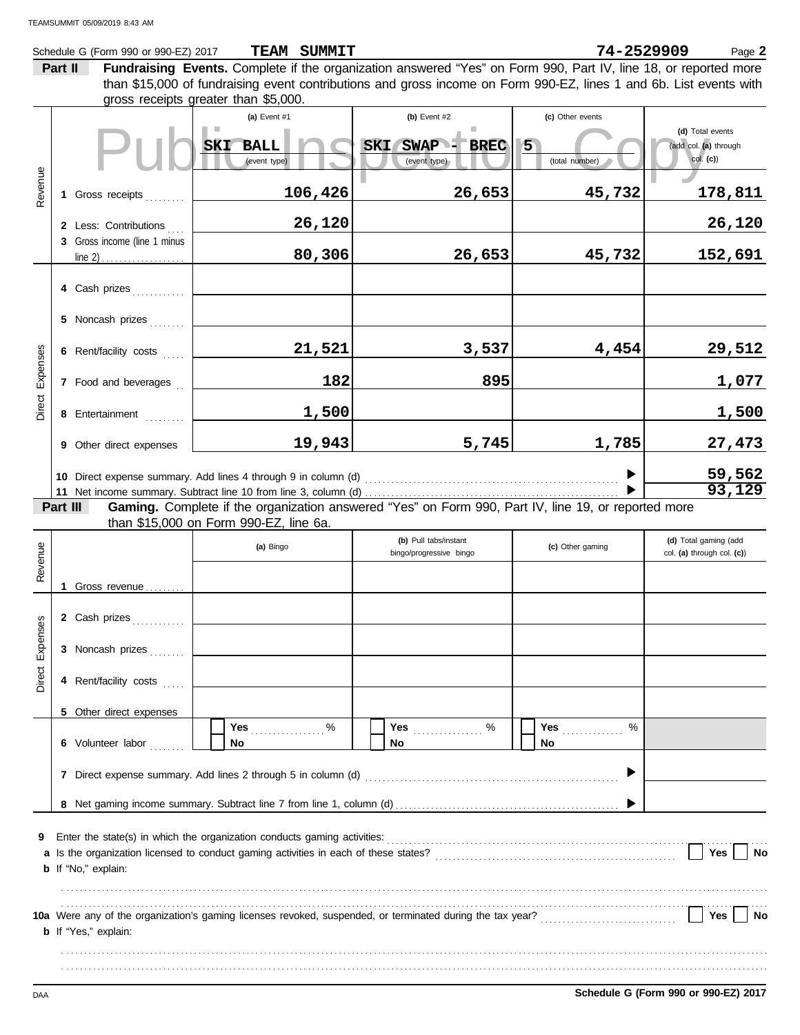|          |         | Schedule G (Form 990 or 990-EZ) 2017 | TEAM SUMMIT                                                                                                        |                                                  | 74-2529909                                                                                                                                                                                                             | Page 2                                              |
|----------|---------|--------------------------------------|--------------------------------------------------------------------------------------------------------------------|--------------------------------------------------|------------------------------------------------------------------------------------------------------------------------------------------------------------------------------------------------------------------------|-----------------------------------------------------|
|          | Part II |                                      | Fundraising Events. Complete if the organization answered "Yes" on Form 990, Part IV, line 18, or reported more    |                                                  |                                                                                                                                                                                                                        |                                                     |
|          |         |                                      | than \$15,000 of fundraising event contributions and gross income on Form 990-EZ, lines 1 and 6b. List events with |                                                  |                                                                                                                                                                                                                        |                                                     |
|          |         |                                      | gross receipts greater than \$5,000.                                                                               |                                                  |                                                                                                                                                                                                                        |                                                     |
|          |         |                                      | (a) Event #1                                                                                                       | (b) Event #2                                     | (c) Other events                                                                                                                                                                                                       | (d) Total events                                    |
|          |         |                                      | SKI BALL                                                                                                           | SWAP - BREC<br><b>SKI</b>                        | $5\overline{)}$                                                                                                                                                                                                        | (add col. (a) through                               |
|          |         |                                      | (event type)                                                                                                       | (event type)                                     | (total number)                                                                                                                                                                                                         | $col.$ (c))                                         |
| Revenue  |         |                                      |                                                                                                                    |                                                  |                                                                                                                                                                                                                        |                                                     |
|          |         | 1 Gross receipts                     | 106,426                                                                                                            | 26,653                                           | 45,732                                                                                                                                                                                                                 | 178,811                                             |
|          |         |                                      |                                                                                                                    |                                                  |                                                                                                                                                                                                                        |                                                     |
|          |         | 2 Less: Contributions                | 26,120                                                                                                             |                                                  |                                                                                                                                                                                                                        | 26,120                                              |
|          |         | 3 Gross income (line 1 minus         |                                                                                                                    |                                                  |                                                                                                                                                                                                                        |                                                     |
|          |         |                                      | 80,306                                                                                                             | 26,653                                           | 45,732                                                                                                                                                                                                                 | 152,691                                             |
|          |         |                                      |                                                                                                                    |                                                  |                                                                                                                                                                                                                        |                                                     |
|          |         | 4 Cash prizes                        |                                                                                                                    |                                                  |                                                                                                                                                                                                                        |                                                     |
|          |         | 5 Noncash prizes                     |                                                                                                                    |                                                  |                                                                                                                                                                                                                        |                                                     |
|          |         |                                      |                                                                                                                    |                                                  |                                                                                                                                                                                                                        |                                                     |
|          |         | 6 Rent/facility costs                | 21,521                                                                                                             | 3,537                                            | 4,454                                                                                                                                                                                                                  | 29,512                                              |
| Expenses |         |                                      |                                                                                                                    |                                                  |                                                                                                                                                                                                                        |                                                     |
|          |         | 7 Food and beverages                 | 182                                                                                                                | 895                                              |                                                                                                                                                                                                                        | 1,077                                               |
| Direct   |         |                                      |                                                                                                                    |                                                  |                                                                                                                                                                                                                        |                                                     |
|          |         | 8 Entertainment                      | 1,500                                                                                                              |                                                  |                                                                                                                                                                                                                        | 1,500                                               |
|          |         | 9 Other direct expenses              | 19,943                                                                                                             | 5,745                                            | 1,785                                                                                                                                                                                                                  | 27,473                                              |
|          |         |                                      |                                                                                                                    |                                                  |                                                                                                                                                                                                                        |                                                     |
|          |         |                                      |                                                                                                                    |                                                  |                                                                                                                                                                                                                        | 59,562                                              |
|          |         |                                      |                                                                                                                    |                                                  |                                                                                                                                                                                                                        | 93,129                                              |
|          |         | Part III                             | Gaming. Complete if the organization answered "Yes" on Form 990, Part IV, line 19, or reported more                |                                                  |                                                                                                                                                                                                                        |                                                     |
|          |         |                                      | than \$15,000 on Form 990-EZ, line 6a.                                                                             |                                                  |                                                                                                                                                                                                                        |                                                     |
|          |         |                                      | (a) Bingo                                                                                                          | (b) Pull tabs/instant<br>bingo/progressive bingo | (c) Other gaming                                                                                                                                                                                                       | (d) Total gaming (add<br>col. (a) through col. (c)) |
| Revenue  |         |                                      |                                                                                                                    |                                                  |                                                                                                                                                                                                                        |                                                     |
|          |         | Gross revenue                        |                                                                                                                    |                                                  |                                                                                                                                                                                                                        |                                                     |
|          |         |                                      |                                                                                                                    |                                                  |                                                                                                                                                                                                                        |                                                     |
| ses      |         | 2 Cash prizes                        |                                                                                                                    |                                                  |                                                                                                                                                                                                                        |                                                     |
|          |         |                                      |                                                                                                                    |                                                  |                                                                                                                                                                                                                        |                                                     |
| Expen    |         | 3 Noncash prizes                     |                                                                                                                    |                                                  |                                                                                                                                                                                                                        |                                                     |
| Direct   |         |                                      |                                                                                                                    |                                                  |                                                                                                                                                                                                                        |                                                     |
|          |         | 4 Rent/facility costs                |                                                                                                                    |                                                  |                                                                                                                                                                                                                        |                                                     |
|          |         | 5 Other direct expenses              |                                                                                                                    |                                                  |                                                                                                                                                                                                                        |                                                     |
|          |         |                                      | %<br>Yes                                                                                                           | Yes 2000                                         | Yes<br>%                                                                                                                                                                                                               |                                                     |
|          |         | 6 Volunteer labor                    | No                                                                                                                 | No                                               | No                                                                                                                                                                                                                     |                                                     |
|          |         |                                      |                                                                                                                    |                                                  |                                                                                                                                                                                                                        |                                                     |
|          |         |                                      |                                                                                                                    |                                                  |                                                                                                                                                                                                                        |                                                     |
|          |         |                                      |                                                                                                                    |                                                  |                                                                                                                                                                                                                        |                                                     |
|          |         |                                      |                                                                                                                    |                                                  |                                                                                                                                                                                                                        |                                                     |
| 9        |         |                                      |                                                                                                                    |                                                  |                                                                                                                                                                                                                        |                                                     |
|          |         |                                      |                                                                                                                    |                                                  |                                                                                                                                                                                                                        | Yes<br><b>No</b>                                    |
|          |         | <b>b</b> If "No," explain:           |                                                                                                                    |                                                  |                                                                                                                                                                                                                        |                                                     |
|          |         |                                      |                                                                                                                    |                                                  |                                                                                                                                                                                                                        |                                                     |
|          |         |                                      |                                                                                                                    |                                                  |                                                                                                                                                                                                                        |                                                     |
|          |         |                                      |                                                                                                                    |                                                  | 10a Were any of the organization's gaming licenses revoked, suspended, or terminated during the tax year?<br>10a Were any of the organization's gaming licenses revoked, suspended, or terminated during the tax year? | Yes<br>No                                           |
|          |         |                                      |                                                                                                                    |                                                  |                                                                                                                                                                                                                        |                                                     |
|          |         | <b>b</b> If "Yes," explain:          |                                                                                                                    |                                                  |                                                                                                                                                                                                                        |                                                     |
|          |         |                                      |                                                                                                                    |                                                  |                                                                                                                                                                                                                        |                                                     |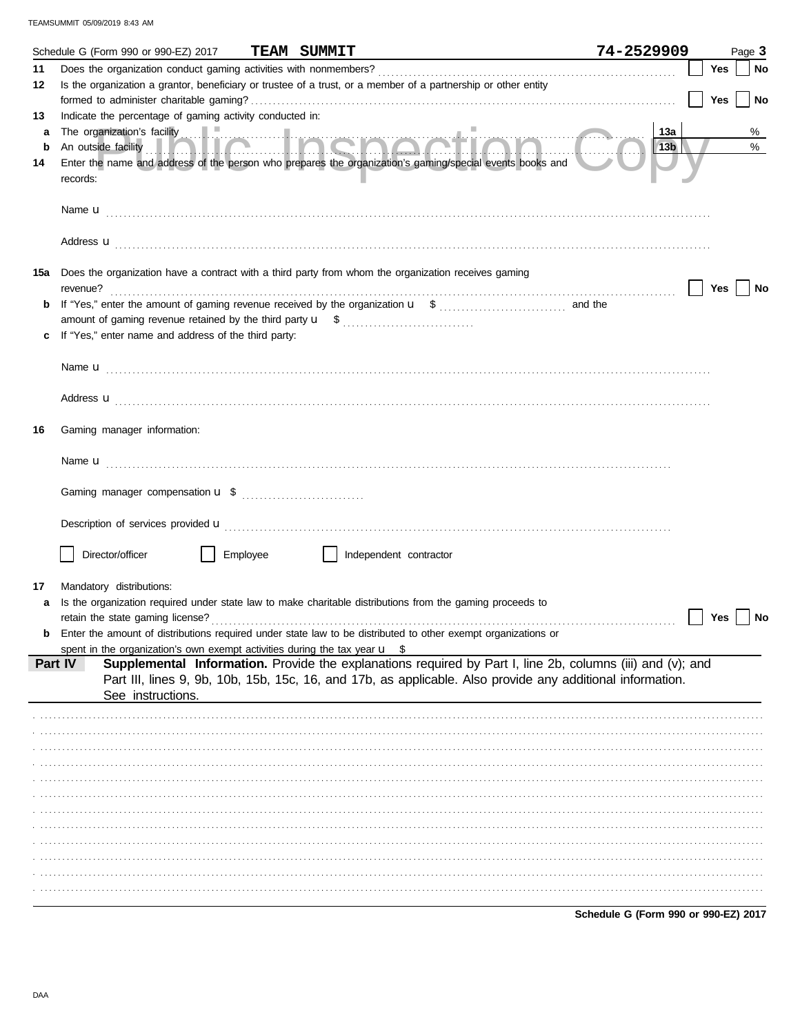|        | Schedule G (Form 990 or 990-EZ) 2017                                                  |          | <b>TEAM SUMMIT</b>                                                                                                     | 74-2529909 |            | Page 3 |
|--------|---------------------------------------------------------------------------------------|----------|------------------------------------------------------------------------------------------------------------------------|------------|------------|--------|
| 11     |                                                                                       |          |                                                                                                                        |            | Yes        | No     |
| 12     |                                                                                       |          | Is the organization a grantor, beneficiary or trustee of a trust, or a member of a partnership or other entity         |            |            |        |
|        |                                                                                       |          |                                                                                                                        |            | <b>Yes</b> | No     |
| 13     | Indicate the percentage of gaming activity conducted in:                              |          |                                                                                                                        |            |            |        |
| a<br>b |                                                                                       |          |                                                                                                                        | 13а<br>13b |            | %<br>% |
| 14     |                                                                                       |          | Enter the name and address of the person who prepares the organization's gaming/special events books and               |            |            |        |
|        | records:                                                                              |          |                                                                                                                        |            |            |        |
|        |                                                                                       |          |                                                                                                                        |            |            |        |
|        |                                                                                       |          |                                                                                                                        |            |            |        |
|        |                                                                                       |          |                                                                                                                        |            |            |        |
|        |                                                                                       |          | Address <b>u</b>                                                                                                       |            |            |        |
| 15а    |                                                                                       |          | Does the organization have a contract with a third party from whom the organization receives gaming                    |            |            |        |
|        | revenue?                                                                              |          |                                                                                                                        |            | Yes        | No     |
|        |                                                                                       |          |                                                                                                                        |            |            |        |
|        |                                                                                       |          |                                                                                                                        |            |            |        |
|        | If "Yes," enter name and address of the third party:                                  |          |                                                                                                                        |            |            |        |
|        |                                                                                       |          |                                                                                                                        |            |            |        |
|        |                                                                                       |          |                                                                                                                        |            |            |        |
|        |                                                                                       |          | Address <b>u</b>                                                                                                       |            |            |        |
|        |                                                                                       |          |                                                                                                                        |            |            |        |
| 16     | Gaming manager information:                                                           |          |                                                                                                                        |            |            |        |
|        |                                                                                       |          |                                                                                                                        |            |            |        |
|        |                                                                                       |          |                                                                                                                        |            |            |        |
|        |                                                                                       |          |                                                                                                                        |            |            |        |
|        |                                                                                       |          |                                                                                                                        |            |            |        |
|        |                                                                                       |          | Description of services provided <b>u</b> electron contract the contract of the contract of services provided <b>u</b> |            |            |        |
|        |                                                                                       |          |                                                                                                                        |            |            |        |
|        | Director/officer                                                                      | Employee | Independent contractor                                                                                                 |            |            |        |
| 17     | Mandatory distributions:                                                              |          |                                                                                                                        |            |            |        |
|        |                                                                                       |          | Is the organization required under state law to make charitable distributions from the gaming proceeds to              |            |            |        |
|        | retain the state gaming license?                                                      |          |                                                                                                                        |            | Yes        | No     |
|        |                                                                                       |          | Enter the amount of distributions required under state law to be distributed to other exempt organizations or          |            |            |        |
|        | spent in the organization's own exempt activities during the tax year $\mathbf{u}$ \$ |          |                                                                                                                        |            |            |        |
|        | Part IV                                                                               |          | Supplemental Information. Provide the explanations required by Part I, line 2b, columns (iii) and (v); and             |            |            |        |
|        | See instructions.                                                                     |          | Part III, lines 9, 9b, 10b, 15b, 15c, 16, and 17b, as applicable. Also provide any additional information.             |            |            |        |
|        |                                                                                       |          |                                                                                                                        |            |            |        |
|        |                                                                                       |          |                                                                                                                        |            |            |        |
|        |                                                                                       |          |                                                                                                                        |            |            |        |
|        |                                                                                       |          |                                                                                                                        |            |            |        |
|        |                                                                                       |          |                                                                                                                        |            |            |        |
|        |                                                                                       |          |                                                                                                                        |            |            |        |
|        |                                                                                       |          |                                                                                                                        |            |            |        |
|        |                                                                                       |          |                                                                                                                        |            |            |        |
|        |                                                                                       |          |                                                                                                                        |            |            |        |
|        |                                                                                       |          |                                                                                                                        |            |            |        |
|        |                                                                                       |          |                                                                                                                        |            |            |        |
|        |                                                                                       |          |                                                                                                                        |            |            |        |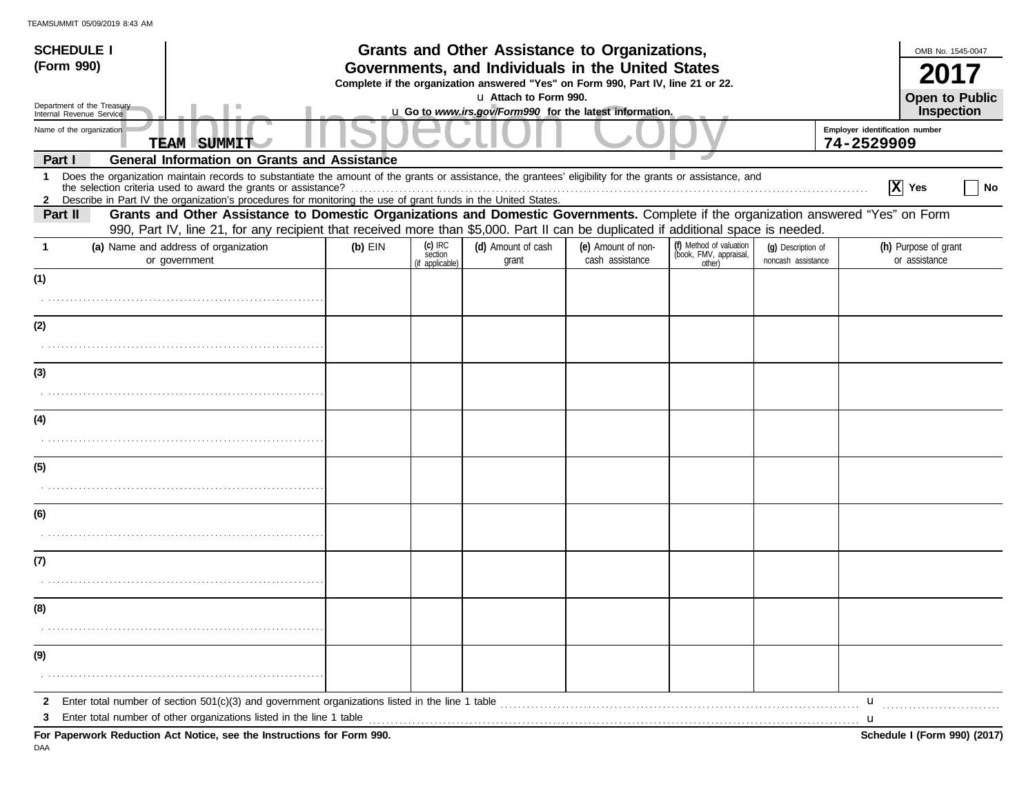| <b>SCHEDULE I</b> |                                                                                                                                                                                                                                                                                                                                                   |           |                                         | Grants and Other Assistance to Organizations,                                                                                         |                                       |                                                             |                                          |                                              | OMB No. 1545-0047                     |    |
|-------------------|---------------------------------------------------------------------------------------------------------------------------------------------------------------------------------------------------------------------------------------------------------------------------------------------------------------------------------------------------|-----------|-----------------------------------------|---------------------------------------------------------------------------------------------------------------------------------------|---------------------------------------|-------------------------------------------------------------|------------------------------------------|----------------------------------------------|---------------------------------------|----|
| (Form 990)        |                                                                                                                                                                                                                                                                                                                                                   |           |                                         | Governments, and Individuals in the United States<br>Complete if the organization answered "Yes" on Form 990, Part IV, line 21 or 22. |                                       |                                                             |                                          |                                              |                                       |    |
|                   | Department of the Treasury                                                                                                                                                                                                                                                                                                                        |           |                                         | u Attach to Form 990.                                                                                                                 |                                       |                                                             |                                          |                                              | <b>Open to Public</b>                 |    |
|                   | Internal Revenue Service                                                                                                                                                                                                                                                                                                                          |           |                                         | u Go to www.irs.gov/Form990 for the latest information.                                                                               |                                       |                                                             |                                          |                                              | Inspection                            |    |
|                   | Name of the organization<br><b>TEAM SUMMIT</b>                                                                                                                                                                                                                                                                                                    |           |                                         |                                                                                                                                       |                                       |                                                             |                                          | Employer identification number<br>74-2529909 |                                       |    |
| Part I            | <b>General Information on Grants and Assistance</b>                                                                                                                                                                                                                                                                                               |           |                                         |                                                                                                                                       |                                       |                                                             |                                          |                                              |                                       |    |
|                   | 1 Does the organization maintain records to substantiate the amount of the grants or assistance, the grantees' eligibility for the grants or assistance, and<br>the selection criteria used to award the grants or assistance?<br>2 Describe in Part IV the organization's procedures for monitoring the use of grant funds in the United States. |           |                                         |                                                                                                                                       |                                       |                                                             |                                          |                                              | $ X $ Yes                             | No |
| Part II           | Grants and Other Assistance to Domestic Organizations and Domestic Governments. Complete if the organization answered "Yes" on Form<br>990, Part IV, line 21, for any recipient that received more than \$5,000. Part II can be duplicated if additional space is needed.                                                                         |           |                                         |                                                                                                                                       |                                       |                                                             |                                          |                                              |                                       |    |
| -1                | (a) Name and address of organization<br>or government                                                                                                                                                                                                                                                                                             | $(b)$ EIN | $(c)$ IRC<br>section<br>(if applicable) | (d) Amount of cash<br>grant                                                                                                           | (e) Amount of non-<br>cash assistance | (f) Method of valuation<br>(book, FMV, appraisal,<br>other) | (q) Description of<br>noncash assistance |                                              | (h) Purpose of grant<br>or assistance |    |
| (1)               |                                                                                                                                                                                                                                                                                                                                                   |           |                                         |                                                                                                                                       |                                       |                                                             |                                          |                                              |                                       |    |
|                   |                                                                                                                                                                                                                                                                                                                                                   |           |                                         |                                                                                                                                       |                                       |                                                             |                                          |                                              |                                       |    |
| (2)               |                                                                                                                                                                                                                                                                                                                                                   |           |                                         |                                                                                                                                       |                                       |                                                             |                                          |                                              |                                       |    |
|                   |                                                                                                                                                                                                                                                                                                                                                   |           |                                         |                                                                                                                                       |                                       |                                                             |                                          |                                              |                                       |    |
| (3)               |                                                                                                                                                                                                                                                                                                                                                   |           |                                         |                                                                                                                                       |                                       |                                                             |                                          |                                              |                                       |    |
|                   |                                                                                                                                                                                                                                                                                                                                                   |           |                                         |                                                                                                                                       |                                       |                                                             |                                          |                                              |                                       |    |
| (4)               |                                                                                                                                                                                                                                                                                                                                                   |           |                                         |                                                                                                                                       |                                       |                                                             |                                          |                                              |                                       |    |
|                   |                                                                                                                                                                                                                                                                                                                                                   |           |                                         |                                                                                                                                       |                                       |                                                             |                                          |                                              |                                       |    |
| (5)               |                                                                                                                                                                                                                                                                                                                                                   |           |                                         |                                                                                                                                       |                                       |                                                             |                                          |                                              |                                       |    |
|                   |                                                                                                                                                                                                                                                                                                                                                   |           |                                         |                                                                                                                                       |                                       |                                                             |                                          |                                              |                                       |    |
| (6)               |                                                                                                                                                                                                                                                                                                                                                   |           |                                         |                                                                                                                                       |                                       |                                                             |                                          |                                              |                                       |    |
|                   |                                                                                                                                                                                                                                                                                                                                                   |           |                                         |                                                                                                                                       |                                       |                                                             |                                          |                                              |                                       |    |
| (7)               |                                                                                                                                                                                                                                                                                                                                                   |           |                                         |                                                                                                                                       |                                       |                                                             |                                          |                                              |                                       |    |
|                   |                                                                                                                                                                                                                                                                                                                                                   |           |                                         |                                                                                                                                       |                                       |                                                             |                                          |                                              |                                       |    |
| (8)               |                                                                                                                                                                                                                                                                                                                                                   |           |                                         |                                                                                                                                       |                                       |                                                             |                                          |                                              |                                       |    |
|                   |                                                                                                                                                                                                                                                                                                                                                   |           |                                         |                                                                                                                                       |                                       |                                                             |                                          |                                              |                                       |    |
| (9)               |                                                                                                                                                                                                                                                                                                                                                   |           |                                         |                                                                                                                                       |                                       |                                                             |                                          |                                              |                                       |    |
|                   |                                                                                                                                                                                                                                                                                                                                                   |           |                                         |                                                                                                                                       |                                       |                                                             |                                          |                                              |                                       |    |
|                   |                                                                                                                                                                                                                                                                                                                                                   |           |                                         |                                                                                                                                       |                                       |                                                             |                                          | u                                            |                                       |    |
| 3                 |                                                                                                                                                                                                                                                                                                                                                   |           |                                         |                                                                                                                                       |                                       |                                                             |                                          |                                              |                                       |    |
|                   | For Paperwork Reduction Act Notice, see the Instructions for Form 990.                                                                                                                                                                                                                                                                            |           |                                         |                                                                                                                                       |                                       |                                                             |                                          |                                              | Schedule I (Form 990) (2017)          |    |

DAA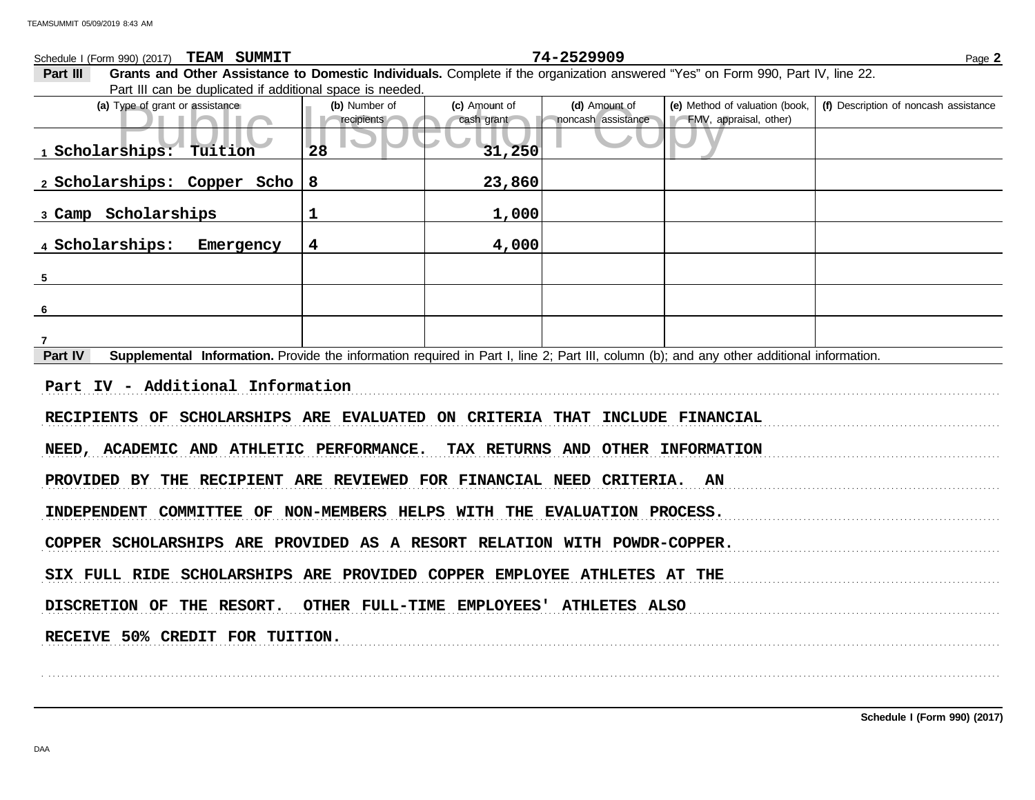Public Inspection CopyFype of grant or assistance<br>
Public Inspection CopyFMV, appraisal, other)<br>
Public CopyFMV, appraisal, other)<br>
Public CopyFMV, appraisal, other)<br>
Public CopyFMV, appraisal, other)<br>
Public CopyFMV, appr **(d)** Amount of **(e)** Method of valuation (book, cash grant **(a)** Type of grant or assistance **(b)** Number of **(c)** Amount of **Part III Grants and Other Assistance to Domestic Individuals.** Complete if the organization answered "Yes" on Form 990, Part IV, line 22. Part III can be duplicated if additional space is needed. Schedule I (Form 990) (2017) Page **2 TEAM SUMMIT 74-2529909 recipients** cash grant noncash assistance **(f)** Description of noncash assistance **Part IV** Supplemental Information. Provide the information required in Part I, line 2; Part III, column (b); and any other additional information. . . . . . . . . . . . . . . . . . . . . . . . . . . . . . . . . . . . . . . . . . . . . . . . . . . . . . . . . . . . . . . . . . . . . . . . . . . . . . . . . . . . . . . . . . . . . . . . . . . . . . . . . . . . . . . . . . . . . . . . . . . . . . . . . . . . . . . . . . . . . . . . . . . . . . . . . . . . . . . . . . . . . . . . . . . . . . . . . . . . . . . . . . . . . . . . . . . . . . . . . . . . . . . . . . . . . . . . . . . RECIPIENTS OF SCHOLARSHIPS ARE EVALUATED ON CRITERIA THAT INCLUDE FINANCIAL NEED, ACADEMIC AND ATHLETIC PERFORMANCE. TAX RETURNS AND OTHER INFORMATION PROVIDED BY THE RECIPIENT ARE REVIEWED FOR FINANCIAL NEED CRITERIA. AN INDEPENDENT COMMITTEE OF NON-MEMBERS HELPS WITH THE EVALUATION PROCESS. COPPER SCHOLARSHIPS ARE PROVIDED AS A RESORT RELATION WITH POWDR-COPPER. SIX FULL RIDE SCHOLARSHIPS ARE PROVIDED COPPER EMPLOYEE ATHLETES AT THE DISCRETION OF THE RESORT. OTHER FULL-TIME EMPLOYEES' ATHLETES ALSO RECEIVE 50% CREDIT FOR TUITION. . . . . . . . . . . . . . . . . . . . . . . . . . . . . . . . . . . . . . . . . . . . . . . . . . . . . . . . . . . . . . . . . . . . . . . . . . . . . . . . . . . . . . . . . . . . . . . . . . . . . . . . . . . . . . . . . . . . . . . . . . . . . . . . . . . . . . . . . . . . . . . . . . . . . . . . . . . . . . . . . . . . . . . . . . . . . . . . . . . . . . . . . . . . . . . . . . . . . . . . . . . . . . . . . . . . . . . . . . . **1 Scholarships: Tuition 28 31,250 2 Scholarships: Copper Scho 8 23,860 3 Camp Scholarships 1 1,000 4 Scholarships: Emergency 4 4,000 5 6 7 Part IV - Additional Information**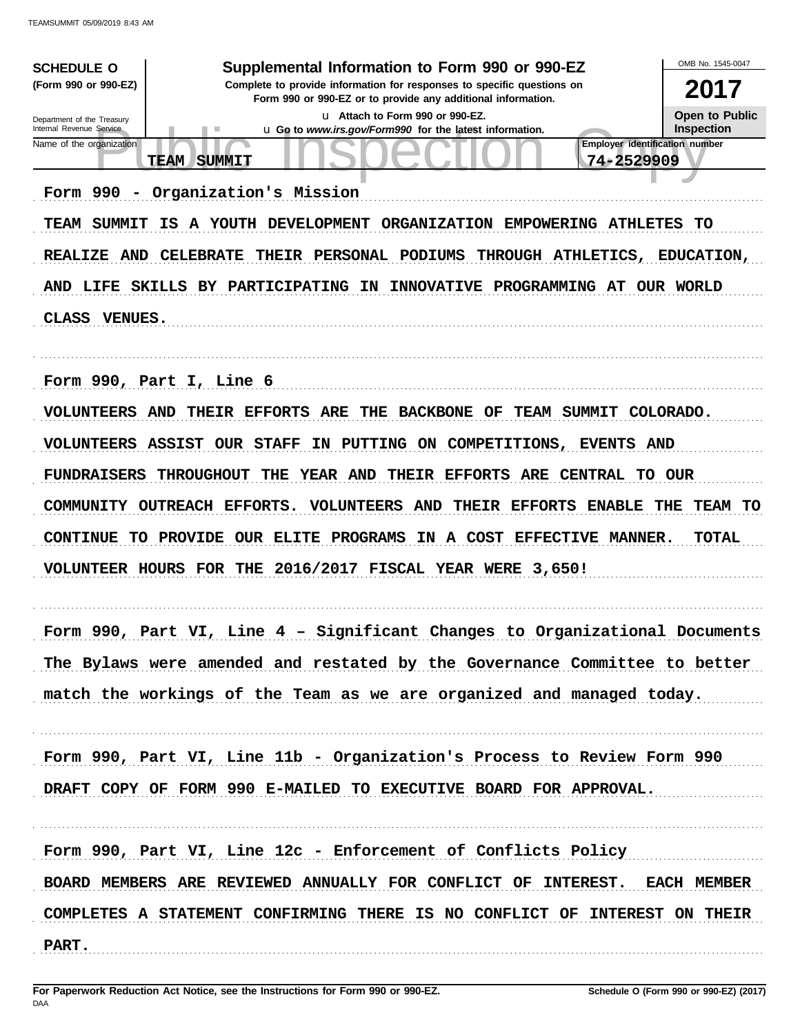| <b>SCHEDULE O</b><br>(Form 990 or 990-EZ)<br>Department of the Treasury<br>Internal Revenue Service<br>Name of the organization<br><b>TEAM</b><br>Form 990<br>$\overline{\phantom{a}}$<br>TEAM SUMMIT<br>REALIZE AND | ٠<br><b>SUMMIT</b><br>Organization's Mission<br>IS A YOUTH DEVELOPMENT ORGANIZATION EMPOWERING ATHLETES<br>CELEBRATE THEIR PERSONAL PODIUMS<br>AND LIFE SKILLS BY PARTICIPATING<br>ΙN                                                                   | Supplemental Information to Form 990 or 990-EZ<br>Complete to provide information for responses to specific questions on<br>Form 990 or 990-EZ or to provide any additional information.<br>u Attach to Form 990 or 990-EZ.<br>u Go to www.irs.gov/Form990 for the latest information.<br>INNOVATIVE PROGRAMMING AT OUR WORLD | Employer identification number<br>74-2529909<br>THROUGH ATHLETICS, | OMB No. 1545-0047<br>2017<br><b>Open to Public</b><br><b>Inspection</b><br>TO.<br><b>EDUCATION,</b> |
|----------------------------------------------------------------------------------------------------------------------------------------------------------------------------------------------------------------------|---------------------------------------------------------------------------------------------------------------------------------------------------------------------------------------------------------------------------------------------------------|-------------------------------------------------------------------------------------------------------------------------------------------------------------------------------------------------------------------------------------------------------------------------------------------------------------------------------|--------------------------------------------------------------------|-----------------------------------------------------------------------------------------------------|
| CLASS VENUES.                                                                                                                                                                                                        |                                                                                                                                                                                                                                                         |                                                                                                                                                                                                                                                                                                                               |                                                                    |                                                                                                     |
| Form 990, Part I, Line 6<br><b>VOLUNTEERS ASSIST OUR STAFF</b><br><b>FUNDRAISERS</b><br>COMMUNITY OUTREACH EFFORTS.                                                                                                  | <b>VOLUNTEERS AND THEIR EFFORTS ARE</b><br>THE<br>IN PUTTING ON<br>THE<br><b>THROUGHOUT</b><br><b>VOLUNTEERS AND</b><br>CONTINUE TO PROVIDE OUR ELITE PROGRAMS IN A COST EFFECTIVE MANNER.<br>VOLUNTEER HOURS FOR THE 2016/2017 FISCAL YEAR WERE 3,650! | <b>BACKBONE OF</b><br>COMPETITIONS, EVENTS AND<br>YEAR AND THEIR EFFORTS ARE CENTRAL TO OUR<br>THEIR EFFORTS                                                                                                                                                                                                                  | <b>TEAM SUMMIT</b><br><b>ENABLE</b>                                | COLORADO.<br>THE<br>TEAM TO<br><b>TOTAL</b>                                                         |
| Form 990,                                                                                                                                                                                                            | Part VI, Line 4 - Significant Changes to Organizational Documents                                                                                                                                                                                       |                                                                                                                                                                                                                                                                                                                               |                                                                    |                                                                                                     |
|                                                                                                                                                                                                                      | The Bylaws were amended and restated by the Governance Committee to better                                                                                                                                                                              |                                                                                                                                                                                                                                                                                                                               |                                                                    |                                                                                                     |
|                                                                                                                                                                                                                      | match the workings of the Team as we are organized and managed today.                                                                                                                                                                                   |                                                                                                                                                                                                                                                                                                                               |                                                                    |                                                                                                     |
|                                                                                                                                                                                                                      | Form 990, Part VI, Line 11b - Organization's Process to Review Form 990<br>DRAFT COPY OF FORM 990 E-MAILED TO EXECUTIVE BOARD FOR APPROVAL.                                                                                                             |                                                                                                                                                                                                                                                                                                                               |                                                                    |                                                                                                     |
|                                                                                                                                                                                                                      | Form 990, Part VI, Line 12c - Enforcement of Conflicts Policy                                                                                                                                                                                           |                                                                                                                                                                                                                                                                                                                               |                                                                    |                                                                                                     |
|                                                                                                                                                                                                                      | BOARD MEMBERS ARE REVIEWED ANNUALLY FOR CONFLICT OF INTEREST. EACH MEMBER                                                                                                                                                                               |                                                                                                                                                                                                                                                                                                                               |                                                                    |                                                                                                     |
| PART.                                                                                                                                                                                                                | COMPLETES A STATEMENT CONFIRMING THERE IS NO CONFLICT OF INTEREST ON THEIR                                                                                                                                                                              |                                                                                                                                                                                                                                                                                                                               |                                                                    |                                                                                                     |
|                                                                                                                                                                                                                      |                                                                                                                                                                                                                                                         |                                                                                                                                                                                                                                                                                                                               |                                                                    |                                                                                                     |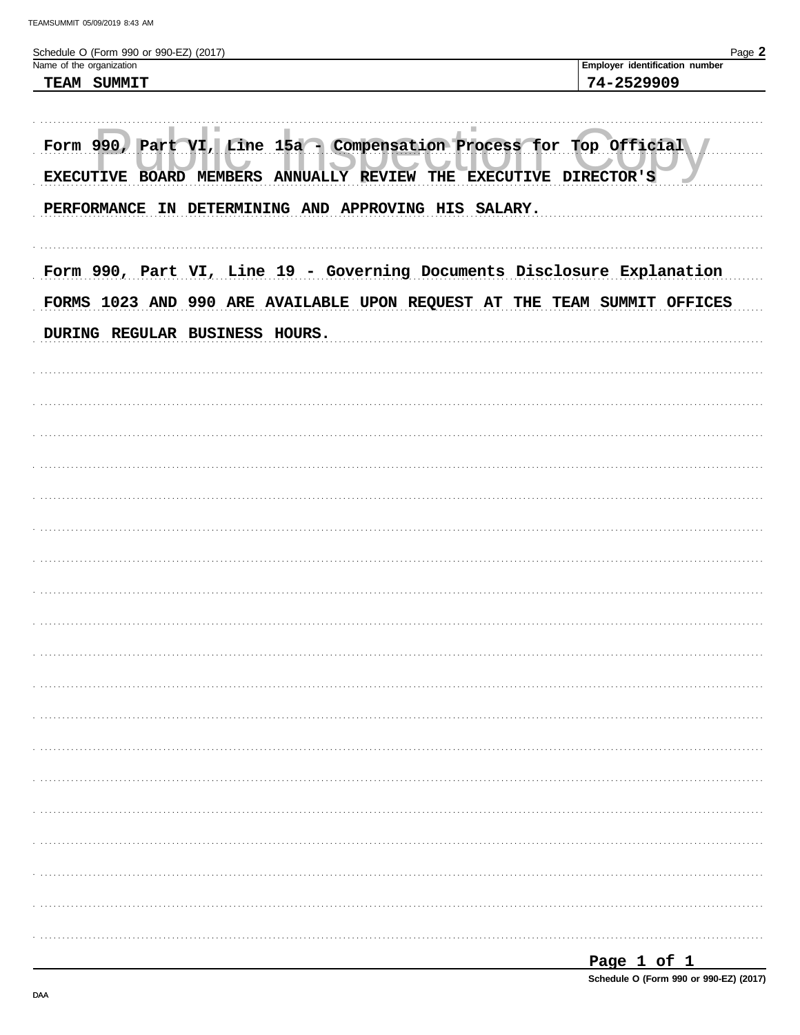| Schedule O (Form 990 or 990-EZ) (2017)<br>Name of the organization                                  | Page 2<br>Employer identification number |
|-----------------------------------------------------------------------------------------------------|------------------------------------------|
| TEAM SUMMIT                                                                                         | 74-2529909                               |
|                                                                                                     |                                          |
| ٠<br>Form 990, Part VI, Line 15a - Compensation Process for Top Official<br>EXECUTIVE BOARD MEMBERS | ANNUALLY REVIEW THE EXECUTIVE DIRECTOR'S |
| PERFORMANCE IN DETERMINING AND APPROVING HIS SALARY.                                                |                                          |
| Form 990, Part VI, Line 19 - Governing Documents Disclosure Explanation                             |                                          |
| FORMS 1023 AND 990 ARE AVAILABLE UPON REQUEST AT THE TEAM SUMMIT OFFICES                            |                                          |
| DURING REGULAR BUSINESS HOURS.                                                                      |                                          |
|                                                                                                     |                                          |
|                                                                                                     |                                          |
|                                                                                                     |                                          |
|                                                                                                     |                                          |
|                                                                                                     |                                          |
|                                                                                                     |                                          |
|                                                                                                     |                                          |
|                                                                                                     |                                          |
|                                                                                                     |                                          |
|                                                                                                     |                                          |
|                                                                                                     |                                          |
|                                                                                                     |                                          |
|                                                                                                     |                                          |
|                                                                                                     |                                          |
|                                                                                                     |                                          |
|                                                                                                     |                                          |

Schedule O (Form 990 or 990-EZ) (2017)